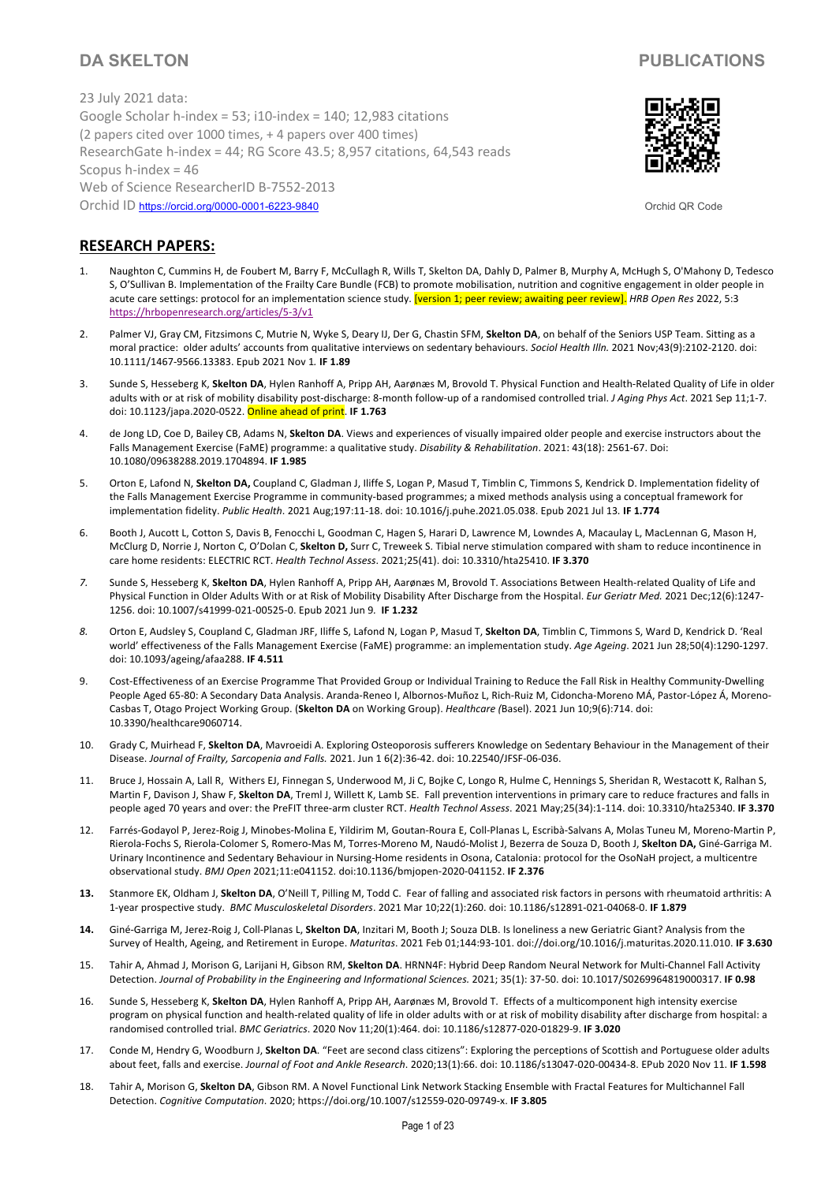23 July 2021 data: Google Scholar h-index = 53; i10-index = 140; 12,983 citations (2 papers cited over 1000 times, + 4 papers over 400 times) ResearchGate h-index = 44; RG Score 43.5; 8,957 citations, 64,543 reads Scopus h-index = 46 Web of Science ResearcherID B-7552-2013 Orchid ID https://orcid.org/0000-0001-6223-9840 Orchid QR Code



# **RESEARCH PAPERS:**

- 1. Naughton C, Cummins H, de Foubert M, Barry F, McCullagh R, Wills T, Skelton DA, Dahly D, Palmer B, Murphy A, McHugh S, O'Mahony D, Tedesco S, O'Sullivan B. Implementation of the Frailty Care Bundle (FCB) to promote mobilisation, nutrition and cognitive engagement in older people in acute care settings: protocol for an implementation science study. [version 1; peer review; awaiting peer review]. HRB Open Res 2022, 5:3 https://hrbopenresearch.org/articles/5-3/v1
- 2. Palmer VJ, Gray CM, Fitzsimons C, Mutrie N, Wyke S, Deary IJ, Der G, Chastin SFM, **Skelton DA**, on behalf of the Seniors USP Team. Sitting as a moral practice: older adults' accounts from qualitative interviews on sedentary behaviours. *Sociol Health Illn.* 2021 Nov;43(9):2102-2120. doi: 10.1111/1467-9566.13383. Epub 2021 Nov 1*.* **IF 1.89**
- 3. Sunde S, Hesseberg K, **Skelton DA**, Hylen Ranhoff A, Pripp AH, Aarønæs M, Brovold T. Physical Function and Health-Related Quality of Life in older adults with or at risk of mobility disability post-discharge: 8-month follow-up of a randomised controlled trial. *J Aging Phys Act*. 2021 Sep 11;1-7. doi: 10.1123/japa.2020-0522. Online ahead of print. **IF 1.763**
- 4. de Jong LD, Coe D, Bailey CB, Adams N, **Skelton DA**. Views and experiences of visually impaired older people and exercise instructors about the Falls Management Exercise (FaME) programme: a qualitative study. *Disability & Rehabilitation*. 2021: 43(18): 2561-67. Doi: 10.1080/09638288.2019.1704894. **IF 1.985**
- 5. Orton E, Lafond N, **Skelton DA,** Coupland C, Gladman J, Iliffe S, Logan P, Masud T, Timblin C, Timmons S, Kendrick D. Implementation fidelity of the Falls Management Exercise Programme in community-based programmes; a mixed methods analysis using a conceptual framework for implementation fidelity. *Public Health*. 2021 Aug;197:11-18. doi: 10.1016/j.puhe.2021.05.038. Epub 2021 Jul 13*.* **IF 1.774**
- 6. Booth J, Aucott L, Cotton S, Davis B, Fenocchi L, Goodman C, Hagen S, Harari D, Lawrence M, Lowndes A, Macaulay L, MacLennan G, Mason H, McClurg D, Norrie J, Norton C, O'Dolan C, **Skelton D,** Surr C, Treweek S. Tibial nerve stimulation compared with sham to reduce incontinence in care home residents: ELECTRIC RCT. *Health Technol Assess*. 2021;25(41). doi: 10.3310/hta25410. **IF 3.370**
- *7.* Sunde S, Hesseberg K, **Skelton DA**, Hylen Ranhoff A, Pripp AH, Aarønæs M, Brovold T. Associations Between Health-related Quality of Life and Physical Function in Older Adults With or at Risk of Mobility Disability After Discharge from the Hospital. *Eur Geriatr Med.* 2021 Dec;12(6):1247- 1256. doi: 10.1007/s41999-021-00525-0. Epub 2021 Jun 9*.* **IF 1.232**
- *8.* Orton E, Audsley S, Coupland C, Gladman JRF, Iliffe S, Lafond N, Logan P, Masud T, **Skelton DA**, Timblin C, Timmons S, Ward D, Kendrick D. 'Real world' effectiveness of the Falls Management Exercise (FaME) programme: an implementation study. *Age Ageing*. 2021 Jun 28;50(4):1290-1297. doi: 10.1093/ageing/afaa288. **IF 4.511**
- 9. Cost-Effectiveness of an Exercise Programme That Provided Group or Individual Training to Reduce the Fall Risk in Healthy Community-Dwelling People Aged 65-80: A Secondary Data Analysis. Aranda-Reneo I, Albornos-Muñoz L, Rich-Ruiz M, Cidoncha-Moreno MÁ, Pastor-López Á, Moreno-Casbas T, Otago Project Working Group. (**Skelton DA** on Working Group). *Healthcare (*Basel). 2021 Jun 10;9(6):714. doi: 10.3390/healthcare9060714.
- 10. Grady C, Muirhead F, **Skelton DA**, Mavroeidi A. Exploring Osteoporosis sufferers Knowledge on Sedentary Behaviour in the Management of their Disease. *Journal of Frailty, Sarcopenia and Falls.* 2021. Jun 1 6(2):36-42. doi: 10.22540/JFSF-06-036.
- 11. Bruce J, Hossain A, Lall R, Withers EJ, Finnegan S, Underwood M, Ji C, Bojke C, Longo R, Hulme C, Hennings S, Sheridan R, Westacott K, Ralhan S, Martin F, Davison J, Shaw F, **Skelton DA**, Treml J, Willett K, Lamb SE. Fall prevention interventions in primary care to reduce fractures and falls in people aged 70 years and over: the PreFIT three-arm cluster RCT. *Health Technol Assess*. 2021 May;25(34):1-114. doi: 10.3310/hta25340. **IF 3.370**
- 12. Farrés-Godayol P, Jerez-Roig J, Minobes-Molina E, Yildirim M, Goutan-Roura E, Coll-Planas L, Escribà-Salvans A, Molas Tuneu M, Moreno-Martin P, Rierola-Fochs S, Rierola-Colomer S, Romero-Mas M, Torres-Moreno M, Naudó-Molist J, Bezerra de Souza D, Booth J, **Skelton DA,** Giné-Garriga M. Urinary Incontinence and Sedentary Behaviour in Nursing-Home residents in Osona, Catalonia: protocol for the OsoNaH project, a multicentre observational study. *BMJ Open* 2021;11:e041152. doi:10.1136/bmjopen-2020-041152. **IF 2.376**
- **13.** Stanmore EK, Oldham J, **Skelton DA**, O'Neill T, Pilling M, Todd C. Fear of falling and associated risk factors in persons with rheumatoid arthritis: A 1-year prospective study. *BMC Musculoskeletal Disorders*. 2021 Mar 10;22(1):260. doi: 10.1186/s12891-021-04068-0. **IF 1.879**
- **14.** Giné-Garriga M, Jerez-Roig J, Coll-Planas L, **Skelton DA**, Inzitari M, Booth J; Souza DLB. Is loneliness a new Geriatric Giant? Analysis from the Survey of Health, Ageing, and Retirement in Europe. *Maturitas*. 2021 Feb 01;144:93-101. doi://doi.org/10.1016/j.maturitas.2020.11.010. **IF 3.630**
- 15. Tahir A, Ahmad J, Morison G, Larijani H, Gibson RM, **Skelton DA**. HRNN4F: Hybrid Deep Random Neural Network for Multi-Channel Fall Activity Detection. *Journal of Probability in the Engineering and Informational Sciences.* 2021; 35(1): 37-50. doi: 10.1017/S0269964819000317. **IF 0.98**
- 16. Sunde S, Hesseberg K, **Skelton DA**, Hylen Ranhoff A, Pripp AH, Aarønæs M, Brovold T. Effects of a multicomponent high intensity exercise program on physical function and health-related quality of life in older adults with or at risk of mobility disability after discharge from hospital: a randomised controlled trial. *BMC Geriatrics*. 2020 Nov 11;20(1):464. doi: 10.1186/s12877-020-01829-9. **IF 3.020**
- 17. Conde M, Hendry G, Woodburn J, **Skelton DA**. "Feet are second class citizens": Exploring the perceptions of Scottish and Portuguese older adults about feet, falls and exercise. *Journal of Foot and Ankle Research*. 2020;13(1):66. doi: 10.1186/s13047-020-00434-8. EPub 2020 Nov 11. **IF 1.598**
- 18. Tahir A, Morison G, **Skelton DA**, Gibson RM. A Novel Functional Link Network Stacking Ensemble with Fractal Features for Multichannel Fall Detection. *Cognitive Computation*. 2020; https://doi.org/10.1007/s12559-020-09749-x. **IF 3.805**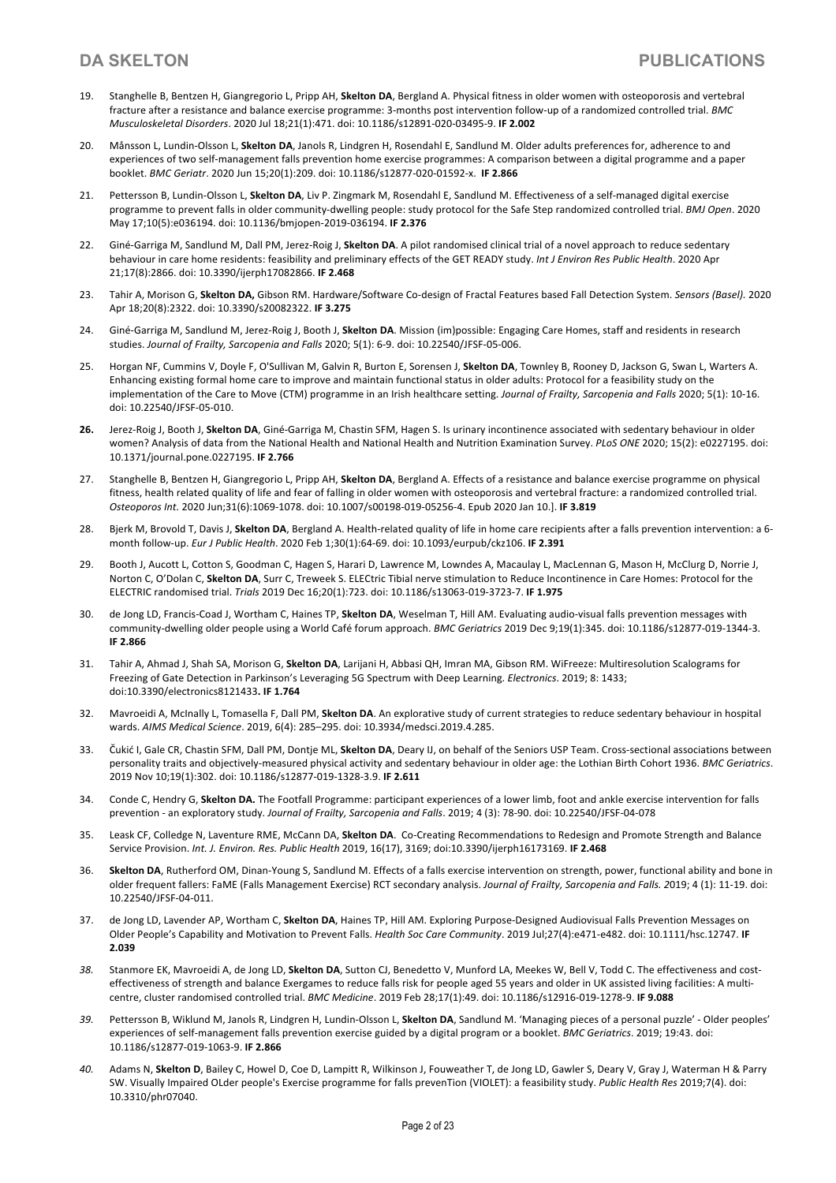- 19. Stanghelle B, Bentzen H, Giangregorio L, Pripp AH, **Skelton DA**, Bergland A. Physical fitness in older women with osteoporosis and vertebral fracture after a resistance and balance exercise programme: 3-months post intervention follow-up of a randomized controlled trial. *BMC Musculoskeletal Disorders*. 2020 Jul 18;21(1):471. doi: 10.1186/s12891-020-03495-9. **IF 2.002**
- 20. Månsson L, Lundin-Olsson L, **Skelton DA**, Janols R, Lindgren H, Rosendahl E, Sandlund M. Older adults preferences for, adherence to and experiences of two self-management falls prevention home exercise programmes: A comparison between a digital programme and a paper booklet. *BMC Geriatr*. 2020 Jun 15;20(1):209. doi: 10.1186/s12877-020-01592-x. **IF 2.866**
- 21. Pettersson B, Lundin-Olsson L, **Skelton DA**, Liv P. Zingmark M, Rosendahl E, Sandlund M. Effectiveness of a self-managed digital exercise programme to prevent falls in older community-dwelling people: study protocol for the Safe Step randomized controlled trial. *BMJ Open*. 2020 May 17;10(5):e036194. doi: 10.1136/bmjopen-2019-036194. **IF 2.376**
- 22. Giné-Garriga M, Sandlund M, Dall PM, Jerez-Roig J, **Skelton DA**. A pilot randomised clinical trial of a novel approach to reduce sedentary behaviour in care home residents: feasibility and preliminary effects of the GET READY study. *Int J Environ Res Public Health*. 2020 Apr 21;17(8):2866. doi: 10.3390/ijerph17082866. **IF 2.468**
- 23. Tahir A, Morison G, **Skelton DA,** Gibson RM. Hardware/Software Co-design of Fractal Features based Fall Detection System. *Sensors (Basel).* 2020 Apr 18;20(8):2322. doi: 10.3390/s20082322. **IF 3.275**
- 24. Giné-Garriga M, Sandlund M, Jerez-Roig J, Booth J, **Skelton DA**. Mission (im)possible: Engaging Care Homes, staff and residents in research studies. *Journal of Frailty, Sarcopenia and Falls* 2020; 5(1): 6-9. doi: 10.22540/JFSF-05-006.
- 25. Horgan NF, Cummins V, Doyle F, O'Sullivan M, Galvin R, Burton E, Sorensen J, **Skelton DA**, Townley B, Rooney D, Jackson G, Swan L, Warters A. Enhancing existing formal home care to improve and maintain functional status in older adults: Protocol for a feasibility study on the implementation of the Care to Move (CTM) programme in an Irish healthcare setting. *Journal of Frailty, Sarcopenia and Falls* 2020; 5(1): 10-16. doi: 10.22540/JFSF-05-010.
- **26.** Jerez-Roig J, Booth J, **Skelton DA**, Giné-Garriga M, Chastin SFM, Hagen S. Is urinary incontinence associated with sedentary behaviour in older women? Analysis of data from the National Health and National Health and Nutrition Examination Survey. *PLoS ONE* 2020; 15(2): e0227195. doi: 10.1371/journal.pone.0227195. **IF 2.766**
- 27. Stanghelle B, Bentzen H, Giangregorio L, Pripp AH, **Skelton DA**, Bergland A. Effects of a resistance and balance exercise programme on physical fitness, health related quality of life and fear of falling in older women with osteoporosis and vertebral fracture: a randomized controlled trial. *Osteoporos Int.* 2020 Jun;31(6):1069-1078. doi: 10.1007/s00198-019-05256-4. Epub 2020 Jan 10.]. **IF 3.819**
- 28. Bjerk M, Brovold T, Davis J, **Skelton DA**, Bergland A. Health-related quality of life in home care recipients after a falls prevention intervention: a 6 month follow-up. *Eur J Public Health*. 2020 Feb 1;30(1):64-69. doi: 10.1093/eurpub/ckz106. **IF 2.391**
- 29. Booth J, Aucott L, Cotton S, Goodman C, Hagen S, Harari D, Lawrence M, Lowndes A, Macaulay L, MacLennan G, Mason H, McClurg D, Norrie J, Norton C, O'Dolan C, **Skelton DA**, Surr C, Treweek S. ELECtric Tibial nerve stimulation to Reduce Incontinence in Care Homes: Protocol for the ELECTRIC randomised trial. *Trials* 2019 Dec 16;20(1):723. doi: 10.1186/s13063-019-3723-7. **IF 1.975**
- 30. de Jong LD, Francis-Coad J, Wortham C, Haines TP, **Skelton DA**, Weselman T, Hill AM. Evaluating audio-visual falls prevention messages with community-dwelling older people using a World Café forum approach. *BMC Geriatrics* 2019 Dec 9;19(1):345. doi: 10.1186/s12877-019-1344-3. **IF 2.866**
- 31. Tahir A, Ahmad J, Shah SA, Morison G, **Skelton DA**, Larijani H, Abbasi QH, Imran MA, Gibson RM. WiFreeze: Multiresolution Scalograms for Freezing of Gate Detection in Parkinson's Leveraging 5G Spectrum with Deep Learning. *Electronics*. 2019; 8: 1433; doi:10.3390/electronics8121433**. IF 1.764**
- 32. Mavroeidi A, McInally L, Tomasella F, Dall PM, **Skelton DA**. An explorative study of current strategies to reduce sedentary behaviour in hospital wards. *AIMS Medical Science*. 2019, 6(4): 285–295. doi: 10.3934/medsci.2019.4.285.
- 33. Čukić I, Gale CR, Chastin SFM, Dall PM, Dontje ML, **Skelton DA**, Deary IJ, on behalf of the Seniors USP Team. Cross-sectional associations between personality traits and objectively-measured physical activity and sedentary behaviour in older age: the Lothian Birth Cohort 1936. *BMC Geriatrics*. 2019 Nov 10;19(1):302. doi: 10.1186/s12877-019-1328-3.9. **IF 2.611**
- 34. Conde C, Hendry G, **Skelton DA.** The Footfall Programme: participant experiences of a lower limb, foot and ankle exercise intervention for falls prevention - an exploratory study. *Journal of Frailty, Sarcopenia and Falls*. 2019; 4 (3): 78-90. doi: 10.22540/JFSF-04-078
- 35. Leask CF, Colledge N, Laventure RME, McCann DA, **Skelton DA**. Co-Creating Recommendations to Redesign and Promote Strength and Balance Service Provision. *Int. J. Environ. Res. Public Health* 2019, 16(17), 3169; doi:10.3390/ijerph16173169. **IF 2.468**
- 36. **Skelton DA**, Rutherford OM, Dinan-Young S, Sandlund M. Effects of a falls exercise intervention on strength, power, functional ability and bone in older frequent fallers: FaME (Falls Management Exercise) RCT secondary analysis. *Journal of Frailty, Sarcopenia and Falls. 2*019; 4 (1): 11-19. doi: 10.22540/JFSF-04-011.
- 37. de Jong LD, Lavender AP, Wortham C, **Skelton DA**, Haines TP, Hill AM. Exploring Purpose-Designed Audiovisual Falls Prevention Messages on Older People's Capability and Motivation to Prevent Falls. *Health Soc Care Community*. 2019 Jul;27(4):e471-e482. doi: 10.1111/hsc.12747. **IF 2.039**
- *38.* Stanmore EK, Mavroeidi A, de Jong LD, **Skelton DA**, Sutton CJ, Benedetto V, Munford LA, Meekes W, Bell V, Todd C. The effectiveness and costeffectiveness of strength and balance Exergames to reduce falls risk for people aged 55 years and older in UK assisted living facilities: A multicentre, cluster randomised controlled trial. *BMC Medicine*. 2019 Feb 28;17(1):49. doi: 10.1186/s12916-019-1278-9. **IF 9.088**
- *39.* Pettersson B, Wiklund M, Janols R, Lindgren H, Lundin-Olsson L, **Skelton DA**, Sandlund M. 'Managing pieces of a personal puzzle' Older peoples' experiences of self-management falls prevention exercise guided by a digital program or a booklet. *BMC Geriatrics*. 2019; 19:43. doi: 10.1186/s12877-019-1063-9. **IF 2.866**
- *40.* Adams N, **Skelton D**, Bailey C, Howel D, Coe D, Lampitt R, Wilkinson J, Fouweather T, de Jong LD, Gawler S, Deary V, Gray J, Waterman H & Parry SW. Visually Impaired OLder people's Exercise programme for falls prevenTion (VIOLET): a feasibility study. *Public Health Res* 2019;7(4). doi: 10.3310/phr07040.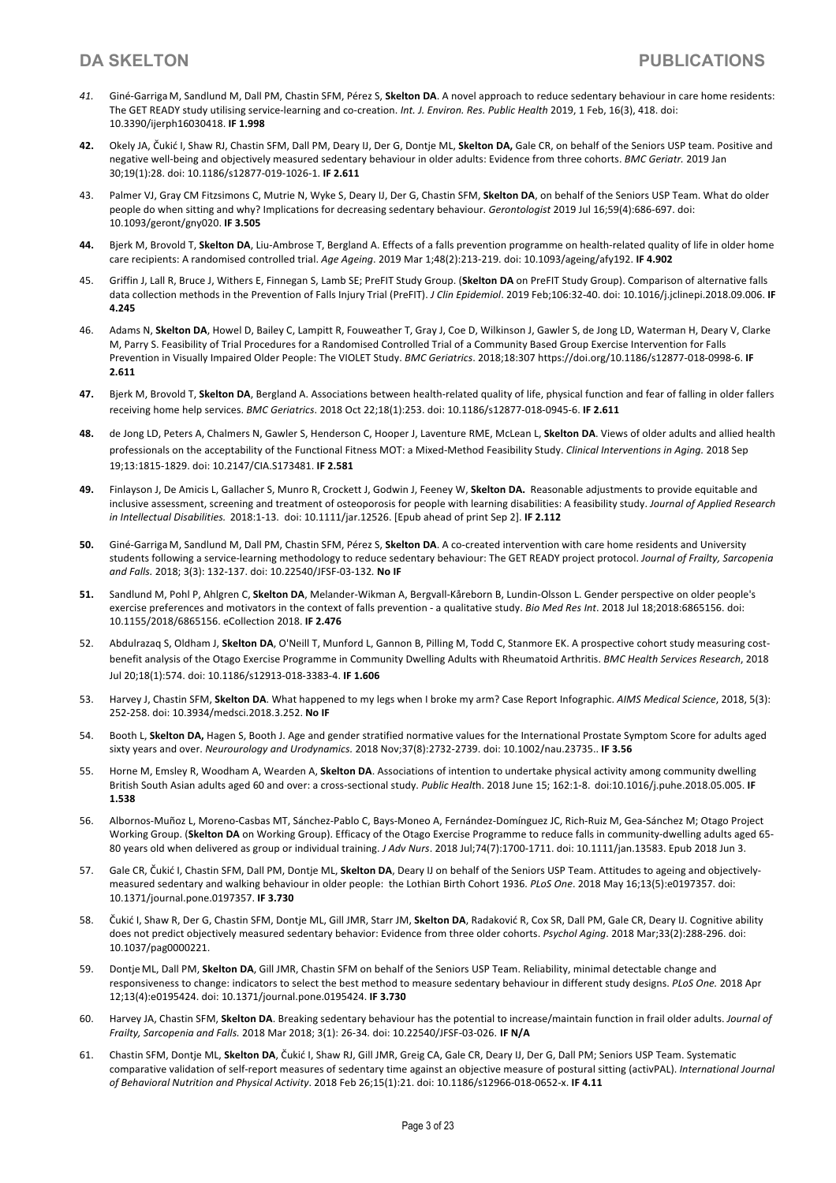- *41.* Giné-Garriga M, Sandlund M, Dall PM, Chastin SFM, Pérez S, **Skelton DA**. A novel approach to reduce sedentary behaviour in care home residents: The GET READY study utilising service-learning and co-creation. *Int. J. Environ. Res. Public Health* 2019, 1 Feb, 16(3), 418. doi: 10.3390/ijerph16030418. **IF 1.998**
- **42.** Okely JA, Čukić I, Shaw RJ, Chastin SFM, Dall PM, Deary IJ, Der G, Dontje ML, **Skelton DA,** Gale CR, on behalf of the Seniors USP team. Positive and negative well-being and objectively measured sedentary behaviour in older adults: Evidence from three cohorts. *BMC Geriatr.* 2019 Jan 30;19(1):28. doi: 10.1186/s12877-019-1026-1. **IF 2.611**
- 43. Palmer VJ, Gray CM Fitzsimons C, Mutrie N, Wyke S, Deary IJ, Der G, Chastin SFM, **Skelton DA**, on behalf of the Seniors USP Team. What do older people do when sitting and why? Implications for decreasing sedentary behaviour. *Gerontologist* 2019 Jul 16;59(4):686-697. doi: 10.1093/geront/gny020. **IF 3.505**
- **44.** Bjerk M, Brovold T, **Skelton DA**, Liu-Ambrose T, Bergland A. Effects of a falls prevention programme on health-related quality of life in older home care recipients: A randomised controlled trial. *Age Ageing*. 2019 Mar 1;48(2):213-219. doi: 10.1093/ageing/afy192. **IF 4.902**
- 45. Griffin J, Lall R, Bruce J, Withers E, Finnegan S, Lamb SE; PreFIT Study Group. (**Skelton DA** on PreFIT Study Group). Comparison of alternative falls data collection methods in the Prevention of Falls Injury Trial (PreFIT). *J Clin Epidemiol*. 2019 Feb;106:32-40. doi: 10.1016/j.jclinepi.2018.09.006. **IF 4.245**
- 46. Adams N, **Skelton DA**, Howel D, Bailey C, Lampitt R, Fouweather T, Gray J, Coe D, Wilkinson J, Gawler S, de Jong LD, Waterman H, Deary V, Clarke M, Parry S. Feasibility of Trial Procedures for a Randomised Controlled Trial of a Community Based Group Exercise Intervention for Falls Prevention in Visually Impaired Older People: The VIOLET Study. *BMC Geriatrics*. 2018;18:307 https://doi.org/10.1186/s12877-018-0998-6. **IF 2.611**
- **47.** Bjerk M, Brovold T, **Skelton DA**, Bergland A. Associations between health-related quality of life, physical function and fear of falling in older fallers receiving home help services. *BMC Geriatrics*. 2018 Oct 22;18(1):253. doi: 10.1186/s12877-018-0945-6. **IF 2.611**
- **48.** de Jong LD, Peters A, Chalmers N, Gawler S, Henderson C, Hooper J, Laventure RME, McLean L, **Skelton DA**. Views of older adults and allied health professionals on the acceptability of the Functional Fitness MOT: a Mixed-Method Feasibility Study. *Clinical Interventions in Aging.* 2018 Sep 19;13:1815-1829. doi: 10.2147/CIA.S173481. **IF 2.581**
- **49.** Finlayson J, De Amicis L, Gallacher S, Munro R, Crockett J, Godwin J, Feeney W, **Skelton DA.** Reasonable adjustments to provide equitable and inclusive assessment, screening and treatment of osteoporosis for people with learning disabilities: A feasibility study. *Journal of Applied Research in Intellectual Disabilities.* 2018:1-13. doi: 10.1111/jar.12526. [Epub ahead of print Sep 2]. **IF 2.112**
- **50.** Giné-Garriga M, Sandlund M, Dall PM, Chastin SFM, Pérez S, **Skelton DA**. A co-created intervention with care home residents and University students following a service-learning methodology to reduce sedentary behaviour: The GET READY project protocol. *Journal of Frailty, Sarcopenia and Falls.* 2018; 3(3): 132-137. doi: 10.22540/JFSF-03-132*.* **No IF**
- **51.** Sandlund M, Pohl P, Ahlgren C, **Skelton DA**, Melander-Wikman A, Bergvall-Kåreborn B, Lundin-Olsson L. Gender perspective on older people's exercise preferences and motivators in the context of falls prevention - a qualitative study. *Bio Med Res Int*. 2018 Jul 18;2018:6865156. doi: 10.1155/2018/6865156. eCollection 2018. **IF 2.476**
- 52. Abdulrazaq S, Oldham J, **Skelton DA**, O'Neill T, Munford L, Gannon B, Pilling M, Todd C, Stanmore EK. A prospective cohort study measuring costbenefit analysis of the Otago Exercise Programme in Community Dwelling Adults with Rheumatoid Arthritis. *BMC Health Services Research*, 2018 Jul 20;18(1):574. doi: 10.1186/s12913-018-3383-4. **IF 1.606**
- 53. Harvey J, Chastin SFM, **Skelton DA**. What happened to my legs when I broke my arm? Case Report Infographic. *AIMS Medical Science*, 2018, 5(3): 252-258. doi: 10.3934/medsci.2018.3.252. **No IF**
- 54. Booth L, **Skelton DA,** Hagen S, Booth J. Age and gender stratified normative values for the International Prostate Symptom Score for adults aged sixty years and over. *Neurourology and Urodynamics.* 2018 Nov;37(8):2732-2739. doi: 10.1002/nau.23735.. **IF 3.56**
- 55. Horne M, Emsley R, Woodham A, Wearden A, **Skelton DA**. Associations of intention to undertake physical activity among community dwelling British South Asian adults aged 60 and over: a cross-sectional study. *Public Healt*h. 2018 June 15; 162:1-8. doi:10.1016/j.puhe.2018.05.005. **IF 1.538**
- 56. Albornos-Muñoz L, Moreno-Casbas MT, Sánchez-Pablo C, Bays-Moneo A, Fernández-Domínguez JC, Rich-Ruiz M, Gea-Sánchez M; Otago Project Working Group. (**Skelton DA** on Working Group). Efficacy of the Otago Exercise Programme to reduce falls in community-dwelling adults aged 65- 80 years old when delivered as group or individual training. *J Adv Nurs*. 2018 Jul;74(7):1700-1711. doi: 10.1111/jan.13583. Epub 2018 Jun 3.
- 57. Gale CR, Čukić I, Chastin SFM, Dall PM, Dontje ML, **Skelton DA**, Deary IJ on behalf of the Seniors USP Team. Attitudes to ageing and objectivelymeasured sedentary and walking behaviour in older people: the Lothian Birth Cohort 1936. *PLoS One*. 2018 May 16;13(5):e0197357. doi: 10.1371/journal.pone.0197357. **IF 3.730**
- 58. Čukić I, Shaw R, Der G, Chastin SFM, Dontje ML, Gill JMR, Starr JM, **Skelton DA**, Radaković R, Cox SR, Dall PM, Gale CR, Deary IJ. Cognitive ability does not predict objectively measured sedentary behavior: Evidence from three older cohorts. *Psychol Aging*. 2018 Mar;33(2):288-296. doi: 10.1037/pag0000221.
- 59. Dontje ML, Dall PM, **Skelton DA**, Gill JMR, Chastin SFM on behalf of the Seniors USP Team. Reliability, minimal detectable change and responsiveness to change: indicators to select the best method to measure sedentary behaviour in different study designs. *PLoS One.* 2018 Apr 12;13(4):e0195424. doi: 10.1371/journal.pone.0195424. **IF 3.730**
- 60. Harvey JA, Chastin SFM, **Skelton DA**. Breaking sedentary behaviour has the potential to increase/maintain function in frail older adults. *Journal of Frailty, Sarcopenia and Falls.* 2018 Mar 2018; 3(1): 26-34*.* doi: 10.22540/JFSF-03-026. **IF N/A**
- 61. Chastin SFM, Dontje ML, **Skelton DA**, Čukić I, Shaw RJ, Gill JMR, Greig CA, Gale CR, Deary IJ, Der G, Dall PM; Seniors USP Team. Systematic comparative validation of self-report measures of sedentary time against an objective measure of postural sitting (activPAL). *International Journal of Behavioral Nutrition and Physical Activity*. 2018 Feb 26;15(1):21. doi: 10.1186/s12966-018-0652-x. **IF 4.11**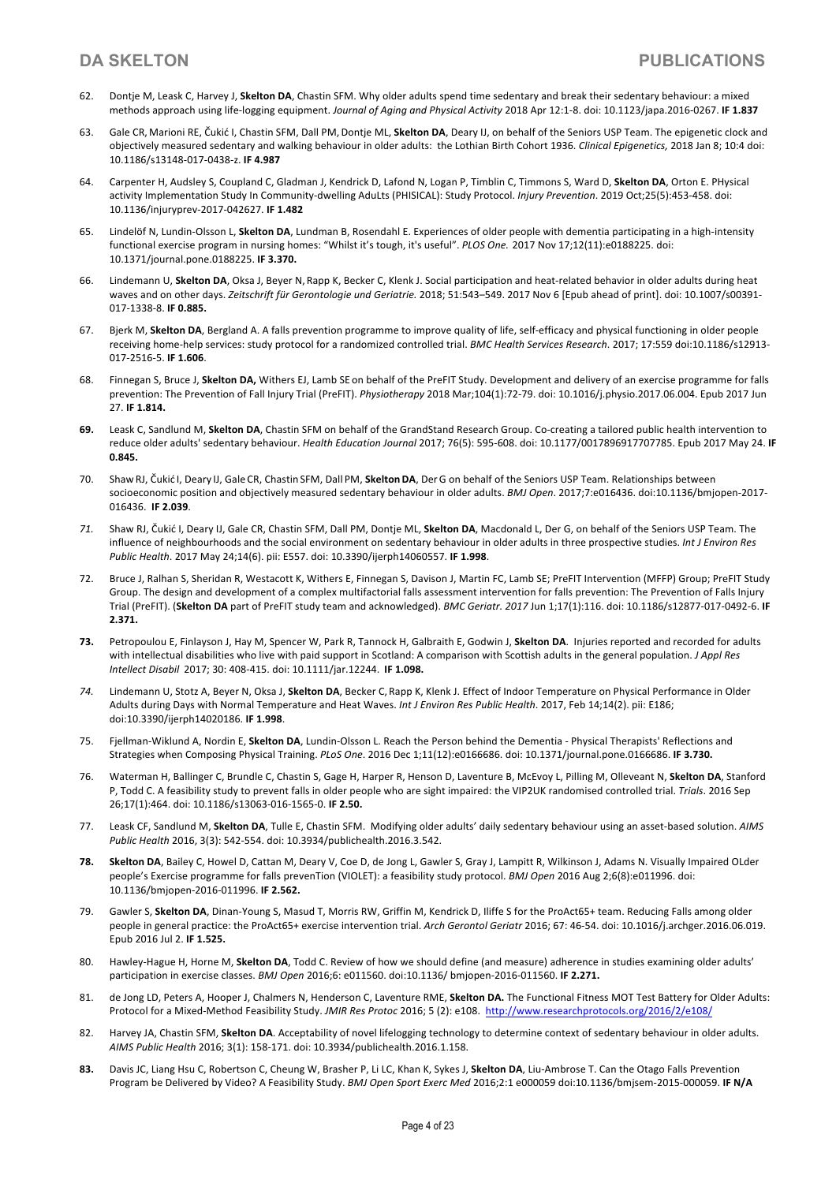- 62. Dontje M, Leask C, Harvey J, **Skelton DA**, Chastin SFM. Why older adults spend time sedentary and break their sedentary behaviour: a mixed methods approach using life-logging equipment. *Journal of Aging and Physical Activity* 2018 Apr 12:1-8. doi: 10.1123/japa.2016-0267. **IF 1.837**
- 63. Gale CR, Marioni RE, Čukić I, Chastin SFM, Dall PM,Dontje ML, **Skelton DA**, Deary IJ, on behalf of the Seniors USP Team. The epigenetic clock and objectively measured sedentary and walking behaviour in older adults: the Lothian Birth Cohort 1936. *Clinical Epigenetics,* 2018 Jan 8; 10:4 doi: 10.1186/s13148-017-0438-z. **IF 4.987**
- 64. Carpenter H, Audsley S, Coupland C, Gladman J, Kendrick D, Lafond N, Logan P, Timblin C, Timmons S, Ward D, **Skelton DA**, Orton E. PHysical activity Implementation Study In Community-dwelling AduLts (PHISICAL): Study Protocol. *Injury Prevention*. 2019 Oct;25(5):453-458. doi: 10.1136/injuryprev-2017-042627. **IF 1.482**
- 65. Lindelöf N, Lundin-Olsson L, **Skelton DA**, Lundman B, Rosendahl E. Experiences of older people with dementia participating in a high-intensity functional exercise program in nursing homes: "Whilst it's tough, it's useful". *PLOS One.* 2017 Nov 17;12(11):e0188225. doi: 10.1371/journal.pone.0188225. **IF 3.370.**
- 66. Lindemann U, **Skelton DA**, Oksa J, Beyer N, Rapp K, Becker C, Klenk J. Social participation and heat-related behavior in older adults during heat waves and on other days. *Zeitschrift für Gerontologie und Geriatrie.* 2018; 51:543–549. 2017 Nov 6 [Epub ahead of print]. doi: 10.1007/s00391- 017-1338-8. **IF 0.885.**
- 67. Bjerk M, **Skelton DA**, Bergland A. A falls prevention programme to improve quality of life, self-efficacy and physical functioning in older people receiving home-help services: study protocol for a randomized controlled trial. *BMC Health Services Research*. 2017; 17:559 doi:10.1186/s12913- 017-2516-5. **IF 1.606**.
- 68. Finnegan S, Bruce J, **Skelton DA,** Withers EJ, Lamb SE on behalf of the PreFIT Study. Development and delivery of an exercise programme for falls prevention: The Prevention of Fall Injury Trial (PreFIT). *Physiotherapy* 2018 Mar;104(1):72-79. doi: 10.1016/j.physio.2017.06.004. Epub 2017 Jun 27. **IF 1.814.**
- **69.** Leask C, Sandlund M, **Skelton DA**, Chastin SFM on behalf of the GrandStand Research Group. Co-creating a tailored public health intervention to reduce older adults' sedentary behaviour. *Health Education Journal* 2017; 76(5): 595-608. doi: 10.1177/0017896917707785. Epub 2017 May 24. **IF 0.845.**
- 70. Shaw RJ, Čukić I, Deary IJ, Gale CR, Chastin SFM, Dall PM, **SkeltonDA**, DerG on behalf of the Seniors USP Team. Relationships between socioeconomic position and objectively measured sedentary behaviour in older adults. *BMJ Open*. 2017;7:e016436. doi:10.1136/bmjopen-2017- 016436. **IF 2.039**.
- *71.* Shaw RJ, Čukić I, Deary IJ, Gale CR, Chastin SFM, Dall PM, Dontje ML, **Skelton DA**, Macdonald L, Der G, on behalf of the Seniors USP Team. The influence of neighbourhoods and the social environment on sedentary behaviour in older adults in three prospective studies. *Int J Environ Res Public Health*. 2017 May 24;14(6). pii: E557. doi: 10.3390/ijerph14060557. **IF 1.998**.
- 72. Bruce J, Ralhan S, Sheridan R, Westacott K, Withers E, Finnegan S, Davison J, Martin FC, Lamb SE; PreFIT Intervention (MFFP) Group; PreFIT Study Group. The design and development of a complex multifactorial falls assessment intervention for falls prevention: The Prevention of Falls Injury Trial (PreFIT). (**Skelton DA** part of PreFIT study team and acknowledged). *BMC Geriatr. 2017* Jun 1;17(1):116. doi: 10.1186/s12877-017-0492-6. **IF 2.371.**
- **73.** Petropoulou E, Finlayson J, Hay M, Spencer W, Park R, Tannock H, Galbraith E, Godwin J, **Skelton DA**. Injuries reported and recorded for adults with intellectual disabilities who live with paid support in Scotland: A comparison with Scottish adults in the general population. *J Appl Res Intellect Disabil* 2017; 30: 408-415. doi: 10.1111/jar.12244. **IF 1.098.**
- *74.* Lindemann U, Stotz A, Beyer N, Oksa J, **Skelton DA**, Becker C, Rapp K, Klenk J. Effect of Indoor Temperature on Physical Performance in Older Adults during Days with Normal Temperature and Heat Waves. *Int J Environ Res Public Health*. 2017, Feb 14;14(2). pii: E186; doi:10.3390/ijerph14020186. **IF 1.998**.
- 75. Fjellman-Wiklund A, Nordin E, **Skelton DA**, Lundin-Olsson L. Reach the Person behind the Dementia Physical Therapists' Reflections and Strategies when Composing Physical Training. *PLoS One*. 2016 Dec 1;11(12):e0166686. doi: 10.1371/journal.pone.0166686. **IF 3.730.**
- 76. Waterman H, Ballinger C, Brundle C, Chastin S, Gage H, Harper R, Henson D, Laventure B, McEvoy L, Pilling M, Olleveant N, **Skelton DA**, Stanford P, Todd C. A feasibility study to prevent falls in older people who are sight impaired: the VIP2UK randomised controlled trial. *Trials*. 2016 Sep 26;17(1):464. doi: 10.1186/s13063-016-1565-0. **IF 2.50.**
- 77. Leask CF, Sandlund M, **Skelton DA**, Tulle E, Chastin SFM. Modifying older adults' daily sedentary behaviour using an asset-based solution. *AIMS Public Health* 2016, 3(3): 542-554. doi: 10.3934/publichealth.2016.3.542.
- **78. Skelton DA**, Bailey C, Howel D, Cattan M, Deary V, Coe D, de Jong L, Gawler S, Gray J, Lampitt R, Wilkinson J, Adams N. Visually Impaired OLder people's Exercise programme for falls prevenTion (VIOLET): a feasibility study protocol. *BMJ Open* 2016 Aug 2;6(8):e011996. doi: 10.1136/bmjopen-2016-011996. **IF 2.562.**
- 79. Gawler S, **Skelton DA**, Dinan-Young S, Masud T, Morris RW, Griffin M, Kendrick D, Iliffe S for the ProAct65+ team. Reducing Falls among older people in general practice: the ProAct65+ exercise intervention trial. *Arch Gerontol Geriatr* 2016; 67: 46-54. doi: 10.1016/j.archger.2016.06.019. Epub 2016 Jul 2. **IF 1.525.**
- 80. Hawley-Hague H, Horne M, **Skelton DA**, Todd C. Review of how we should define (and measure) adherence in studies examining older adults' participation in exercise classes. *BMJ Open* 2016;6: e011560. doi:10.1136/ bmjopen-2016-011560. **IF 2.271.**
- 81. de Jong LD, Peters A, Hooper J, Chalmers N, Henderson C, Laventure RME, **Skelton DA.** The Functional Fitness MOT Test Battery for Older Adults: Protocol for a Mixed-Method Feasibility Study. *JMIR Res Protoc* 2016; 5 (2): e108. http://www.researchprotocols.org/2016/2/e108/
- 82. Harvey JA, Chastin SFM, Skelton DA. Acceptability of novel lifelogging technology to determine context of sedentary behaviour in older adults. *AIMS Public Health* 2016; 3(1): 158-171. doi: 10.3934/publichealth.2016.1.158.
- **83.** Davis JC, Liang Hsu C, Robertson C, Cheung W, Brasher P, Li LC, Khan K, Sykes J, **Skelton DA**, Liu-Ambrose T. Can the Otago Falls Prevention Program be Delivered by Video? A Feasibility Study. *BMJ Open Sport Exerc Med* 2016;2:1 e000059 doi:10.1136/bmjsem-2015-000059. **IF N/A**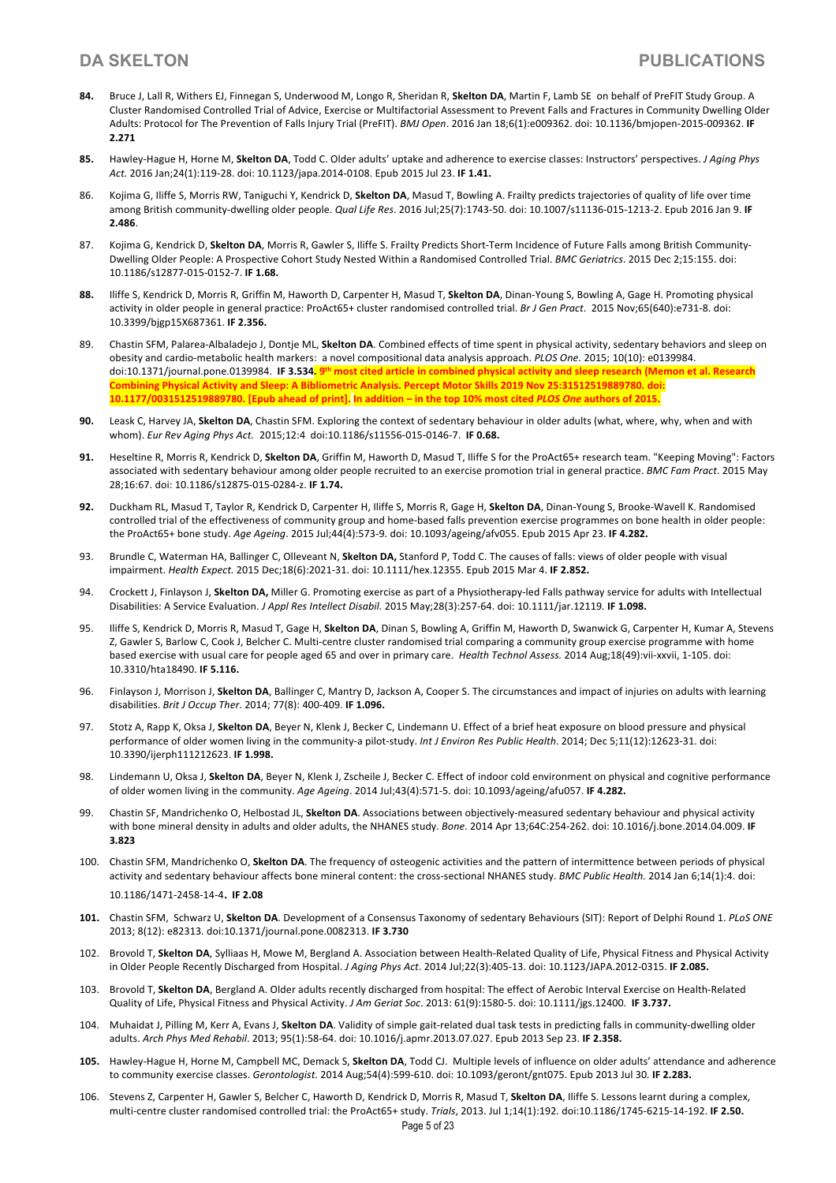- **84.** Bruce J, Lall R, Withers EJ, Finnegan S, Underwood M, Longo R, Sheridan R, **Skelton DA**, Martin F, Lamb SE on behalf of PreFIT Study Group. A Cluster Randomised Controlled Trial of Advice, Exercise or Multifactorial Assessment to Prevent Falls and Fractures in Community Dwelling Older Adults: Protocol for The Prevention of Falls Injury Trial (PreFIT). *BMJ Open*. 2016 Jan 18;6(1):e009362. doi: 10.1136/bmjopen-2015-009362. **IF 2.271**
- **85.** Hawley-Hague H, Horne M, **Skelton DA**, Todd C. Older adults' uptake and adherence to exercise classes: Instructors' perspectives. *J Aging Phys Act.* 2016 Jan;24(1):119-28. doi: 10.1123/japa.2014-0108. Epub 2015 Jul 23. **IF 1.41.**
- 86. Kojima G, Iliffe S, Morris RW, Taniguchi Y, Kendrick D, **Skelton DA**, Masud T, Bowling A. Frailty predicts trajectories of quality of life over time among British community-dwelling older people. *Qual Life Res*. 2016 Jul;25(7):1743-50. doi: 10.1007/s11136-015-1213-2. Epub 2016 Jan 9. **IF 2.486**.
- 87. Kojima G, Kendrick D, **Skelton DA**, Morris R, Gawler S, Iliffe S. Frailty Predicts Short-Term Incidence of Future Falls among British Community-Dwelling Older People: A Prospective Cohort Study Nested Within a Randomised Controlled Trial. *BMC Geriatrics*. 2015 Dec 2;15:155. doi: 10.1186/s12877-015-0152-7. **IF 1.68.**
- **88.** Iliffe S, Kendrick D, Morris R, Griffin M, Haworth D, Carpenter H, Masud T, **Skelton DA**, Dinan-Young S, Bowling A, Gage H. Promoting physical activity in older people in general practice: ProAct65+ cluster randomised controlled trial. *Br J Gen Pract*. 2015 Nov;65(640):e731-8. doi: 10.3399/bjgp15X687361. **IF 2.356.**
- 89. Chastin SFM, Palarea-Albaladejo J, Dontje ML, **Skelton DA**. Combined effects of time spent in physical activity, sedentary behaviors and sleep on obesity and cardio-metabolic health markers: a novel compositional data analysis approach. *PLOS One*. 2015; 10(10): e0139984. doi:10.1371/journal.pone.0139984. **IF 3.534. 9th most cited article in combined physical activity and sleep research (Memon et al. Research Combining Physical Activity and Sleep: A Bibliometric Analysis. Percept Motor Skills 2019 Nov 25:31512519889780. doi: 10.1177/0031512519889780. [Epub ahead of print]. In addition – in the top 10% most cited** *PLOS One* **authors of 2015.**
- **90.** Leask C, Harvey JA, **Skelton DA**, Chastin SFM. Exploring the context of sedentary behaviour in older adults (what, where, why, when and with whom). *Eur Rev Aging Phys Act.* 2015;12:4 doi:10.1186/s11556-015-0146-7. **IF 0.68.**
- **91.** Heseltine R, Morris R, Kendrick D, **Skelton DA**, Griffin M, Haworth D, Masud T, Iliffe S for the ProAct65+ research team. "Keeping Moving": Factors associated with sedentary behaviour among older people recruited to an exercise promotion trial in general practice. *BMC Fam Pract*. 2015 May 28;16:67. doi: 10.1186/s12875-015-0284-z. **IF 1.74.**
- **92.** Duckham RL, Masud T, Taylor R, Kendrick D, Carpenter H, Iliffe S, Morris R, Gage H, **Skelton DA**, Dinan-Young S, Brooke-Wavell K. Randomised controlled trial of the effectiveness of community group and home-based falls prevention exercise programmes on bone health in older people: the ProAct65+ bone study. *Age Ageing*. 2015 Jul;44(4):573-9. doi: 10.1093/ageing/afv055. Epub 2015 Apr 23. **IF 4.282.**
- 93. Brundle C, Waterman HA, Ballinger C, Olleveant N, **Skelton DA,** Stanford P, Todd C. The causes of falls: views of older people with visual impairment. *Health Expect.* 2015 Dec;18(6):2021-31. doi: 10.1111/hex.12355. Epub 2015 Mar 4. **IF 2.852.**
- 94. Crockett J, Finlayson J, **Skelton DA,** Miller G. Promoting exercise as part of a Physiotherapy-led Falls pathway service for adults with Intellectual Disabilities: A Service Evaluation. *J Appl Res Intellect Disabil.* 2015 May;28(3):257-64. doi: 10.1111/jar.12119*.* **IF 1.098.**
- 95. Iliffe S, Kendrick D, Morris R, Masud T, Gage H, **Skelton DA**, Dinan S, Bowling A, Griffin M, Haworth D, Swanwick G, Carpenter H, Kumar A, Stevens Z, Gawler S, Barlow C, Cook J, Belcher C. Multi-centre cluster randomised trial comparing a community group exercise programme with home based exercise with usual care for people aged 65 and over in primary care. *Health Technol Assess.* 2014 Aug;18(49):vii-xxvii, 1-105. doi: 10.3310/hta18490. **IF 5.116.**
- 96. Finlayson J, Morrison J, **Skelton DA**, Ballinger C, Mantry D, Jackson A, Cooper S. The circumstances and impact of injuries on adults with learning disabilities. *Brit J Occup Ther*. 2014; 77(8): 400-409. **IF 1.096.**
- 97. Stotz A, Rapp K, Oksa J, **Skelton DA**, Beyer N, Klenk J, Becker C, Lindemann U. Effect of a brief heat exposure on blood pressure and physical performance of older women living in the community-a pilot-study. *Int J Environ Res Public Health*. 2014; Dec 5;11(12):12623-31. doi: 10.3390/ijerph111212623. **IF 1.998.**
- 98. Lindemann U, Oksa J, **Skelton DA**, Beyer N, Klenk J, Zscheile J, Becker C. Effect of indoor cold environment on physical and cognitive performance of older women living in the community. *Age Ageing*. 2014 Jul;43(4):571-5. doi: 10.1093/ageing/afu057. **IF 4.282.**
- 99. Chastin SF, Mandrichenko O, Helbostad JL, **Skelton DA**. Associations between objectively-measured sedentary behaviour and physical activity with bone mineral density in adults and older adults, the NHANES study. *Bone*. 2014 Apr 13;64C:254-262. doi: 10.1016/j.bone.2014.04.009. **IF 3.823**
- 100. Chastin SFM, Mandrichenko O, **Skelton DA**. The frequency of osteogenic activities and the pattern of intermittence between periods of physical activity and sedentary behaviour affects bone mineral content: the cross-sectional NHANES study. *BMC Public Health.* 2014 Jan 6;14(1):4. doi: 10.1186/1471-2458-14-4. **IF 2.08**
- **101.** Chastin SFM, Schwarz U, **Skelton DA**. Development of a Consensus Taxonomy of sedentary Behaviours (SIT): Report of Delphi Round 1. *PLoS ONE* 2013; 8(12): e82313. doi:10.1371/journal.pone.0082313. **IF 3.730**
- 102. Brovold T, **Skelton DA**, Sylliaas H, Mowe M, Bergland A. Association between Health-Related Quality of Life, Physical Fitness and Physical Activity in Older People Recently Discharged from Hospital. *J Aging Phys Act*. 2014 Jul;22(3):405-13. doi: 10.1123/JAPA.2012-0315. **IF 2.085.**
- 103. Brovold T, **Skelton DA**, Bergland A. Older adults recently discharged from hospital: The effect of Aerobic Interval Exercise on Health-Related Quality of Life, Physical Fitness and Physical Activity. *J Am Geriat Soc*. 2013: 61(9):1580-5. doi: 10.1111/jgs.12400. **IF 3.737.**
- 104. Muhaidat J, Pilling M, Kerr A, Evans J, **Skelton DA**. Validity of simple gait-related dual task tests in predicting falls in community-dwelling older adults. *Arch Phys Med Rehabil*. 2013; 95(1):58-64. doi: 10.1016/j.apmr.2013.07.027. Epub 2013 Sep 23. **IF 2.358.**
- **105.** Hawley-Hague H, Horne M, Campbell MC, Demack S, **Skelton DA**, Todd CJ. Multiple levels of influence on older adults' attendance and adherence to community exercise classes. *Gerontologist.* 2014 Aug;54(4):599-610. doi: 10.1093/geront/gnt075. Epub 2013 Jul 30*.* **IF 2.283.**
- 106. Stevens Z, Carpenter H, Gawler S, Belcher C, Haworth D, Kendrick D, Morris R, Masud T, **Skelton DA**, Iliffe S. Lessons learnt during a complex, multi-centre cluster randomised controlled trial: the ProAct65+ study. *Trials*, 2013. Jul 1;14(1):192. doi:10.1186/1745-6215-14-192. **IF 2.50.**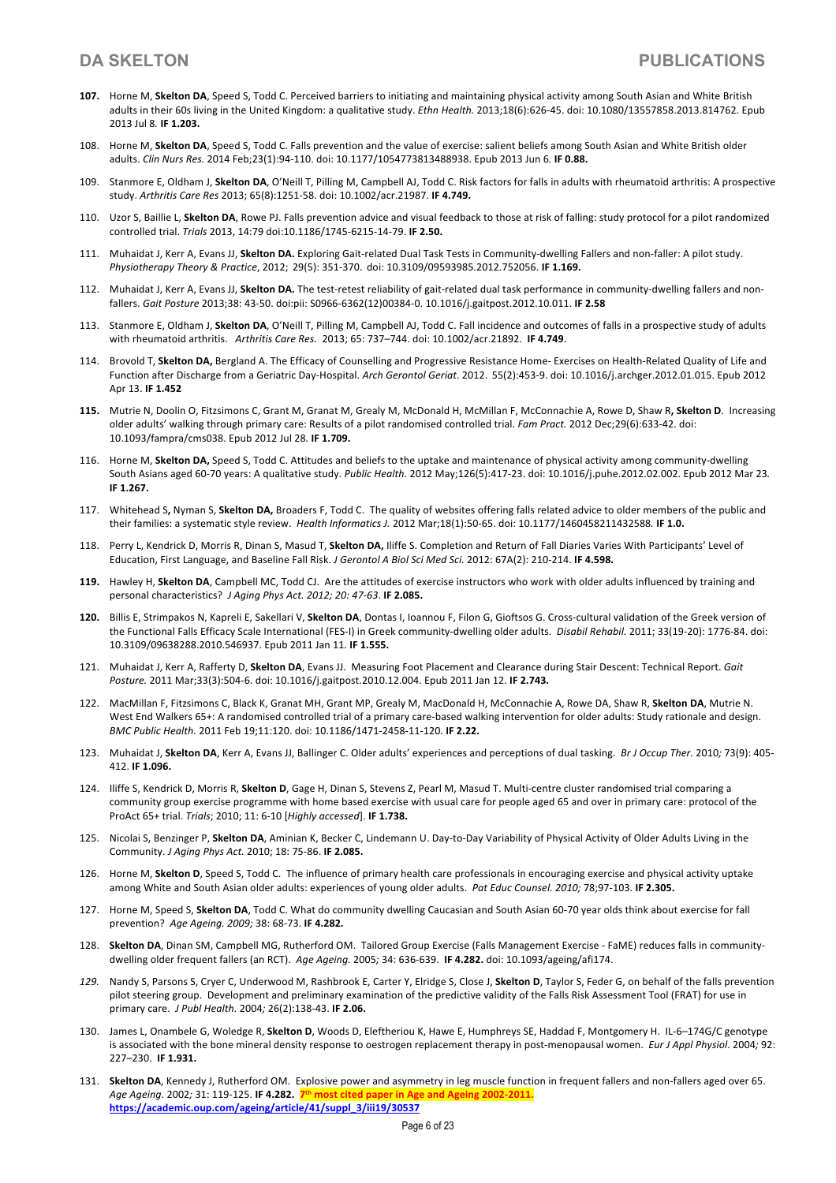- **107.** Horne M, **Skelton DA**, Speed S, Todd C. Perceived barriers to initiating and maintaining physical activity among South Asian and White British adults in their 60s living in the United Kingdom: a qualitative study. *Ethn Health.* 2013;18(6):626-45. doi: 10.1080/13557858.2013.814762*.* Epub 2013 Jul 8*.* **IF 1.203.**
- 108. Horne M, **Skelton DA**, Speed S, Todd C. Falls prevention and the value of exercise: salient beliefs among South Asian and White British older adults. *Clin Nurs Res.* 2014 Feb;23(1):94-110. doi: 10.1177/1054773813488938. Epub 2013 Jun 6*.* **IF 0.88.**
- 109. Stanmore E, Oldham J, **Skelton DA**, O'Neill T, Pilling M, Campbell AJ, Todd C. Risk factors for falls in adults with rheumatoid arthritis: A prospective study. *Arthritis Care Res* 2013; 65(8):1251-58. doi: 10.1002/acr.21987. **IF 4.749.**
- 110. Uzor S, Baillie L, **Skelton DA**, Rowe PJ. Falls prevention advice and visual feedback to those at risk of falling: study protocol for a pilot randomized controlled trial. *Trials* 2013, 14:79 doi:10.1186/1745-6215-14-79. **IF 2.50.**
- 111. Muhaidat J, Kerr A, Evans JJ, **Skelton DA.** Exploring Gait-related Dual Task Tests in Community-dwelling Fallers and non-faller: A pilot study. *Physiotherapy Theory & Practice*, 2012; 29(5): 351-370. doi: 10.3109/09593985.2012.752056. **IF 1.169.**
- 112. Muhaidat J, Kerr A, Evans JJ, **Skelton DA.** The test-retest reliability of gait-related dual task performance in community-dwelling fallers and nonfallers. *Gait Posture* 2013;38: 43-50. doi:pii: S0966-6362(12)00384-0. 10.1016/j.gaitpost.2012.10.011. **IF 2.58**
- 113. Stanmore E, Oldham J, **Skelton DA**, O'Neill T, Pilling M, Campbell AJ, Todd C. Fall incidence and outcomes of falls in a prospective study of adults with rheumatoid arthritis. *Arthritis Care Res.* 2013; 65: 737–744. doi: 10.1002/acr.21892. **IF 4.749**.
- 114. Brovold T, **Skelton DA,** Bergland A. The Efficacy of Counselling and Progressive Resistance Home- Exercises on Health-Related Quality of Life and Function after Discharge from a Geriatric Day-Hospital. *Arch Gerontol Geriat*. 2012. 55(2):453-9. doi: 10.1016/j.archger.2012.01.015. Epub 2012 Apr 13. **IF 1.452**
- **115.** Mutrie N, Doolin O, Fitzsimons C, Grant M, Granat M, Grealy M, McDonald H, McMillan F, McConnachie A, Rowe D, Shaw R**, Skelton D**. Increasing older adults' walking through primary care: Results of a pilot randomised controlled trial. *Fam Pract.* 2012 Dec;29(6):633-42. doi: 10.1093/fampra/cms038. Epub 2012 Jul 28*.* **IF 1.709.**
- 116. Horne M, **Skelton DA,** Speed S, Todd C. Attitudes and beliefs to the uptake and maintenance of physical activity among community-dwelling South Asians aged 60-70 years: A qualitative study. *Public Health.* 2012 May;126(5):417-23. doi: 10.1016/j.puhe.2012.02.002. Epub 2012 Mar 23*.* **IF 1.267.**
- 117. Whitehead S**,** Nyman S, **Skelton DA,** Broaders F, Todd C. The quality of websites offering falls related advice to older members of the public and their families: a systematic style review. *Health Informatics J.* 2012 Mar;18(1):50-65. doi: 10.1177/1460458211432588*.* **IF 1.0.**
- 118. Perry L, Kendrick D, Morris R, Dinan S, Masud T, **Skelton DA,** Iliffe S. Completion and Return of Fall Diaries Varies With Participants' Level of Education, First Language, and Baseline Fall Risk. *J Gerontol A Biol Sci Med Sci.* 2012: 67A(2): 210-214. **IF 4.598.**
- **119.** Hawley H, **Skelton DA**, Campbell MC, Todd CJ. Are the attitudes of exercise instructors who work with older adults influenced by training and personal characteristics? *J Aging Phys Act. 2012; 20: 47-63*. **IF 2.085.**
- **120.** Billis E, Strimpakos N, Kapreli E, Sakellari V, **Skelton DA**, Dontas I, Ioannou F, Filon G, Gioftsos G. Cross-cultural validation of the Greek version of the Functional Falls Efficacy Scale International (FES-I) in Greek community-dwelling older adults. *Disabil Rehabil.* 2011; 33(19-20): 1776-84. doi: 10.3109/09638288.2010.546937. Epub 2011 Jan 11*.* **IF 1.555.**
- 121. Muhaidat J, Kerr A, Rafferty D, **Skelton DA**, Evans JJ. Measuring Foot Placement and Clearance during Stair Descent: Technical Report. *Gait Posture.* 2011 Mar;33(3):504-6. doi: 10.1016/j.gaitpost.2010.12.004. Epub 2011 Jan 12. **IF 2.743.**
- 122. MacMillan F, Fitzsimons C, Black K, Granat MH, Grant MP, Grealy M, MacDonald H, McConnachie A, Rowe DA, Shaw R, **Skelton DA**, Mutrie N. West End Walkers 65+: A randomised controlled trial of a primary care-based walking intervention for older adults: Study rationale and design. *BMC Public Health.* 2011 Feb 19;11:120. doi: 10.1186/1471-2458-11-120*.* **IF 2.22.**
- 123. Muhaidat J, **Skelton DA**, Kerr A, Evans JJ, Ballinger C. Older adults' experiences and perceptions of dual tasking. *Br J Occup Ther.* 2010*;* 73(9): 405- 412. **IF 1.096.**
- 124. Iliffe S, Kendrick D, Morris R, **Skelton D**, Gage H, Dinan S, Stevens Z, Pearl M, Masud T. Multi-centre cluster randomised trial comparing a community group exercise programme with home based exercise with usual care for people aged 65 and over in primary care: protocol of the ProAct 65+ trial. *Trials*; 2010; 11: 6-10 [*Highly accessed*]. **IF 1.738.**
- 125. Nicolai S, Benzinger P, **Skelton DA**, Aminian K, Becker C, Lindemann U. Day-to-Day Variability of Physical Activity of Older Adults Living in the Community. *J Aging Phys Act.* 2010; 18: 75-86. **IF 2.085.**
- 126. Horne M, **Skelton D**, Speed S, Todd C. The influence of primary health care professionals in encouraging exercise and physical activity uptake among White and South Asian older adults: experiences of young older adults. *Pat Educ Counsel. 2010;* 78;97-103. **IF 2.305.**
- 127. Horne M, Speed S, **Skelton DA**, Todd C. What do community dwelling Caucasian and South Asian 60-70 year olds think about exercise for fall prevention? *Age Ageing. 2009;* 38: 68-73. **IF 4.282.**
- 128. **Skelton DA**, Dinan SM, Campbell MG, Rutherford OM. Tailored Group Exercise (Falls Management Exercise FaME) reduces falls in communitydwelling older frequent fallers (an RCT). *Age Ageing.* 2005*;* 34: 636-639. **IF 4.282.** doi: 10.1093/ageing/afi174.
- *129.* Nandy S, Parsons S, Cryer C, Underwood M, Rashbrook E, Carter Y, Elridge S, Close J, **Skelton D**, Taylor S, Feder G, on behalf of the falls prevention pilot steering group. Development and preliminary examination of the predictive validity of the Falls Risk Assessment Tool (FRAT) for use in primary care. *J Publ Health.* 2004*;* 26(2):138-43. **IF 2.06.**
- 130. James L, Onambele G, Woledge R, **Skelton D**, Woods D, Eleftheriou K, Hawe E, Humphreys SE, Haddad F, Montgomery H. IL-6–174G/C genotype is associated with the bone mineral density response to oestrogen replacement therapy in post-menopausal women. *Eur J Appl Physiol*. 2004*;* 92: 227–230. **IF 1.931.**
- 131. **Skelton DA**, Kennedy J, Rutherford OM. Explosive power and asymmetry in leg muscle function in frequent fallers and non-fallers aged over 65. *Age Ageing.* 2002*;* 31: 119-125. **IF 4.282. 7th most cited paper in Age and Ageing 2002-2011. https://academic.oup.com/ageing/article/41/suppl\_3/iii19/30537**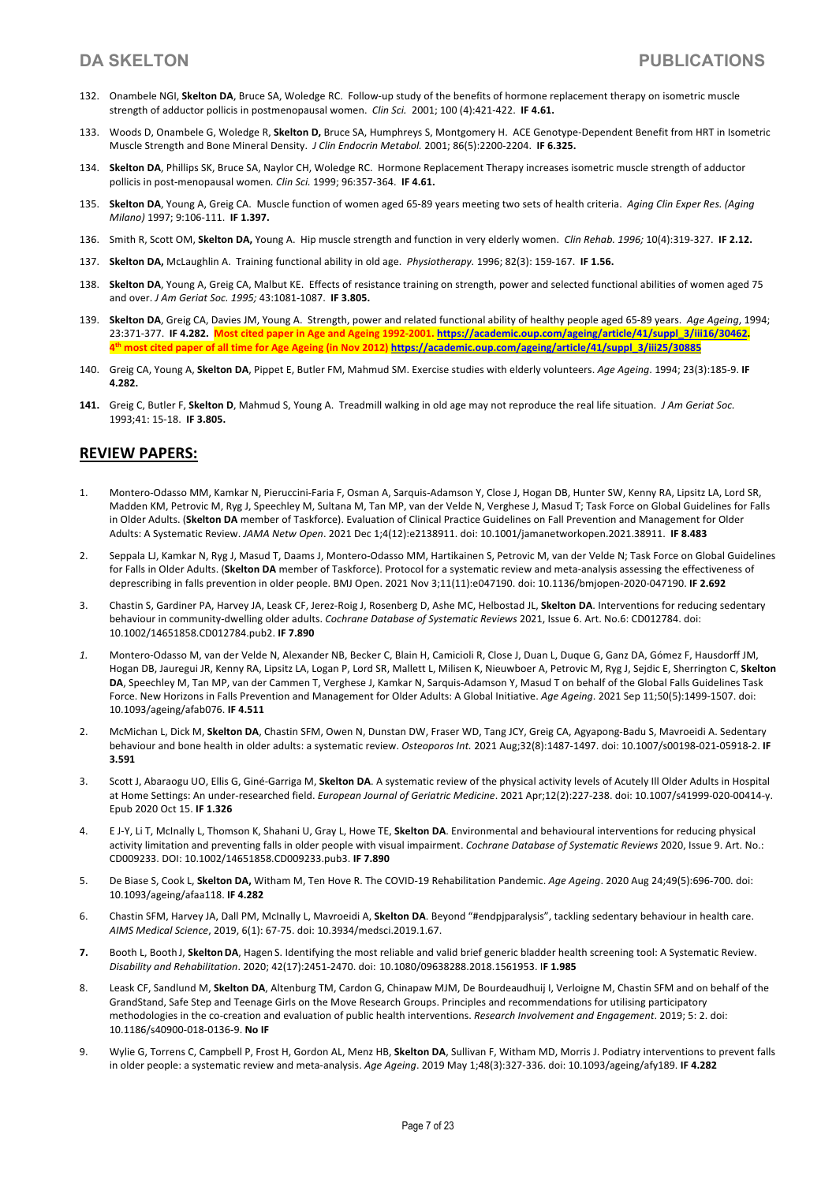- 132. Onambele NGI, **Skelton DA**, Bruce SA, Woledge RC. Follow-up study of the benefits of hormone replacement therapy on isometric muscle strength of adductor pollicis in postmenopausal women. *Clin Sci.* 2001; 100 (4):421-422. **IF 4.61.**
- 133. Woods D, Onambele G, Woledge R, **Skelton D,** Bruce SA, Humphreys S, Montgomery H. ACE Genotype-Dependent Benefit from HRT in Isometric Muscle Strength and Bone Mineral Density. *J Clin Endocrin Metabol.* 2001; 86(5):2200-2204. **IF 6.325.**
- 134. **Skelton DA**, Phillips SK, Bruce SA, Naylor CH, Woledge RC. Hormone Replacement Therapy increases isometric muscle strength of adductor pollicis in post-menopausal women*. Clin Sci.* 1999; 96:357-364. **IF 4.61.**
- 135. **Skelton DA**, Young A, Greig CA. Muscle function of women aged 65-89 years meeting two sets of health criteria. *Aging Clin Exper Res. (Aging Milano)* 1997; 9:106-111. **IF 1.397.**
- 136. Smith R, Scott OM, **Skelton DA,** Young A. Hip muscle strength and function in very elderly women. *Clin Rehab. 1996;* 10(4):319-327. **IF 2.12.**
- 137. **Skelton DA,** McLaughlin A. Training functional ability in old age. *Physiotherapy.* 1996; 82(3): 159-167. **IF 1.56.**
- 138. **Skelton DA**, Young A, Greig CA, Malbut KE. Effects of resistance training on strength, power and selected functional abilities of women aged 75 and over. *J Am Geriat Soc. 1995;* 43:1081-1087. **IF 3.805.**
- 139. **Skelton DA**, Greig CA, Davies JM, Young A. Strength, power and related functional ability of healthy people aged 65-89 years. *Age Ageing*, 1994; 23:371-377. **IF 4.282. Most cited paper in Age and Ageing 1992-2001. https://academic.oup.com/ageing/article/41/suppl\_3/iii16/30462. 4th most cited paper of all time for Age Ageing (in Nov 2012) https://academic.oup.com/ageing/article/41/suppl\_3/iii25/30885**
- 140. Greig CA, Young A, **Skelton DA**, Pippet E, Butler FM, Mahmud SM. Exercise studies with elderly volunteers. *Age Ageing*. 1994; 23(3):185-9. **IF 4.282.**
- **141.** Greig C, Butler F, **Skelton D**, Mahmud S, Young A. Treadmill walking in old age may not reproduce the real life situation. *J Am Geriat Soc.* 1993;41: 15-18. **IF 3.805.**

## **REVIEW PAPERS:**

- 1. Montero-Odasso MM, Kamkar N, Pieruccini-Faria F, Osman A, Sarquis-Adamson Y, Close J, Hogan DB, Hunter SW, Kenny RA, Lipsitz LA, Lord SR, Madden KM, Petrovic M, Ryg J, Speechley M, Sultana M, Tan MP, van der Velde N, Verghese J, Masud T; Task Force on Global Guidelines for Falls in Older Adults. (**Skelton DA** member of Taskforce). Evaluation of Clinical Practice Guidelines on Fall Prevention and Management for Older Adults: A Systematic Review. *JAMA Netw Open*. 2021 Dec 1;4(12):e2138911. doi: 10.1001/jamanetworkopen.2021.38911. **IF 8.483**
- 2. Seppala LJ, Kamkar N, Ryg J, Masud T, Daams J, Montero-Odasso MM, Hartikainen S, Petrovic M, van der Velde N; Task Force on Global Guidelines for Falls in Older Adults. (**Skelton DA** member of Taskforce). Protocol for a systematic review and meta-analysis assessing the effectiveness of deprescribing in falls prevention in older people. BMJ Open. 2021 Nov 3;11(11):e047190. doi: 10.1136/bmjopen-2020-047190. **IF 2.692**
- 3. Chastin S, Gardiner PA, Harvey JA, Leask CF, Jerez-Roig J, Rosenberg D, Ashe MC, Helbostad JL, **Skelton DA**. Interventions for reducing sedentary behaviour in community-dwelling older adults. *Cochrane Database of Systematic Reviews* 2021, Issue 6. Art. No.6: CD012784. doi: 10.1002/14651858.CD012784.pub2. **IF 7.890**
- *1.* Montero-Odasso M, van der Velde N, Alexander NB, Becker C, Blain H, Camicioli R, Close J, Duan L, Duque G, Ganz DA, Gómez F, Hausdorff JM, Hogan DB, Jauregui JR, Kenny RA, Lipsitz LA, Logan P, Lord SR, Mallett L, Milisen K, Nieuwboer A, Petrovic M, Ryg J, Sejdic E, Sherrington C, **Skelton DA**, Speechley M, Tan MP, van der Cammen T, Verghese J, Kamkar N, Sarquis-Adamson Y, Masud T on behalf of the Global Falls Guidelines Task Force. New Horizons in Falls Prevention and Management for Older Adults: A Global Initiative. *Age Ageing*. 2021 Sep 11;50(5):1499-1507. doi: 10.1093/ageing/afab076. **IF 4.511**
- 2. McMichan L, Dick M, **Skelton DA**, Chastin SFM, Owen N, Dunstan DW, Fraser WD, Tang JCY, Greig CA, Agyapong-Badu S, Mavroeidi A. Sedentary behaviour and bone health in older adults: a systematic review. *Osteoporos Int.* 2021 Aug;32(8):1487-1497. doi: 10.1007/s00198-021-05918-2. **IF 3.591**
- 3. Scott J, Abaraogu UO, Ellis G, Giné-Garriga M, **Skelton DA**. A systematic review of the physical activity levels of Acutely Ill Older Adults in Hospital at Home Settings: An under-researched field. *European Journal of Geriatric Medicine*. 2021 Apr;12(2):227-238. doi: 10.1007/s41999-020-00414-y. Epub 2020 Oct 15. **IF 1.326**
- 4. E J-Y, Li T, McInally L, Thomson K, Shahani U, Gray L, Howe TE, **Skelton DA**. Environmental and behavioural interventions for reducing physical activity limitation and preventing falls in older people with visual impairment. *Cochrane Database of Systematic Reviews* 2020, Issue 9. Art. No.: CD009233. DOI: 10.1002/14651858.CD009233.pub3. **IF 7.890**
- 5. De Biase S, Cook L, **Skelton DA,** Witham M, Ten Hove R. The COVID-19 Rehabilitation Pandemic. *Age Ageing*. 2020 Aug 24;49(5):696-700. doi: 10.1093/ageing/afaa118. **IF 4.282**
- 6. Chastin SFM, Harvey JA, Dall PM, McInally L, Mavroeidi A, **Skelton DA**. Beyond "#endpjparalysis", tackling sedentary behaviour in health care. *AIMS Medical Science*, 2019, 6(1): 67-75. doi: 10.3934/medsci.2019.1.67.
- **7.** Booth L, Booth J, **SkeltonDA**, Hagen S. Identifying the most reliable and valid brief generic bladder health screening tool: A Systematic Review. *Disability and Rehabilitation*. 2020; 42(17):2451-2470. doi: 10.1080/09638288.2018.1561953. I**F 1.985**
- 8. Leask CF, Sandlund M, **Skelton DA**, Altenburg TM, Cardon G, Chinapaw MJM, De Bourdeaudhuij I, Verloigne M, Chastin SFM and on behalf of the GrandStand, Safe Step and Teenage Girls on the Move Research Groups. Principles and recommendations for utilising participatory methodologies in the co-creation and evaluation of public health interventions. *Research Involvement and Engagement*. 2019; 5: 2. doi: 10.1186/s40900-018-0136-9. **No IF**
- 9. Wylie G, Torrens C, Campbell P, Frost H, Gordon AL, Menz HB, **Skelton DA**, Sullivan F, Witham MD, Morris J. Podiatry interventions to prevent falls in older people: a systematic review and meta-analysis. *Age Ageing*. 2019 May 1;48(3):327-336. doi: 10.1093/ageing/afy189. **IF 4.282**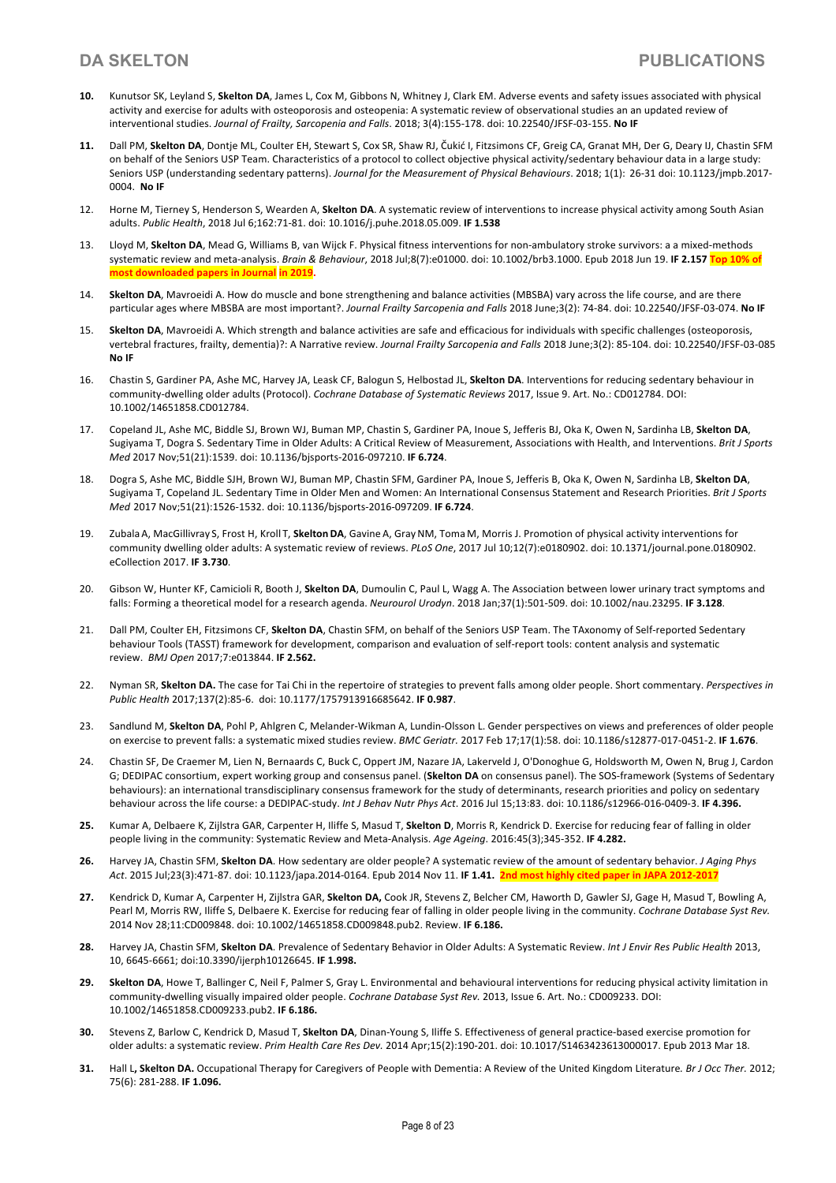- **10.** Kunutsor SK, Leyland S, **Skelton DA**, James L, Cox M, Gibbons N, Whitney J, Clark EM. Adverse events and safety issues associated with physical activity and exercise for adults with osteoporosis and osteopenia: A systematic review of observational studies an an updated review of interventional studies. *Journal of Frailty, Sarcopenia and Falls*. 2018; 3(4):155-178. doi: 10.22540/JFSF-03-155. **No IF**
- **11.** Dall PM, **Skelton DA**, Dontje ML, Coulter EH, Stewart S, Cox SR, Shaw RJ, Čukić I, Fitzsimons CF, Greig CA, Granat MH, Der G, Deary IJ, Chastin SFM on behalf of the Seniors USP Team. Characteristics of a protocol to collect objective physical activity/sedentary behaviour data in a large study: Seniors USP (understanding sedentary patterns). *Journal for the Measurement of Physical Behaviours*. 2018; 1(1): 26-31 doi: 10.1123/jmpb.2017- 0004. **No IF**
- 12. Horne M, Tierney S, Henderson S, Wearden A, **Skelton DA**. A systematic review of interventions to increase physical activity among South Asian adults. *Public Health*, 2018 Jul 6;162:71-81. doi: 10.1016/j.puhe.2018.05.009. **IF 1.538**
- 13. Lloyd M, **Skelton DA**, Mead G, Williams B, van Wijck F. Physical fitness interventions for non-ambulatory stroke survivors: a a mixed-methods systematic review and meta-analysis. *Brain & Behaviour*, 2018 Jul;8(7):e01000. doi: 10.1002/brb3.1000. Epub 2018 Jun 19. **IF 2.157 Top 10% of most downloaded papers in Journal in 2019.**
- 14. **Skelton DA**, Mavroeidi A. How do muscle and bone strengthening and balance activities (MBSBA) vary across the life course, and are there particular ages where MBSBA are most important?. *Journal Frailty Sarcopenia and Falls* 2018 June;3(2): 74-84. doi: 10.22540/JFSF-03-074. **No IF**
- 15. **Skelton DA**, Mavroeidi A. Which strength and balance activities are safe and efficacious for individuals with specific challenges (osteoporosis, vertebral fractures, frailty, dementia)?: A Narrative review. *Journal Frailty Sarcopenia and Falls* 2018 June;3(2): 85-104. doi: 10.22540/JFSF-03-085 **No IF**
- 16. Chastin S, Gardiner PA, Ashe MC, Harvey JA, Leask CF, Balogun S, Helbostad JL, **Skelton DA**. Interventions for reducing sedentary behaviour in community-dwelling older adults (Protocol). *Cochrane Database of Systematic Reviews* 2017, Issue 9. Art. No.: CD012784. DOI: 10.1002/14651858.CD012784.
- 17. Copeland JL, Ashe MC, Biddle SJ, Brown WJ, Buman MP, Chastin S, Gardiner PA, Inoue S, Jefferis BJ, Oka K, Owen N, Sardinha LB, **Skelton DA**, Sugiyama T, Dogra S. Sedentary Time in Older Adults: A Critical Review of Measurement, Associations with Health, and Interventions. *Brit J Sports Med* 2017 Nov;51(21):1539. doi: 10.1136/bjsports-2016-097210. **IF 6.724**.
- 18. Dogra S, Ashe MC, Biddle SJH, Brown WJ, Buman MP, Chastin SFM, Gardiner PA, Inoue S, Jefferis B, Oka K, Owen N, Sardinha LB, **Skelton DA**, Sugiyama T, Copeland JL. Sedentary Time in Older Men and Women: An International Consensus Statement and Research Priorities. *Brit J Sports Med* 2017 Nov;51(21):1526-1532. doi: 10.1136/bjsports-2016-097209. **IF 6.724**.
- 19. Zubala A, MacGillivray S, Frost H, Kroll T, **SkeltonDA**, Gavine A, GrayNM, Toma M, Morris J. Promotion of physical activity interventions for community dwelling older adults: A systematic review of reviews. *PLoS One*, 2017 Jul 10;12(7):e0180902. doi: 10.1371/journal.pone.0180902. eCollection 2017. **IF 3.730**.
- 20. Gibson W, Hunter KF, Camicioli R, Booth J, **Skelton DA**, Dumoulin C, Paul L, Wagg A. The Association between lower urinary tract symptoms and falls: Forming a theoretical model for a research agenda. *Neurourol Urodyn*. 2018 Jan;37(1):501-509. doi: 10.1002/nau.23295. **IF 3.128**.
- 21. Dall PM, Coulter EH, Fitzsimons CF, **Skelton DA**, Chastin SFM, on behalf of the Seniors USP Team. The TAxonomy of Self-reported Sedentary behaviour Tools (TASST) framework for development, comparison and evaluation of self-report tools: content analysis and systematic review. *BMJ Open* 2017;7:e013844. **IF 2.562.**
- 22. Nyman SR, **Skelton DA.** The case for Tai Chi in the repertoire of strategies to prevent falls among older people. Short commentary. *Perspectives in Public Health* 2017;137(2):85-6. doi: 10.1177/1757913916685642. **IF 0.987**.
- 23. Sandlund M, **Skelton DA**, Pohl P, Ahlgren C, Melander-Wikman A, Lundin-Olsson L. Gender perspectives on views and preferences of older people on exercise to prevent falls: a systematic mixed studies review. *BMC Geriatr.* 2017 Feb 17;17(1):58. doi: 10.1186/s12877-017-0451-2. **IF 1.676**.
- 24. Chastin SF, De Craemer M, Lien N, Bernaards C, Buck C, Oppert JM, Nazare JA, Lakerveld J, O'Donoghue G, Holdsworth M, Owen N, Brug J, Cardon G; DEDIPAC consortium, expert working group and consensus panel. (**Skelton DA** on consensus panel). The SOS-framework (Systems of Sedentary behaviours): an international transdisciplinary consensus framework for the study of determinants, research priorities and policy on sedentary behaviour across the life course: a DEDIPAC-study. *Int J Behav Nutr Phys Act*. 2016 Jul 15;13:83. doi: 10.1186/s12966-016-0409-3. **IF 4.396.**
- **25.** Kumar A, Delbaere K, Zijlstra GAR, Carpenter H, Iliffe S, Masud T, **Skelton D**, Morris R, Kendrick D. Exercise for reducing fear of falling in older people living in the community: Systematic Review and Meta-Analysis. *Age Ageing*. 2016:45(3);345-352. **IF 4.282.**
- **26.** Harvey JA, Chastin SFM, **Skelton DA**. How sedentary are older people? A systematic review of the amount of sedentary behavior. *J Aging Phys Act*. 2015 Jul;23(3):471-87. doi: 10.1123/japa.2014-0164. Epub 2014 Nov 11. **IF 1.41. 2nd most highly cited paper in JAPA 2012-2017**
- **27.** Kendrick D, Kumar A, Carpenter H, Zijlstra GAR, **Skelton DA,** Cook JR, Stevens Z, Belcher CM, Haworth D, Gawler SJ, Gage H, Masud T, Bowling A, Pearl M, Morris RW, Iliffe S, Delbaere K. Exercise for reducing fear of falling in older people living in the community. *Cochrane Database Syst Rev.* 2014 Nov 28;11:CD009848. doi: 10.1002/14651858.CD009848.pub2. Review. **IF 6.186.**
- **28.** Harvey JA, Chastin SFM, **Skelton DA**. Prevalence of Sedentary Behavior in Older Adults: A Systematic Review. *Int J Envir Res Public Health* 2013, 10, 6645-6661; doi:10.3390/ijerph10126645. **IF 1.998.**
- **29. Skelton DA**, Howe T, Ballinger C, Neil F, Palmer S, Gray L. Environmental and behavioural interventions for reducing physical activity limitation in community-dwelling visually impaired older people. *Cochrane Database Syst Rev.* 2013, Issue 6. Art. No.: CD009233. DOI: 10.1002/14651858.CD009233.pub2. **IF 6.186.**
- **30.** Stevens Z, Barlow C, Kendrick D, Masud T, **Skelton DA**, Dinan-Young S, Iliffe S. Effectiveness of general practice-based exercise promotion for older adults: a systematic review. *Prim Health Care Res Dev.* 2014 Apr;15(2):190-201. doi: 10.1017/S1463423613000017. Epub 2013 Mar 18.
- **31.** Hall L**, Skelton DA.** Occupational Therapy for Caregivers of People with Dementia: A Review of the United Kingdom Literature*. Br J Occ Ther.* 2012; 75(6): 281-288. **IF 1.096.**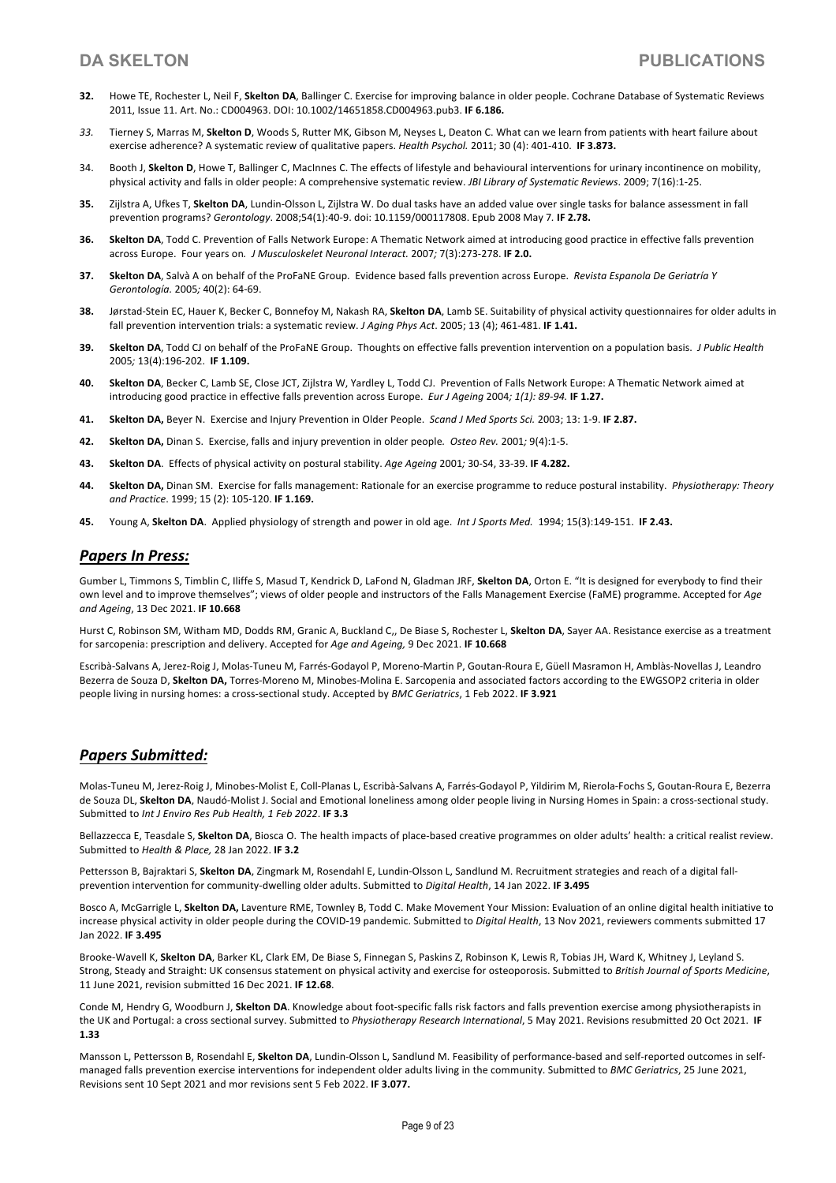- **32.** Howe TE, Rochester L, Neil F, **Skelton DA**, Ballinger C. Exercise for improving balance in older people. Cochrane Database of Systematic Reviews 2011, Issue 11. Art. No.: CD004963. DOI: 10.1002/14651858.CD004963.pub3. **IF 6.186.**
- *33.* Tierney S, Marras M, **Skelton D**, Woods S, Rutter MK, Gibson M, Neyses L, Deaton C. What can we learn from patients with heart failure about exercise adherence? A systematic review of qualitative papers. *Health Psychol.* 2011; 30 (4): 401-410. **IF 3.873.**
- 34. Booth J, **Skelton D**, Howe T, Ballinger C, MacInnes C. The effects of lifestyle and behavioural interventions for urinary incontinence on mobility, physical activity and falls in older people: A comprehensive systematic review. *JBI Library of Systematic Reviews*. 2009; 7(16):1-25.
- **35.** Zijlstra A, Ufkes T, **Skelton DA**, Lundin-Olsson L, Zijlstra W. Do dual tasks have an added value over single tasks for balance assessment in fall prevention programs? *Gerontology*. 2008;54(1):40-9. doi: 10.1159/000117808. Epub 2008 May 7*.* **IF 2.78.**
- **36. Skelton DA**, Todd C. Prevention of Falls Network Europe: A Thematic Network aimed at introducing good practice in effective falls prevention across Europe. Four years on*. J Musculoskelet Neuronal Interact.* 2007*;* 7(3):273-278. **IF 2.0.**
- **37. Skelton DA**, Salvà A on behalf of the ProFaNE Group. Evidence based falls prevention across Europe. *Revista Espanola De Geriatría Y Gerontología.* 2005*;* 40(2): 64-69.
- **38.** Jørstad-Stein EC, Hauer K, Becker C, Bonnefoy M, Nakash RA, **Skelton DA**, Lamb SE. Suitability of physical activity questionnaires for older adults in fall prevention intervention trials: a systematic review. *J Aging Phys Act*. 2005; 13 (4); 461-481. **IF 1.41.**
- **39. Skelton DA**, Todd CJ on behalf of the ProFaNE Group. Thoughts on effective falls prevention intervention on a population basis. *J Public Health*  2005*;* 13(4):196-202. **IF 1.109.**
- **40. Skelton DA**, Becker C, Lamb SE, Close JCT, Zijlstra W, Yardley L, Todd CJ. Prevention of Falls Network Europe: A Thematic Network aimed at introducing good practice in effective falls prevention across Europe. *Eur J Ageing* 2004*; 1(1): 89-94.* **IF 1.27.**
- **41. Skelton DA,** Beyer N. Exercise and Injury Prevention in Older People. *Scand J Med Sports Sci.* 2003; 13: 1-9. **IF 2.87.**
- **42. Skelton DA,** Dinan S. Exercise, falls and injury prevention in older people*. Osteo Rev.* 2001*;* 9(4):1-5.
- **43. Skelton DA**. Effects of physical activity on postural stability. *Age Ageing* 2001*;* 30-S4, 33-39. **IF 4.282.**
- **44. Skelton DA,** Dinan SM. Exercise for falls management: Rationale for an exercise programme to reduce postural instability. *Physiotherapy: Theory and Practice*. 1999; 15 (2): 105-120. **IF 1.169.**
- **45.** Young A, **Skelton DA**. Applied physiology of strength and power in old age. *Int J Sports Med.* 1994; 15(3):149-151. **IF 2.43.**

## *Papers In Press:*

Gumber L, Timmons S, Timblin C, Iliffe S, Masud T, Kendrick D, LaFond N, Gladman JRF, **Skelton DA**, Orton E. "It is designed for everybody to find their own level and to improve themselves"; views of older people and instructors of the Falls Management Exercise (FaME) programme. Accepted for *Age and Ageing*, 13 Dec 2021. **IF 10.668**

Hurst C, Robinson SM, Witham MD, Dodds RM, Granic A, Buckland C,, De Biase S, Rochester L, **Skelton DA**, Sayer AA. Resistance exercise as a treatment for sarcopenia: prescription and delivery. Accepted for *Age and Ageing,* 9 Dec 2021. **IF 10.668**

Escribà-Salvans A, Jerez-Roig J, Molas-Tuneu M, Farrés-Godayol P, Moreno-Martin P, Goutan-Roura E, Güell Masramon H, Amblàs-Novellas J, Leandro Bezerra de Souza D, **Skelton DA,** Torres-Moreno M, Minobes-Molina E. Sarcopenia and associated factors according to the EWGSOP2 criteria in older people living in nursing homes: a cross-sectional study. Accepted by *BMC Geriatrics*, 1 Feb 2022. **IF 3.921**

## *Papers Submitted:*

Molas-Tuneu M, Jerez-Roig J, Minobes-Molist E, Coll-Planas L, Escribà-Salvans A, Farrés-Godayol P, Yildirim M, Rierola-Fochs S, Goutan-Roura E, Bezerra de Souza DL, **Skelton DA**, Naudó-Molist J. Social and Emotional loneliness among older people living in Nursing Homes in Spain: a cross-sectional study. Submitted to *Int J Enviro Res Pub Health, 1 Feb 2022*. **IF 3.3**

Bellazzecca E, Teasdale S, **Skelton DA**, Biosca O. The health impacts of place-based creative programmes on older adults' health: a critical realist review. Submitted to *Health & Place,* 28 Jan 2022. **IF 3.2**

Pettersson B, Bajraktari S, **Skelton DA**, Zingmark M, Rosendahl E, Lundin-Olsson L, Sandlund M. Recruitment strategies and reach of a digital fallprevention intervention for community-dwelling older adults. Submitted to *Digital Health*, 14 Jan 2022. **IF 3.495**

Bosco A, McGarrigle L, **Skelton DA,** Laventure RME, Townley B, Todd C. Make Movement Your Mission: Evaluation of an online digital health initiative to increase physical activity in older people during the COVID-19 pandemic. Submitted to *Digital Health*, 13 Nov 2021, reviewers comments submitted 17 Jan 2022. **IF 3.495**

Brooke-Wavell K, **Skelton DA**, Barker KL, Clark EM, De Biase S, Finnegan S, Paskins Z, Robinson K, Lewis R, Tobias JH, Ward K, Whitney J, Leyland S. Strong, Steady and Straight: UK consensus statement on physical activity and exercise for osteoporosis. Submitted to *British Journal of Sports Medicine*, 11 June 2021, revision submitted 16 Dec 2021. **IF 12.68**.

Conde M, Hendry G, Woodburn J, **Skelton DA**. Knowledge about foot-specific falls risk factors and falls prevention exercise among physiotherapists in the UK and Portugal: a cross sectional survey. Submitted to *Physiotherapy Research International*, 5 May 2021. Revisions resubmitted 20 Oct 2021. **IF 1.33**

Mansson L, Pettersson B, Rosendahl E, **Skelton DA**, Lundin-Olsson L, Sandlund M. Feasibility of performance-based and self-reported outcomes in selfmanaged falls prevention exercise interventions for independent older adults living in the community. Submitted to *BMC Geriatrics*, 25 June 2021, Revisions sent 10 Sept 2021 and mor revisions sent 5 Feb 2022. **IF 3.077.**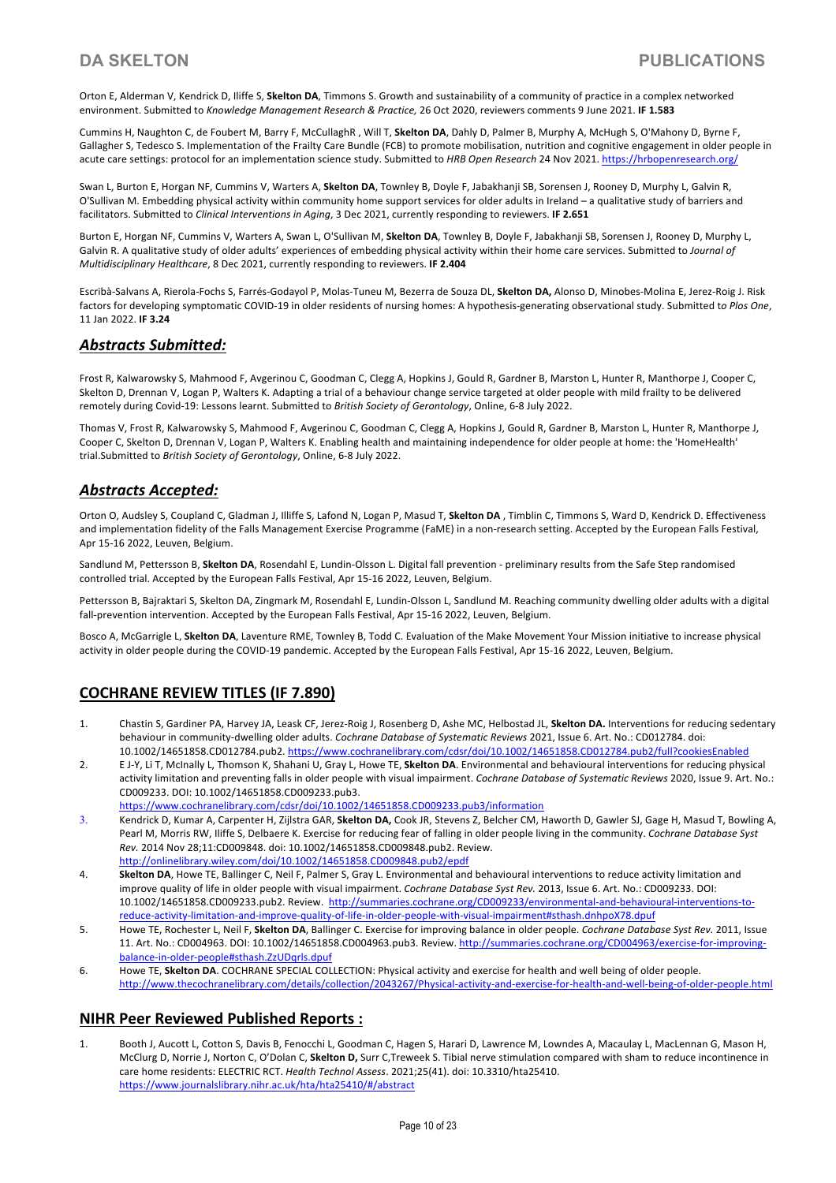Orton E, Alderman V, Kendrick D, Iliffe S, **Skelton DA**, Timmons S. Growth and sustainability of a community of practice in a complex networked environment. Submitted to *Knowledge Management Research & Practice,* 26 Oct 2020, reviewers comments 9 June 2021. **IF 1.583**

Cummins H, Naughton C, de Foubert M, Barry F, McCullaghR , Will T, **Skelton DA**, Dahly D, Palmer B, Murphy A, McHugh S, O'Mahony D, Byrne F, Gallagher S, Tedesco S. Implementation of the Frailty Care Bundle (FCB) to promote mobilisation, nutrition and cognitive engagement in older people in acute care settings: protocol for an implementation science study. Submitted to *HRB Open Research* 24 Nov 2021. https://hrbopenresearch.org/

Swan L, Burton E, Horgan NF, Cummins V, Warters A, **Skelton DA**, Townley B, Doyle F, Jabakhanji SB, Sorensen J, Rooney D, Murphy L, Galvin R, O'Sullivan M. Embedding physical activity within community home support services for older adults in Ireland – a qualitative study of barriers and facilitators. Submitted to *Clinical Interventions in Aging*, 3 Dec 2021, currently responding to reviewers. **IF 2.651**

Burton E, Horgan NF, Cummins V, Warters A, Swan L, O'Sullivan M, **Skelton DA**, Townley B, Doyle F, Jabakhanji SB, Sorensen J, Rooney D, Murphy L, Galvin R. A qualitative study of older adults' experiences of embedding physical activity within their home care services. Submitted to *Journal of Multidisciplinary Healthcare*, 8 Dec 2021, currently responding to reviewers. **IF 2.404**

Escribà-Salvans A, Rierola-Fochs S, Farrés-Godayol P, Molas-Tuneu M, Bezerra de Souza DL, **Skelton DA,** Alonso D, Minobes-Molina E, Jerez-Roig J. Risk factors for developing symptomatic COVID-19 in older residents of nursing homes: A hypothesis-generating observational study. Submitted t*o Plos One*, 11 Jan 2022. **IF 3.24**

## *Abstracts Submitted:*

Frost R, Kalwarowsky S, Mahmood F, Avgerinou C, Goodman C, Clegg A, Hopkins J, Gould R, Gardner B, Marston L, Hunter R, Manthorpe J, Cooper C, Skelton D, Drennan V, Logan P, Walters K. Adapting a trial of a behaviour change service targeted at older people with mild frailty to be delivered remotely during Covid-19: Lessons learnt. Submitted to *British Society of Gerontology*, Online, 6-8 July 2022.

Thomas V, Frost R, Kalwarowsky S, Mahmood F, Avgerinou C, Goodman C, Clegg A, Hopkins J, Gould R, Gardner B, Marston L, Hunter R, Manthorpe J, Cooper C, Skelton D, Drennan V, Logan P, Walters K. Enabling health and maintaining independence for older people at home: the 'HomeHealth' trial.Submitted to *British Society of Gerontology*, Online, 6-8 July 2022.

# *Abstracts Accepted:*

Orton O, Audsley S, Coupland C, Gladman J, Illiffe S, Lafond N, Logan P, Masud T, **Skelton DA** , Timblin C, Timmons S, Ward D, Kendrick D. Effectiveness and implementation fidelity of the Falls Management Exercise Programme (FaME) in a non-research setting. Accepted by the European Falls Festival, Apr 15-16 2022, Leuven, Belgium.

Sandlund M, Pettersson B, **Skelton DA**, Rosendahl E, Lundin-Olsson L. Digital fall prevention - preliminary results from the Safe Step randomised controlled trial. Accepted by the European Falls Festival, Apr 15-16 2022, Leuven, Belgium.

Pettersson B, Bajraktari S, Skelton DA, Zingmark M, Rosendahl E, Lundin-Olsson L, Sandlund M. Reaching community dwelling older adults with a digital fall-prevention intervention. Accepted by the European Falls Festival, Apr 15-16 2022, Leuven, Belgium.

Bosco A, McGarrigle L, **Skelton DA**, Laventure RME, Townley B, Todd C. Evaluation of the Make Movement Your Mission initiative to increase physical activity in older people during the COVID-19 pandemic. Accepted by the European Falls Festival, Apr 15-16 2022, Leuven, Belgium.

# **COCHRANE REVIEW TITLES (IF 7.890)**

- 1. Chastin S, Gardiner PA, Harvey JA, Leask CF, Jerez-Roig J, Rosenberg D, Ashe MC, Helbostad JL, **Skelton DA.** Interventions for reducing sedentary behaviour in community-dwelling older adults. *Cochrane Database of Systematic Reviews* 2021, Issue 6. Art. No.: CD012784. doi: 10.1002/14651858.CD012784.pub2. https://www.cochranelibrary.com/cdsr/doi/10.1002/14651858.CD012784.pub2/full?cookiesEnabled
- 2. E J-Y, Li T, McInally L, Thomson K, Shahani U, Gray L, Howe TE, **Skelton DA**. Environmental and behavioural interventions for reducing physical activity limitation and preventing falls in older people with visual impairment. *Cochrane Database of Systematic Reviews* 2020, Issue 9. Art. No.: CD009233. DOI: 10.1002/14651858.CD009233.pub3.
	- https://www.cochranelibrary.com/cdsr/doi/10.1002/14651858.CD009233.pub3/information
- 3. Kendrick D, Kumar A, Carpenter H, Zijlstra GAR, **Skelton DA,** Cook JR, Stevens Z, Belcher CM, Haworth D, Gawler SJ, Gage H, Masud T, Bowling A, Pearl M, Morris RW, Iliffe S, Delbaere K. Exercise for reducing fear of falling in older people living in the community. *Cochrane Database Syst Rev.* 2014 Nov 28;11:CD009848. doi: 10.1002/14651858.CD009848.pub2. Review. http://onlinelibrary.wiley.com/doi/10.1002/14651858.CD009848.pub2/epdf
- 4. **Skelton DA**, Howe TE, Ballinger C, Neil F, Palmer S, Gray L. Environmental and behavioural interventions to reduce activity limitation and improve quality of life in older people with visual impairment. *Cochrane Database Syst Rev.* 2013, Issue 6. Art. No.: CD009233. DOI: 10.1002/14651858.CD009233.pub2. Review. http://summaries.cochrane.org/CD009233/environmental-and-behavioural-interventions-toreduce-activity-limitation-and-improve-quality-of-life-in-older-people-with-visual-impairment#sthash.dnhpoX78.dpuf
- 5. Howe TE, Rochester L, Neil F, **Skelton DA**, Ballinger C. Exercise for improving balance in older people. *Cochrane Database Syst Rev.* 2011, Issue 11. Art. No.: CD004963. DOI: 10.1002/14651858.CD004963.pub3. Review. http://summaries.cochrane.org/CD004963/exercise-for-improvingbalance-in-older-people#sthash.ZzUDqrls.dpuf
- 6. Howe TE, **Skelton DA**. COCHRANE SPECIAL COLLECTION: Physical activity and exercise for health and well being of older people. http://www.thecochranelibrary.com/details/collection/2043267/Physical-activity-and-exercise-for-health-and-well-being-of-older-people.html

## **NIHR Peer Reviewed Published Reports :**

1. Booth J, Aucott L, Cotton S, Davis B, Fenocchi L, Goodman C, Hagen S, Harari D, Lawrence M, Lowndes A, Macaulay L, MacLennan G, Mason H, McClurg D, Norrie J, Norton C, O'Dolan C, **Skelton D,** Surr C,Treweek S. Tibial nerve stimulation compared with sham to reduce incontinence in care home residents: ELECTRIC RCT. *Health Technol Assess*. 2021;25(41). doi: 10.3310/hta25410. https://www.journalslibrary.nihr.ac.uk/hta/hta25410/#/abstract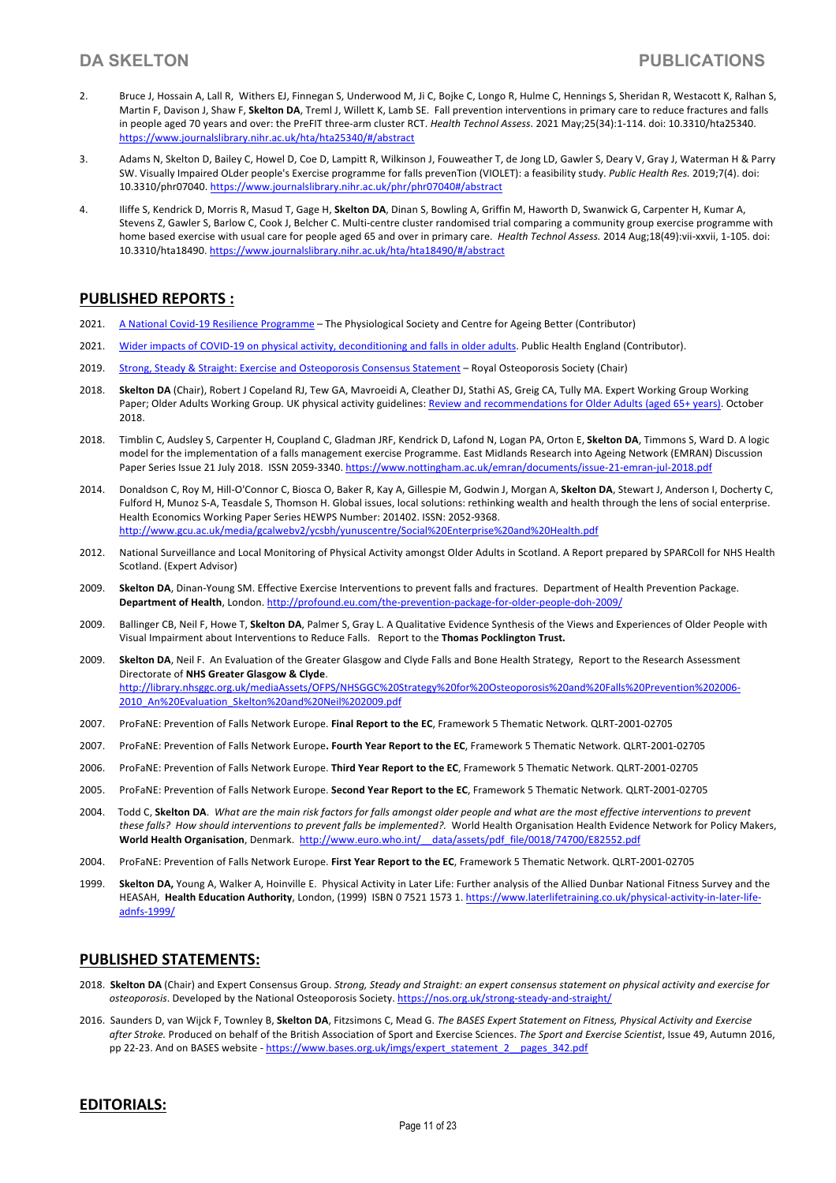- 2. Bruce J, Hossain A, Lall R, Withers EJ, Finnegan S, Underwood M, Ji C, Bojke C, Longo R, Hulme C, Hennings S, Sheridan R, Westacott K, Ralhan S, Martin F, Davison J, Shaw F, **Skelton DA**, Treml J, Willett K, Lamb SE. Fall prevention interventions in primary care to reduce fractures and falls in people aged 70 years and over: the PreFIT three-arm cluster RCT. *Health Technol Assess*. 2021 May;25(34):1-114. doi: 10.3310/hta25340. https://www.journalslibrary.nihr.ac.uk/hta/hta25340/#/abstract
- 3. Adams N, Skelton D, Bailey C, Howel D, Coe D, Lampitt R, Wilkinson J, Fouweather T, de Jong LD, Gawler S, Deary V, Gray J, Waterman H & Parry SW. Visually Impaired OLder people's Exercise programme for falls prevenTion (VIOLET): a feasibility study. *Public Health Res.* 2019;7(4). doi: 10.3310/phr07040. https://www.journalslibrary.nihr.ac.uk/phr/phr07040#/abstract
- 4. Iliffe S, Kendrick D, Morris R, Masud T, Gage H, **Skelton DA**, Dinan S, Bowling A, Griffin M, Haworth D, Swanwick G, Carpenter H, Kumar A, Stevens Z, Gawler S, Barlow C, Cook J, Belcher C. Multi-centre cluster randomised trial comparing a community group exercise programme with home based exercise with usual care for people aged 65 and over in primary care. *Health Technol Assess.* 2014 Aug;18(49):vii-xxvii, 1-105. doi: 10.3310/hta18490. https://www.journalslibrary.nihr.ac.uk/hta/hta18490/#/abstract

## **PUBLISHED REPORTS :**

- 2021. A National Covid-19 Resilience Programme The Physiological Society and Centre for Ageing Better (Contributor)
- 2021. Wider impacts of COVID-19 on physical activity, deconditioning and falls in older adults. Public Health England (Contributor).
- 2019. Strong, Steady & Straight: Exercise and Osteoporosis Consensus Statement Royal Osteoporosis Society (Chair)
- 2018. **Skelton DA** (Chair), Robert J Copeland RJ, Tew GA, Mavroeidi A, Cleather DJ, Stathi AS, Greig CA, Tully MA. Expert Working Group Working Paper; Older Adults Working Group. UK physical activity guidelines: Review and recommendations for Older Adults (aged 65+ years). October 2018.
- 2018. Timblin C, Audsley S, Carpenter H, Coupland C, Gladman JRF, Kendrick D, Lafond N, Logan PA, Orton E, **Skelton DA**, Timmons S, Ward D. A logic model for the implementation of a falls management exercise Programme. East Midlands Research into Ageing Network (EMRAN) Discussion Paper Series Issue 21 July 2018. ISSN 2059-3340. https://www.nottingham.ac.uk/emran/documents/issue-21-emran-jul-2018.pdf
- 2014. Donaldson C, Roy M, Hill-O'Connor C, Biosca O, Baker R, Kay A, Gillespie M, Godwin J, Morgan A, **Skelton DA**, Stewart J, Anderson I, Docherty C, Fulford H, Munoz S-A, Teasdale S, Thomson H. Global issues, local solutions: rethinking wealth and health through the lens of social enterprise. Health Economics Working Paper Series HEWPS Number: 201402. ISSN: 2052-9368. http://www.gcu.ac.uk/media/gcalwebv2/ycsbh/yunuscentre/Social%20Enterprise%20and%20Health.pdf
- 2012. National Surveillance and Local Monitoring of Physical Activity amongst Older Adults in Scotland. A Report prepared by SPARColl for NHS Health Scotland. (Expert Advisor)
- 2009. **Skelton DA**, Dinan-Young SM. Effective Exercise Interventions to prevent falls and fractures. Department of Health Prevention Package. **Department of Health**, London. http://profound.eu.com/the-prevention-package-for-older-people-doh-2009/
- 2009. Ballinger CB, Neil F, Howe T, **Skelton DA**, Palmer S, Gray L. A Qualitative Evidence Synthesis of the Views and Experiences of Older People with Visual Impairment about Interventions to Reduce Falls. Report to the **Thomas Pocklington Trust.**
- 2009. **Skelton DA**, Neil F. An Evaluation of the Greater Glasgow and Clyde Falls and Bone Health Strategy, Report to the Research Assessment Directorate of **NHS Greater Glasgow & Clyde**. http://library.nhsggc.org.uk/mediaAssets/OFPS/NHSGGC%20Strategy%20for%20Osteoporosis%20and%20Falls%20Prevention%202006- 2010\_An%20Evaluation\_Skelton%20and%20Neil%202009.pdf
- 2007. ProFaNE: Prevention of Falls Network Europe. **Final Report to the EC**, Framework 5 Thematic Network. QLRT-2001-02705
- 2007. ProFaNE: Prevention of Falls Network Europe**. Fourth Year Report to the EC**, Framework 5 Thematic Network. QLRT-2001-02705
- 2006. ProFaNE: Prevention of Falls Network Europe. **Third Year Report to the EC**, Framework 5 Thematic Network. QLRT-2001-02705
- 2005. ProFaNE: Prevention of Falls Network Europe. **Second Year Report to the EC**, Framework 5 Thematic Network. QLRT-2001-02705
- 2004. Todd C, **Skelton DA**. *What are the main risk factors for falls amongst older people and what are the most effective interventions to prevent these falls? How should interventions to prevent falls be implemented?.* World Health Organisation Health Evidence Network for Policy Makers, **World Health Organisation**, Denmark. http://www.euro.who.int/\_\_data/assets/pdf\_file/0018/74700/E82552.pdf
- 2004. ProFaNE: Prevention of Falls Network Europe. **First Year Report to the EC**, Framework 5 Thematic Network. QLRT-2001-02705
- 1999. **Skelton DA,** Young A, Walker A, Hoinville E. Physical Activity in Later Life: Further analysis of the Allied Dunbar National Fitness Survey and the HEASAH, **Health Education Authority**, London, (1999) ISBN 0 7521 1573 1. https://www.laterlifetraining.co.uk/physical-activity-in-later-lifeadnfs-1999/

## **PUBLISHED STATEMENTS:**

- 2018. **Skelton DA** (Chair) and Expert Consensus Group. *Strong, Steady and Straight: an expert consensus statement on physical activity and exercise for osteoporosis*. Developed by the National Osteoporosis Society. https://nos.org.uk/strong-steady-and-straight/
- 2016. Saunders D, van Wijck F, Townley B, **Skelton DA**, Fitzsimons C, Mead G. *The BASES Expert Statement on Fitness, Physical Activity and Exercise after Stroke.* Produced on behalf of the British Association of Sport and Exercise Sciences. *The Sport and Exercise Scientist*, Issue 49, Autumn 2016, pp 22-23. And on BASES website - https://www.bases.org.uk/imgs/expert\_statement\_2\_\_pages\_342.pdf

## **EDITORIALS:**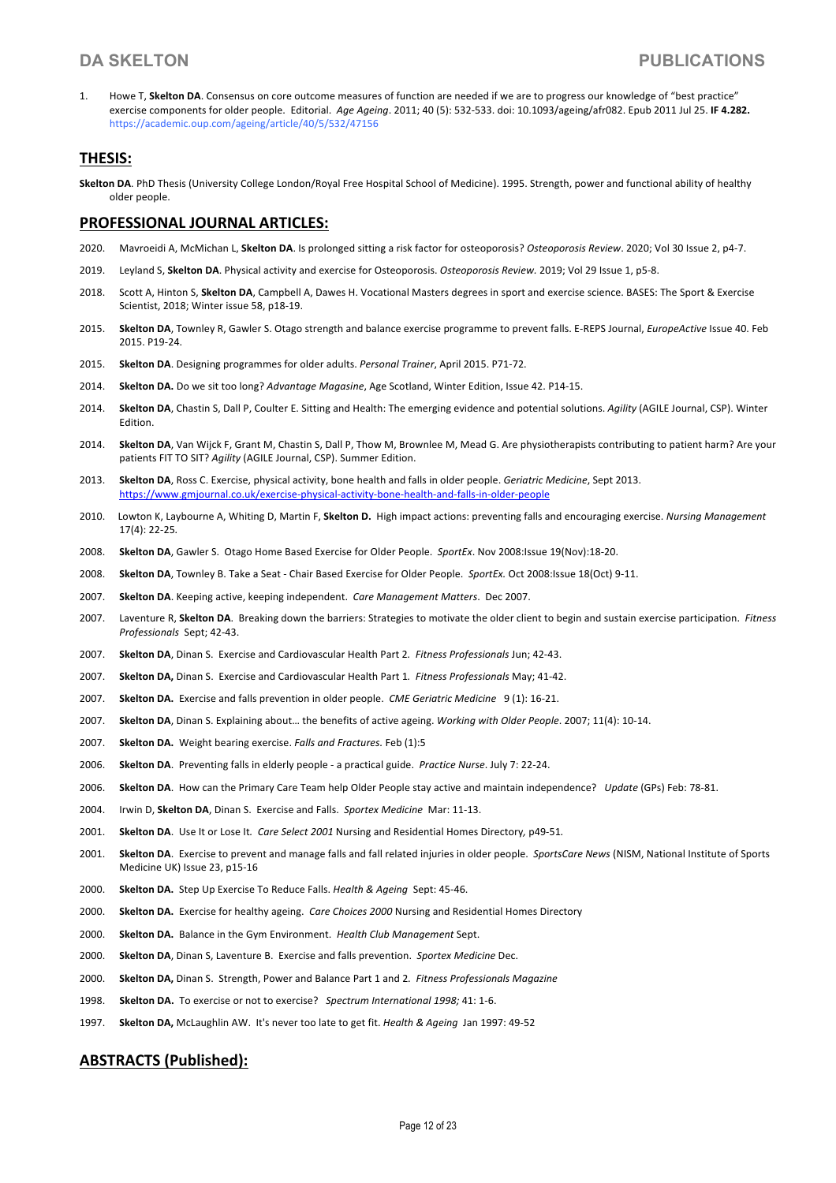1. Howe T, **Skelton DA**. Consensus on core outcome measures of function are needed if we are to progress our knowledge of "best practice" exercise components for older people. Editorial. *Age Ageing*. 2011; 40 (5): 532-533. doi: 10.1093/ageing/afr082. Epub 2011 Jul 25. **IF 4.282.**  https://academic.oup.com/ageing/article/40/5/532/47156

## **THESIS:**

**Skelton DA**. PhD Thesis (University College London/Royal Free Hospital School of Medicine). 1995. Strength, power and functional ability of healthy older people.

## **PROFESSIONAL JOURNAL ARTICLES:**

- 2020. Mavroeidi A, McMichan L, **Skelton DA**. Is prolonged sitting a risk factor for osteoporosis? *Osteoporosis Review*. 2020; Vol 30 Issue 2, p4-7.
- 2019. Leyland S, **Skelton DA**. Physical activity and exercise for Osteoporosis. *Osteoporosis Review.* 2019; Vol 29 Issue 1, p5-8.
- 2018. Scott A, Hinton S, **Skelton DA**, Campbell A, Dawes H. Vocational Masters degrees in sport and exercise science. BASES: The Sport & Exercise Scientist, 2018; Winter issue 58, p18-19.
- 2015. **Skelton DA**, Townley R, Gawler S. Otago strength and balance exercise programme to prevent falls. E-REPS Journal, *EuropeActive* Issue 40. Feb 2015. P19-24.
- 2015. **Skelton DA**. Designing programmes for older adults. *Personal Trainer*, April 2015. P71-72.
- 2014. **Skelton DA.** Do we sit too long? *Advantage Magasine*, Age Scotland, Winter Edition, Issue 42. P14-15.
- 2014. **Skelton DA**, Chastin S, Dall P, Coulter E. Sitting and Health: The emerging evidence and potential solutions. *Agility* (AGILE Journal, CSP). Winter Edition.
- 2014. **Skelton DA**, Van Wijck F, Grant M, Chastin S, Dall P, Thow M, Brownlee M, Mead G. Are physiotherapists contributing to patient harm? Are your patients FIT TO SIT? *Agility* (AGILE Journal, CSP). Summer Edition.
- 2013. **Skelton DA**, Ross C. Exercise, physical activity, bone health and falls in older people. *Geriatric Medicine*, Sept 2013. https://www.gmjournal.co.uk/exercise-physical-activity-bone-health-and-falls-in-older-people
- 2010.Lowton K, Laybourne A, Whiting D, Martin F, **Skelton D.** High impact actions: preventing falls and encouraging exercise. *Nursing Management*  17(4): 22-25*.*
- 2008. **Skelton DA**, Gawler S. Otago Home Based Exercise for Older People. *SportEx*. Nov 2008:Issue 19(Nov):18-20.
- 2008. **Skelton DA**, Townley B. Take a Seat Chair Based Exercise for Older People. *SportEx.* Oct 2008:Issue 18(Oct) 9-11.
- 2007. **Skelton DA**. Keeping active, keeping independent. *Care Management Matters*. Dec 2007.
- 2007. Laventure R, **Skelton DA**. Breaking down the barriers: Strategies to motivate the older client to begin and sustain exercise participation. *Fitness Professionals* Sept; 42-43.
- 2007. **Skelton DA**, Dinan S. Exercise and Cardiovascular Health Part 2*. Fitness Professionals* Jun; 42-43.
- 2007. **Skelton DA,** Dinan S. Exercise and Cardiovascular Health Part 1*. Fitness Professionals* May; 41-42.
- 2007. **Skelton DA.** Exercise and falls prevention in older people. *CME Geriatric Medicine* 9 (1): 16-21.
- 2007. **Skelton DA**, Dinan S. Explaining about… the benefits of active ageing. *Working with Older People*. 2007; 11(4): 10-14.
- 2007. **Skelton DA.** Weight bearing exercise. *Falls and Fractures.* Feb (1):5
- 2006. **Skelton DA**. Preventing falls in elderly people a practical guide. *Practice Nurse*. July 7: 22-24.
- 2006. **Skelton DA**. How can the Primary Care Team help Older People stay active and maintain independence? *Update* (GPs) Feb: 78-81.
- 2004. Irwin D, **Skelton DA**, Dinan S. Exercise and Falls. *Sportex Medicine* Mar: 11-13.
- 2001. **Skelton DA**. Use It or Lose It*. Care Select 2001* Nursing and Residential Homes Directory*,* p49-51*.*
- 2001. **Skelton DA**. Exercise to prevent and manage falls and fall related injuries in older people. *SportsCare News* (NISM, National Institute of Sports Medicine UK) Issue 23, p15-16
- 2000. **Skelton DA.** Step Up Exercise To Reduce Falls. *Health & Ageing* Sept: 45-46.
- 2000. **Skelton DA.** Exercise for healthy ageing. *Care Choices 2000* Nursing and Residential Homes Directory
- 2000. **Skelton DA.** Balance in the Gym Environment. *Health Club Management* Sept.
- 2000. **Skelton DA**, Dinan S, Laventure B. Exercise and falls prevention. *Sportex Medicine* Dec.
- 2000. **Skelton DA,** Dinan S. Strength, Power and Balance Part 1 and 2*. Fitness Professionals Magazine*
- 1998. **Skelton DA.** To exercise or not to exercise? *Spectrum International 1998;* 41: 1-6.
- 1997. **Skelton DA,** McLaughlin AW. It's never too late to get fit. *Health & Ageing* Jan 1997: 49-52

## **ABSTRACTS (Published):**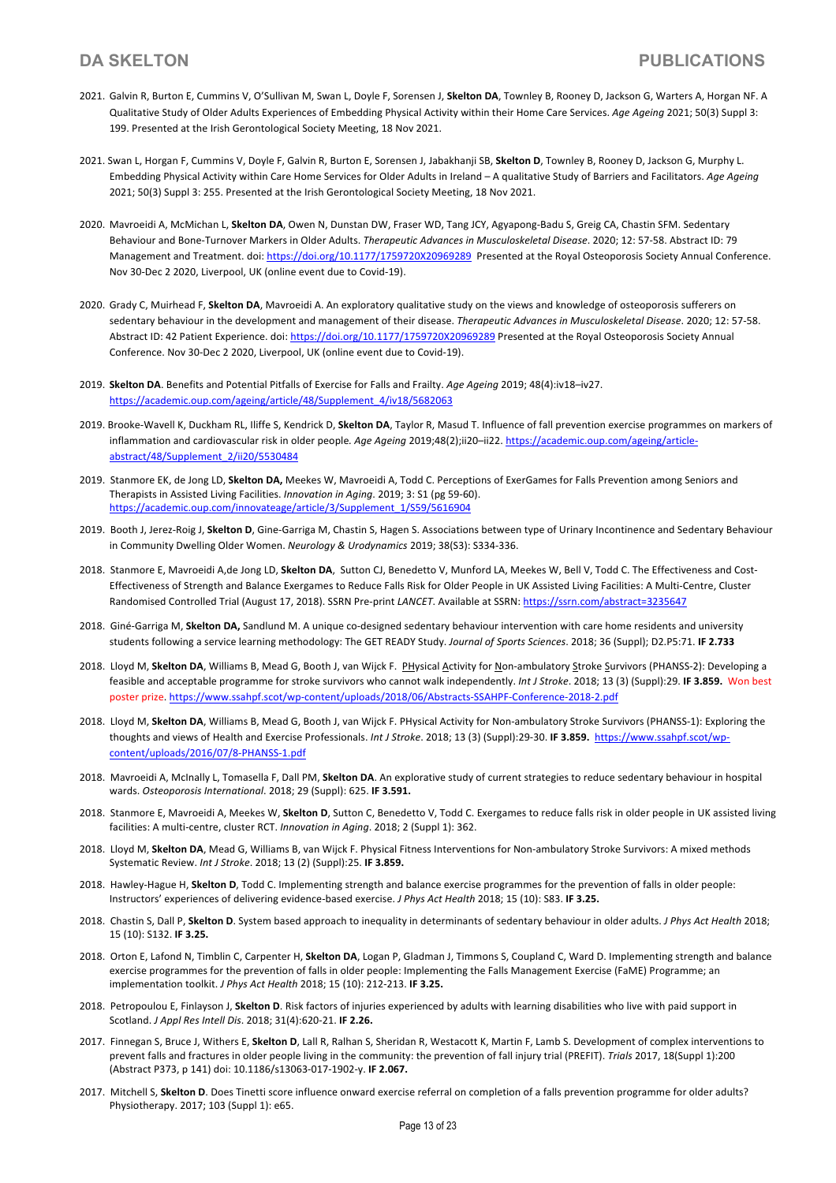- 2021. Galvin R, Burton E, Cummins V, O'Sullivan M, Swan L, Doyle F, Sorensen J, **Skelton DA**, Townley B, Rooney D, Jackson G, Warters A, Horgan NF. A Qualitative Study of Older Adults Experiences of Embedding Physical Activity within their Home Care Services. *Age Ageing* 2021; 50(3) Suppl 3: 199. Presented at the Irish Gerontological Society Meeting, 18 Nov 2021.
- 2021. Swan L, Horgan F, Cummins V, Doyle F, Galvin R, Burton E, Sorensen J, Jabakhanji SB, **Skelton D**, Townley B, Rooney D, Jackson G, Murphy L. Embedding Physical Activity within Care Home Services for Older Adults in Ireland – A qualitative Study of Barriers and Facilitators. *Age Ageing* 2021; 50(3) Suppl 3: 255. Presented at the Irish Gerontological Society Meeting, 18 Nov 2021.
- 2020. Mavroeidi A, McMichan L, **Skelton DA**, Owen N, Dunstan DW, Fraser WD, Tang JCY, Agyapong-Badu S, Greig CA, Chastin SFM. Sedentary Behaviour and Bone-Turnover Markers in Older Adults. *Therapeutic Advances in Musculoskeletal Disease*. 2020; 12: 57-58. Abstract ID: 79 Management and Treatment. doi: https://doi.org/10.1177/1759720X20969289 Presented at the Royal Osteoporosis Society Annual Conference. Nov 30-Dec 2 2020, Liverpool, UK (online event due to Covid-19).
- 2020. Grady C, Muirhead F, **Skelton DA**, Mavroeidi A. An exploratory qualitative study on the views and knowledge of osteoporosis sufferers on sedentary behaviour in the development and management of their disease. *Therapeutic Advances in Musculoskeletal Disease*. 2020; 12: 57-58. Abstract ID: 42 Patient Experience. doi: https://doi.org/10.1177/1759720X20969289 Presented at the Royal Osteoporosis Society Annual Conference. Nov 30-Dec 2 2020, Liverpool, UK (online event due to Covid-19).
- 2019. **Skelton DA**. Benefits and Potential Pitfalls of Exercise for Falls and Frailty. *Age Ageing* 2019; 48(4):iv18–iv27. https://academic.oup.com/ageing/article/48/Supplement\_4/iv18/5682063
- 2019. Brooke-Wavell K, Duckham RL, Iliffe S, Kendrick D, **Skelton DA**, Taylor R, Masud T. Influence of fall prevention exercise programmes on markers of inflammation and cardiovascular risk in older people*. Age Ageing* 2019;48(2);ii20–ii22. https://academic.oup.com/ageing/articleabstract/48/Supplement\_2/ii20/5530484
- 2019. Stanmore EK, de Jong LD, **Skelton DA,** Meekes W, Mavroeidi A, Todd C. Perceptions of ExerGames for Falls Prevention among Seniors and Therapists in Assisted Living Facilities. *Innovation in Aging*. 2019; 3: S1 (pg 59-60). https://academic.oup.com/innovateage/article/3/Supplement\_1/S59/5616904
- 2019. Booth J, Jerez-Roig J, **Skelton D**, Gine-Garriga M, Chastin S, Hagen S. Associations between type of Urinary Incontinence and Sedentary Behaviour in Community Dwelling Older Women. *Neurology & Urodynamics* 2019; 38(S3): S334-336.
- 2018. Stanmore E, Mavroeidi A,de Jong LD, **Skelton DA**, Sutton CJ, Benedetto V, Munford LA, Meekes W, Bell V, Todd C. The Effectiveness and Cost-Effectiveness of Strength and Balance Exergames to Reduce Falls Risk for Older People in UK Assisted Living Facilities: A Multi-Centre, Cluster Randomised Controlled Trial (August 17, 2018). SSRN Pre-print *LANCET*. Available at SSRN: https://ssrn.com/abstract=3235647
- 2018. Giné-Garriga M, **Skelton DA,** Sandlund M. A unique co-designed sedentary behaviour intervention with care home residents and university students following a service learning methodology: The GET READY Study. *Journal of Sports Sciences*. 2018; 36 (Suppl); D2.P5:71. **IF 2.733**
- 2018. Lloyd M, **Skelton DA**, Williams B, Mead G, Booth J, van Wijck F. PHysical Activity for Non-ambulatory Stroke Survivors (PHANSS-2): Developing a feasible and acceptable programme for stroke survivors who cannot walk independently. *Int J Stroke*. 2018; 13 (3) (Suppl):29. **IF 3.859.** Won best poster prize. https://www.ssahpf.scot/wp-content/uploads/2018/06/Abstracts-SSAHPF-Conference-2018-2.pdf
- 2018. Lloyd M, **Skelton DA**, Williams B, Mead G, Booth J, van Wijck F. PHysical Activity for Non-ambulatory Stroke Survivors (PHANSS-1): Exploring the thoughts and views of Health and Exercise Professionals. *Int J Stroke*. 2018; 13 (3) (Suppl):29-30. **IF 3.859.** https://www.ssahpf.scot/wpcontent/uploads/2016/07/8-PHANSS-1.pdf
- 2018. Mavroeidi A, McInally L, Tomasella F, Dall PM, **Skelton DA**. An explorative study of current strategies to reduce sedentary behaviour in hospital wards. *Osteoporosis International*. 2018; 29 (Suppl): 625. **IF 3.591.**
- 2018. Stanmore E, Mavroeidi A, Meekes W, **Skelton D**, Sutton C, Benedetto V, Todd C. Exergames to reduce falls risk in older people in UK assisted living facilities: A multi-centre, cluster RCT. *Innovation in Aging*. 2018; 2 (Suppl 1): 362.
- 2018. Lloyd M, **Skelton DA**, Mead G, Williams B, van Wijck F. Physical Fitness Interventions for Non-ambulatory Stroke Survivors: A mixed methods Systematic Review. *Int J Stroke*. 2018; 13 (2) (Suppl):25. **IF 3.859.**
- 2018. Hawley-Hague H, **Skelton D**, Todd C. Implementing strength and balance exercise programmes for the prevention of falls in older people: Instructors' experiences of delivering evidence-based exercise. *J Phys Act Health* 2018; 15 (10): S83. **IF 3.25.**
- 2018. Chastin S, Dall P, **Skelton D**. System based approach to inequality in determinants of sedentary behaviour in older adults. *J Phys Act Health* 2018; 15 (10): S132. **IF 3.25.**
- 2018. Orton E, Lafond N, Timblin C, Carpenter H, **Skelton DA**, Logan P, Gladman J, Timmons S, Coupland C, Ward D. Implementing strength and balance exercise programmes for the prevention of falls in older people: Implementing the Falls Management Exercise (FaME) Programme; an implementation toolkit. *J Phys Act Health* 2018; 15 (10): 212-213. **IF 3.25.**
- 2018. Petropoulou E, Finlayson J, **Skelton D**. Risk factors of injuries experienced by adults with learning disabilities who live with paid support in Scotland. *J Appl Res Intell Dis*. 2018; 31(4):620-21. **IF 2.26.**
- 2017. Finnegan S, Bruce J, Withers E, **Skelton D**, Lall R, Ralhan S, Sheridan R, Westacott K, Martin F, Lamb S. Development of complex interventions to prevent falls and fractures in older people living in the community: the prevention of fall injury trial (PREFIT). *Trials* 2017, 18(Suppl 1):200 (Abstract P373, p 141) doi: 10.1186/s13063-017-1902-y. **IF 2.067.**
- 2017. Mitchell S, **Skelton D**. Does Tinetti score influence onward exercise referral on completion of a falls prevention programme for older adults? Physiotherapy. 2017; 103 (Suppl 1): e65.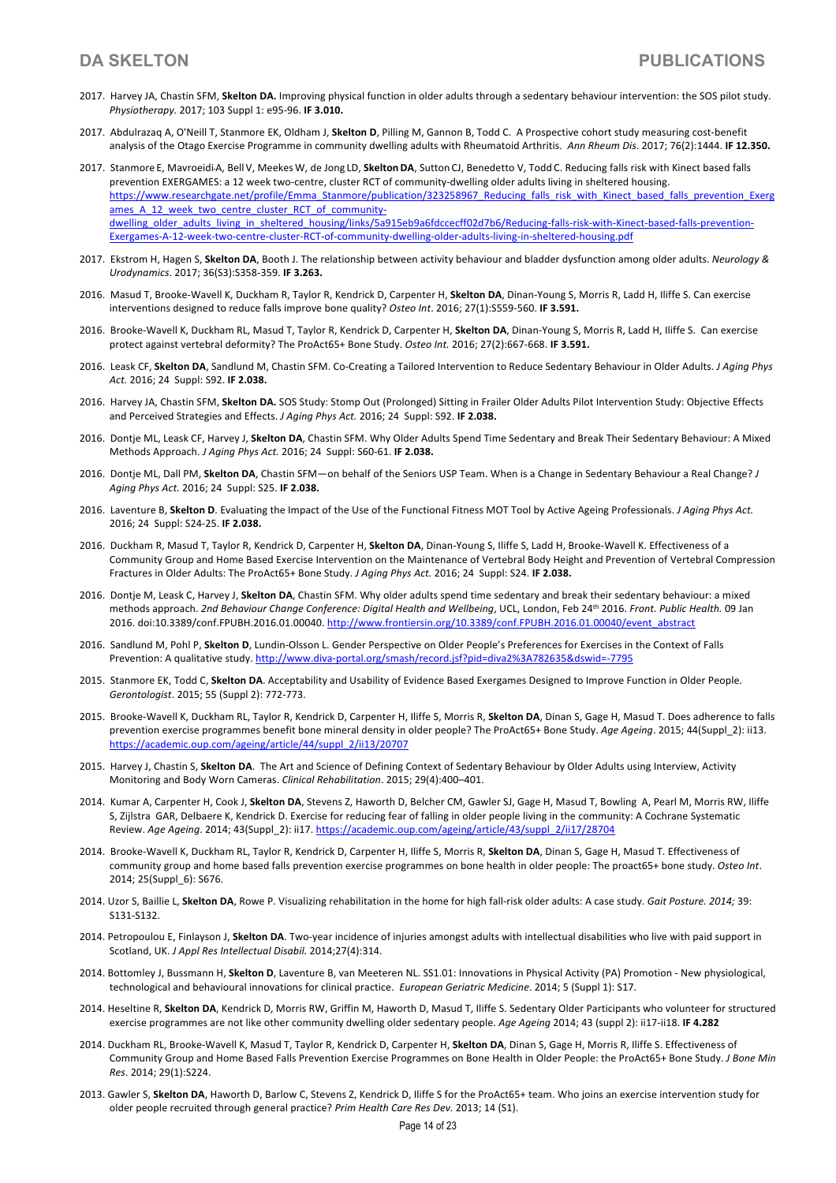- 2017. Harvey JA, Chastin SFM, **Skelton DA.** Improving physical function in older adults through a sedentary behaviour intervention: the SOS pilot study. *Physiotherapy.* 2017; 103 Suppl 1: e95-96. **IF 3.010.**
- 2017. Abdulrazaq A, O'Neill T, Stanmore EK, Oldham J, **Skelton D**, Pilling M, Gannon B, Todd C. A Prospective cohort study measuring cost-benefit analysis of the Otago Exercise Programme in community dwelling adults with Rheumatoid Arthritis. *Ann Rheum Dis*. 2017; 76(2):1444. **IF 12.350.**
- 2017. Stanmore E, MavroeidiA, Bell V, MeekesW, de Jong LD, **SkeltonDA**, Sutton CJ, Benedetto V, Todd C. Reducing falls risk with Kinect based falls prevention EXERGAMES: a 12 week two-centre, cluster RCT of community-dwelling older adults living in sheltered housing. https://www.researchgate.net/profile/Emma\_Stanmore/publication/323258967\_Reducing\_falls\_risk\_with\_Kinect\_based\_falls\_prevention\_Exerg ames A\_12\_week\_two\_centre\_cluster\_RCT\_of\_communitydwelling\_older\_adults\_living\_in\_sheltered\_housing/links/5a915eb9a6fdccecff02d7b6/Reducing-falls-risk-with-Kinect-based-falls-prevention-Exergames-A-12-week-two-centre-cluster-RCT-of-community-dwelling-older-adults-living-in-sheltered-housing.pdf
- 2017. Ekstrom H, Hagen S, **Skelton DA**, Booth J. The relationship between activity behaviour and bladder dysfunction among older adults. *Neurology & Urodynamics*. 2017; 36(S3):S358-359. **IF 3.263.**
- 2016. Masud T, Brooke-Wavell K, Duckham R, Taylor R, Kendrick D, Carpenter H, **Skelton DA**, Dinan-Young S, Morris R, Ladd H, Iliffe S. Can exercise interventions designed to reduce falls improve bone quality? *Osteo Int*. 2016; 27(1):S559-560. **IF 3.591.**
- 2016. Brooke-Wavell K, Duckham RL, Masud T, Taylor R, Kendrick D, Carpenter H, **Skelton DA**, Dinan-Young S, Morris R, Ladd H, Iliffe S. Can exercise protect against vertebral deformity? The ProAct65+ Bone Study. *Osteo Int.* 2016; 27(2):667-668. **IF 3.591.**
- 2016. Leask CF, **Skelton DA**, Sandlund M, Chastin SFM. Co-Creating a Tailored Intervention to Reduce Sedentary Behaviour in Older Adults. *J Aging Phys Act.* 2016; 24 Suppl: S92. **IF 2.038.**
- 2016. Harvey JA, Chastin SFM, **Skelton DA.** SOS Study: Stomp Out (Prolonged) Sitting in Frailer Older Adults Pilot Intervention Study: Objective Effects and Perceived Strategies and Effects. *J Aging Phys Act.* 2016; 24 Suppl: S92. **IF 2.038.**
- 2016. Dontje ML, Leask CF, Harvey J, **Skelton DA**, Chastin SFM. Why Older Adults Spend Time Sedentary and Break Their Sedentary Behaviour: A Mixed Methods Approach. *J Aging Phys Act.* 2016; 24 Suppl: S60-61. **IF 2.038.**
- 2016. Dontje ML, Dall PM, **Skelton DA**, Chastin SFM—on behalf of the Seniors USP Team. When is a Change in Sedentary Behaviour a Real Change? *J Aging Phys Act.* 2016; 24 Suppl: S25. **IF 2.038.**
- 2016. Laventure B, **Skelton D**. Evaluating the Impact of the Use of the Functional Fitness MOT Tool by Active Ageing Professionals. *J Aging Phys Act.* 2016; 24 Suppl: S24-25. **IF 2.038.**
- 2016. Duckham R, Masud T, Taylor R, Kendrick D, Carpenter H, **Skelton DA**, Dinan-Young S, Iliffe S, Ladd H, Brooke-Wavell K. Effectiveness of a Community Group and Home Based Exercise Intervention on the Maintenance of Vertebral Body Height and Prevention of Vertebral Compression Fractures in Older Adults: The ProAct65+ Bone Study. *J Aging Phys Act.* 2016; 24 Suppl: S24. **IF 2.038.**
- 2016. Dontje M, Leask C, Harvey J, **Skelton DA**, Chastin SFM. Why older adults spend time sedentary and break their sedentary behaviour: a mixed methods approach. *2nd Behaviour Change Conference: Digital Health and Wellbeing*, UCL, London, Feb 24th 2016. *Front. Public Health.* 09 Jan 2016. doi:10.3389/conf.FPUBH.2016.01.00040. http://www.frontiersin.org/10.3389/conf.FPUBH.2016.01.00040/event\_abstract
- 2016. Sandlund M, Pohl P, **Skelton D**, Lundin-Olsson L. Gender Perspective on Older People's Preferences for Exercises in the Context of Falls Prevention: A qualitative study. http://www.diva-portal.org/smash/record.jsf?pid=diva2%3A782635&dswid=-7795
- 2015. Stanmore EK, Todd C, **Skelton DA**. Acceptability and Usability of Evidence Based Exergames Designed to Improve Function in Older People. *Gerontologist*. 2015; 55 (Suppl 2): 772-773.
- 2015. Brooke-Wavell K, Duckham RL, Taylor R, Kendrick D, Carpenter H, Iliffe S, Morris R, **Skelton DA**, Dinan S, Gage H, Masud T. Does adherence to falls prevention exercise programmes benefit bone mineral density in older people? The ProAct65+ Bone Study. *Age Ageing*. 2015; 44(Suppl\_2): ii13. https://academic.oup.com/ageing/article/44/suppl\_2/ii13/20707
- 2015. Harvey J, Chastin S, **Skelton DA**. The Art and Science of Defining Context of Sedentary Behaviour by Older Adults using Interview, Activity Monitoring and Body Worn Cameras. *Clinical Rehabilitation*. 2015; 29(4):400–401.
- 2014. Kumar A, Carpenter H, Cook J, **Skelton DA**, Stevens Z, Haworth D, Belcher CM, Gawler SJ, Gage H, Masud T, Bowling A, Pearl M, Morris RW, Iliffe S, Zijlstra GAR, Delbaere K, Kendrick D. Exercise for reducing fear of falling in older people living in the community: A Cochrane Systematic Review. *Age Ageing*. 2014; 43(Suppl\_2): ii17. https://academic.oup.com/ageing/article/43/suppl\_2/ii17/28704
- 2014. Brooke-Wavell K, Duckham RL, Taylor R, Kendrick D, Carpenter H, Iliffe S, Morris R, **Skelton DA**, Dinan S, Gage H, Masud T. Effectiveness of community group and home based falls prevention exercise programmes on bone health in older people: The proact65+ bone study. *Osteo Int*. 2014; 25(Suppl\_6): S676.
- 2014. Uzor S, Baillie L, **Skelton DA**, Rowe P. Visualizing rehabilitation in the home for high fall-risk older adults: A case study. *Gait Posture. 2014;* 39: S131-S132.
- 2014. Petropoulou E, Finlayson J, **Skelton DA**. Two-year incidence of injuries amongst adults with intellectual disabilities who live with paid support in Scotland, UK. *J Appl Res Intellectual Disabil.* 2014;27(4):314.
- 2014. Bottomley J, Bussmann H, **Skelton D**, Laventure B, van Meeteren NL. SS1.01: Innovations in Physical Activity (PA) Promotion New physiological, technological and behavioural innovations for clinical practice. *European Geriatric Medicine*. 2014; 5 (Suppl 1): S17.
- 2014. Heseltine R, **Skelton DA**, Kendrick D, Morris RW, Griffin M, Haworth D, Masud T, Iliffe S. Sedentary Older Participants who volunteer for structured exercise programmes are not like other community dwelling older sedentary people. *Age Ageing* 2014; 43 (suppl 2): ii17-ii18. **IF 4.282**
- 2014. Duckham RL, Brooke-Wavell K, Masud T, Taylor R, Kendrick D, Carpenter H, **Skelton DA**, Dinan S, Gage H, Morris R, Iliffe S. Effectiveness of Community Group and Home Based Falls Prevention Exercise Programmes on Bone Health in Older People: the ProAct65+ Bone Study. *J Bone Min Res*. 2014; 29(1):S224.
- 2013. Gawler S, **Skelton DA**, Haworth D, Barlow C, Stevens Z, Kendrick D, Iliffe S for the ProAct65+ team. Who joins an exercise intervention study for older people recruited through general practice? *Prim Health Care Res Dev.* 2013; 14 (S1).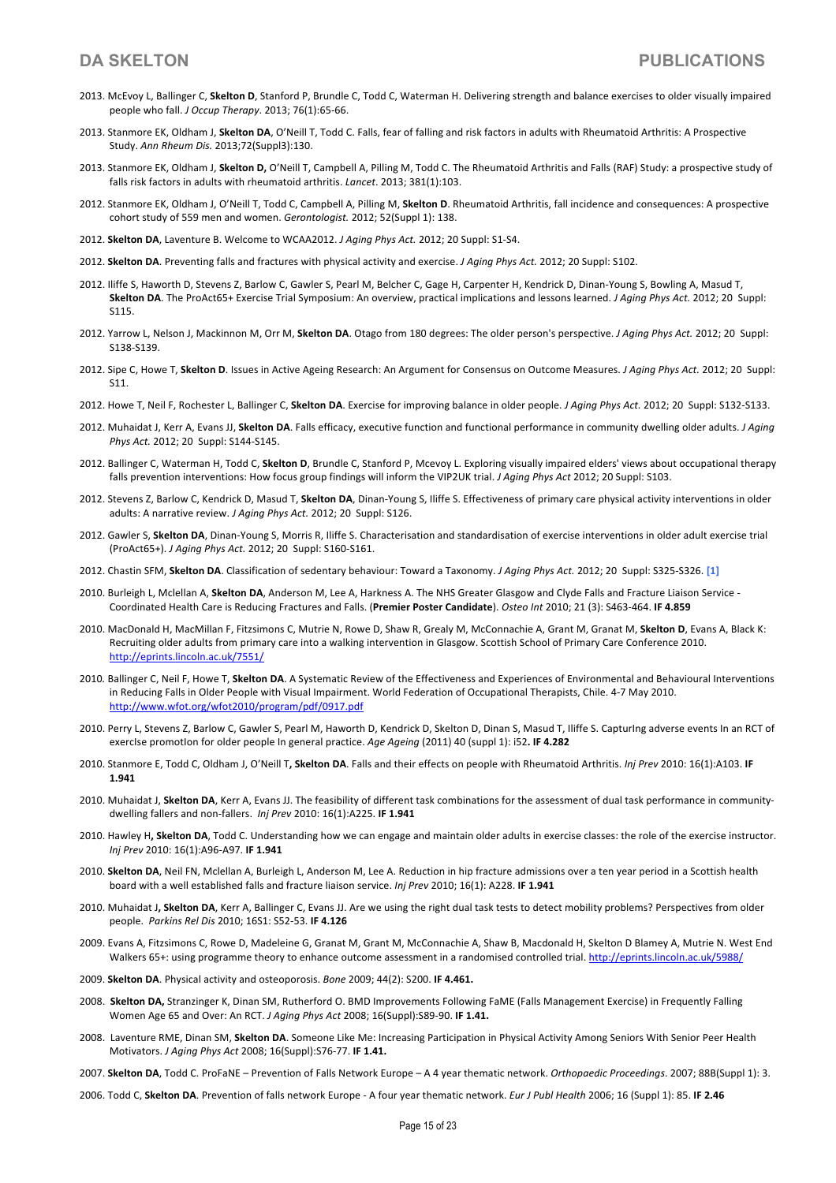- 2013. McEvoy L, Ballinger C, **Skelton D**, Stanford P, Brundle C, Todd C, Waterman H. Delivering strength and balance exercises to older visually impaired people who fall. *J Occup Therapy*. 2013; 76(1):65-66.
- 2013. Stanmore EK, Oldham J, **Skelton DA**, O'Neill T, Todd C. Falls, fear of falling and risk factors in adults with Rheumatoid Arthritis: A Prospective Study. *Ann Rheum Dis.* 2013;72(Suppl3):130.
- 2013. Stanmore EK, Oldham J, **Skelton D,** O'Neill T, Campbell A, Pilling M, Todd C. The Rheumatoid Arthritis and Falls (RAF) Study: a prospective study of falls risk factors in adults with rheumatoid arthritis. *Lancet*. 2013; 381(1):103.
- 2012. Stanmore EK, Oldham J, O'Neill T, Todd C, Campbell A, Pilling M, **Skelton D**. Rheumatoid Arthritis, fall incidence and consequences: A prospective cohort study of 559 men and women. *Gerontologist.* 2012; 52(Suppl 1): 138.
- 2012. **Skelton DA**, Laventure B. Welcome to WCAA2012. *J Aging Phys Act.* 2012; 20 Suppl: S1-S4.
- 2012. **Skelton DA**. Preventing falls and fractures with physical activity and exercise. *J Aging Phys Act.* 2012; 20 Suppl: S102.
- 2012. Iliffe S, Haworth D, Stevens Z, Barlow C, Gawler S, Pearl M, Belcher C, Gage H, Carpenter H, Kendrick D, Dinan-Young S, Bowling A, Masud T, **Skelton DA**. The ProAct65+ Exercise Trial Symposium: An overview, practical implications and lessons learned. *J Aging Phys Act.* 2012; 20 Suppl: S115.
- 2012. Yarrow L, Nelson J, Mackinnon M, Orr M, **Skelton DA**. Otago from 180 degrees: The older person's perspective. *J Aging Phys Act.* 2012; 20 Suppl: S138-S139.
- 2012. Sipe C, Howe T, **Skelton D**. Issues in Active Ageing Research: An Argument for Consensus on Outcome Measures. *J Aging Phys Act.* 2012; 20 Suppl: S11.
- 2012. Howe T, Neil F, Rochester L, Ballinger C, **Skelton DA**. Exercise for improving balance in older people. *J Aging Phys Act.* 2012; 20 Suppl: S132-S133.
- 2012. Muhaidat J, Kerr A, Evans JJ, **Skelton DA**. Falls efficacy, executive function and functional performance in community dwelling older adults. *J Aging Phys Act.* 2012; 20 Suppl: S144-S145.
- 2012. Ballinger C, Waterman H, Todd C, **Skelton D**, Brundle C, Stanford P, Mcevoy L. Exploring visually impaired elders' views about occupational therapy falls prevention interventions: How focus group findings will inform the VIP2UK trial. *J Aging Phys Act* 2012; 20 Suppl: S103.
- 2012. Stevens Z, Barlow C, Kendrick D, Masud T, **Skelton DA**, Dinan-Young S, Iliffe S. Effectiveness of primary care physical activity interventions in older adults: A narrative review. *J Aging Phys Act.* 2012; 20 Suppl: S126.
- 2012. Gawler S, **Skelton DA**, Dinan-Young S, Morris R, Iliffe S. Characterisation and standardisation of exercise interventions in older adult exercise trial (ProAct65+). *J Aging Phys Act.* 2012; 20 Suppl: S160-S161.
- 2012. Chastin SFM, **Skelton DA**. Classification of sedentary behaviour: Toward a Taxonomy. *J Aging Phys Act.* 2012; 20 Suppl: S325-S326. **[1]**
- 2010. Burleigh L, Mclellan A, **Skelton DA**, Anderson M, Lee A, Harkness A. The NHS Greater Glasgow and Clyde Falls and Fracture Liaison Service Coordinated Health Care is Reducing Fractures and Falls. (**Premier Poster Candidate**). *Osteo Int* 2010; 21 (3): S463-464. **IF 4.859**
- 2010. MacDonald H, MacMillan F, Fitzsimons C, Mutrie N, Rowe D, Shaw R, Grealy M, McConnachie A, Grant M, Granat M, **Skelton D**, Evans A, Black K: Recruiting older adults from primary care into a walking intervention in Glasgow. Scottish School of Primary Care Conference 2010. http://eprints.lincoln.ac.uk/7551/
- 2010*.* Ballinger C, Neil F, Howe T, **Skelton DA**. A Systematic Review of the Effectiveness and Experiences of Environmental and Behavioural Interventions in Reducing Falls in Older People with Visual Impairment. World Federation of Occupational Therapists, Chile. 4-7 May 2010. http://www.wfot.org/wfot2010/program/pdf/0917.pdf
- 2010. Perry L, Stevens Z, Barlow C, Gawler S, Pearl M, Haworth D, Kendrick D, Skelton D, Dinan S, Masud T, Iliffe S. CapturIng adverse events In an RCT of exercIse promotIon for older people In general practice. *Age Ageing* (2011) 40 (suppl 1): i52**. IF 4.282**
- 2010. Stanmore E, Todd C, Oldham J, O'Neill T**, Skelton DA**. Falls and their effects on people with Rheumatoid Arthritis. *Inj Prev* 2010: 16(1):A103. **IF 1.941**
- 2010. Muhaidat J, Skelton DA, Kerr A, Evans JJ. The feasibility of different task combinations for the assessment of dual task performance in communitydwelling fallers and non-fallers. *Inj Prev* 2010: 16(1):A225. **IF 1.941**
- 2010. Hawley H**, Skelton DA**, Todd C. Understanding how we can engage and maintain older adults in exercise classes: the role of the exercise instructor. *Inj Prev* 2010: 16(1):A96-A97. **IF 1.941**
- 2010. **Skelton DA**, Neil FN, Mclellan A, Burleigh L, Anderson M, Lee A. Reduction in hip fracture admissions over a ten year period in a Scottish health board with a well established falls and fracture liaison service. *Inj Prev* 2010; 16(1): A228. **IF 1.941**
- 2010. Muhaidat J**, Skelton DA**, Kerr A, Ballinger C, Evans JJ. Are we using the right dual task tests to detect mobility problems? Perspectives from older people. *Parkins Rel Dis* 2010; 16S1: S52-53. **IF 4.126**
- 2009. Evans A, Fitzsimons C, Rowe D, Madeleine G, Granat M, Grant M, McConnachie A, Shaw B, Macdonald H, Skelton D Blamey A, Mutrie N. West End Walkers 65+: using programme theory to enhance outcome assessment in a randomised controlled trial. http://eprints.lincoln.ac.uk/5988/
- 2009. **Skelton DA**. Physical activity and osteoporosis. *Bone* 2009; 44(2): S200. **IF 4.461.**
- 2008. **Skelton DA,** Stranzinger K, Dinan SM, Rutherford O. BMD Improvements Following FaME (Falls Management Exercise) in Frequently Falling Women Age 65 and Over: An RCT. *J Aging Phys Act* 2008; 16(Suppl):S89-90. **IF 1.41.**
- 2008. Laventure RME, Dinan SM, **Skelton DA**. Someone Like Me: Increasing Participation in Physical Activity Among Seniors With Senior Peer Health Motivators. *J Aging Phys Act* 2008; 16(Suppl):S76-77. **IF 1.41.**
- 2007. **Skelton DA**, Todd C. ProFaNE Prevention of Falls Network Europe A 4 year thematic network. *Orthopaedic Proceedings*. 2007; 88B(Suppl 1): 3.
- 2006. Todd C, **Skelton DA**. Prevention of falls network Europe A four year thematic network. *Eur J Publ Health* 2006; 16 (Suppl 1): 85. **IF 2.46**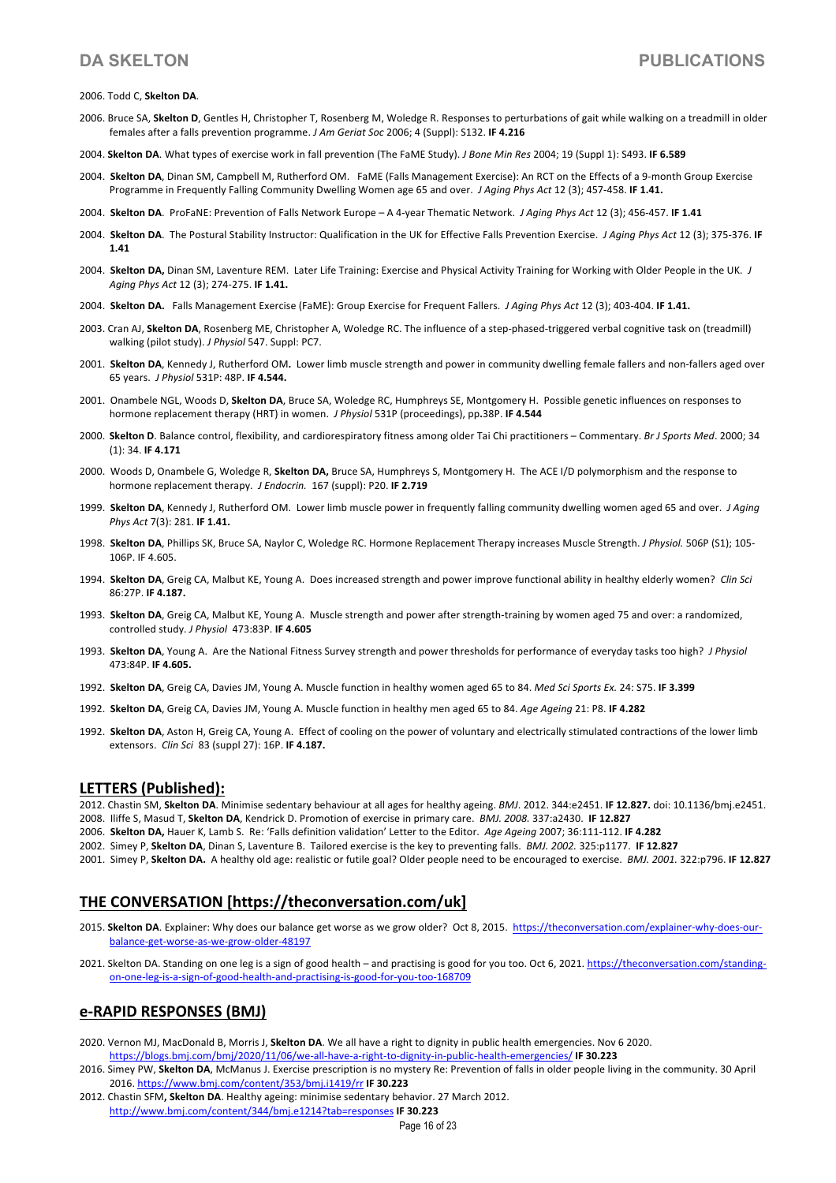### 2006. Todd C, **Skelton DA**.

- 2006. Bruce SA, **Skelton D**, Gentles H, Christopher T, Rosenberg M, Woledge R. Responses to perturbations of gait while walking on a treadmill in older females after a falls prevention programme. *J Am Geriat Soc* 2006; 4 (Suppl): S132. **IF 4.216**
- 2004. **Skelton DA**. What types of exercise work in fall prevention (The FaME Study). *J Bone Min Res* 2004; 19 (Suppl 1): S493. **IF 6.589**
- 2004. **Skelton DA**, Dinan SM, Campbell M, Rutherford OM. FaME (Falls Management Exercise): An RCT on the Effects of a 9-month Group Exercise Programme in Frequently Falling Community Dwelling Women age 65 and over. *J Aging Phys Act* 12 (3); 457-458. **IF 1.41.**
- 2004. **Skelton DA**. ProFaNE: Prevention of Falls Network Europe A 4-year Thematic Network. *J Aging Phys Act* 12 (3); 456-457. **IF 1.41**
- 2004. **Skelton DA**. The Postural Stability Instructor: Qualification in the UK for Effective Falls Prevention Exercise. *J Aging Phys Act* 12 (3); 375-376. **IF 1.41**
- 2004. **Skelton DA,** Dinan SM, Laventure REM. Later Life Training: Exercise and Physical Activity Training for Working with Older People in the UK. *J Aging Phys Act* 12 (3); 274-275. **IF 1.41.**
- 2004. **Skelton DA.** Falls Management Exercise (FaME): Group Exercise for Frequent Fallers. *J Aging Phys Act* 12 (3); 403-404. **IF 1.41.**
- 2003. Cran AJ, **Skelton DA**, Rosenberg ME, Christopher A, Woledge RC. The influence of a step-phased-triggered verbal cognitive task on (treadmill) walking (pilot study). *J Physiol* 547. Suppl: PC7.
- 2001. **Skelton DA**, Kennedy J, Rutherford OM**.** Lower limb muscle strength and power in community dwelling female fallers and non-fallers aged over 65 years. *J Physiol* 531P: 48P. **IF 4.544.**
- 2001. Onambele NGL, Woods D, **Skelton DA**, Bruce SA, Woledge RC, Humphreys SE, Montgomery H. Possible genetic influences on responses to hormone replacement therapy (HRT) in women. *J Physiol* 531P (proceedings), pp**.**38P. **IF 4.544**
- 2000. **Skelton D**. Balance control, flexibility, and cardiorespiratory fitness among older Tai Chi practitioners Commentary. *Br J Sports Med*. 2000; 34 (1): 34. **IF 4.171**
- 2000. Woods D, Onambele G, Woledge R, **Skelton DA,** Bruce SA, Humphreys S, Montgomery H. The ACE I/D polymorphism and the response to hormone replacement therapy. *J Endocrin.* 167 (suppl): P20. **IF 2.719**
- 1999. **Skelton DA**, Kennedy J, Rutherford OM. Lower limb muscle power in frequently falling community dwelling women aged 65 and over. *J Aging Phys Act* 7(3): 281. **IF 1.41.**
- 1998. **Skelton DA**, Phillips SK, Bruce SA, Naylor C, Woledge RC. Hormone Replacement Therapy increases Muscle Strength. *J Physiol.* 506P (S1); 105- 106P. IF 4.605.
- 1994. **Skelton DA**, Greig CA, Malbut KE, Young A. Does increased strength and power improve functional ability in healthy elderly women? *Clin Sci* 86:27P. **IF 4.187.**
- 1993. **Skelton DA**, Greig CA, Malbut KE, Young A. Muscle strength and power after strength-training by women aged 75 and over: a randomized, controlled study. *J Physiol* 473:83P. **IF 4.605**
- 1993. **Skelton DA**, Young A. Are the National Fitness Survey strength and power thresholds for performance of everyday tasks too high? *J Physiol* 473:84P. **IF 4.605.**
- 1992. **Skelton DA**, Greig CA, Davies JM, Young A. Muscle function in healthy women aged 65 to 84. *Med Sci Sports Ex.* 24: S75. **IF 3.399**
- 1992. **Skelton DA**, Greig CA, Davies JM, Young A. Muscle function in healthy men aged 65 to 84. *Age Ageing* 21: P8. **IF 4.282**
- 1992. **Skelton DA**, Aston H, Greig CA, Young A. Effect of cooling on the power of voluntary and electrically stimulated contractions of the lower limb extensors. *Clin Sci* 83 (suppl 27): 16P. **IF 4.187.**

### **LETTERS (Published):**

- 2012. Chastin SM, **Skelton DA**. Minimise sedentary behaviour at all ages for healthy ageing. *BMJ*. 2012. 344:e2451. **IF 12.827.** doi: 10.1136/bmj.e2451. 2008. Iliffe S, Masud T, **Skelton DA**, Kendrick D. Promotion of exercise in primary care. *BMJ. 2008.* 337:a2430. **IF 12.827**
- 2006. **Skelton DA,** Hauer K, Lamb S. Re: 'Falls definition validation' Letter to the Editor. *Age Ageing* 2007; 36:111-112. **IF 4.282**
- 2002. Simey P, **Skelton DA**, Dinan S, Laventure B. Tailored exercise is the key to preventing falls. *BMJ. 2002.* 325:p1177. **IF 12.827**
- 2001. Simey P, **Skelton DA.** A healthy old age: realistic or futile goal? Older people need to be encouraged to exercise. *BMJ. 2001.* 322:p796. **IF 12.827**

## **THE CONVERSATION [https://theconversation.com/uk]**

- 2015. Skelton DA. Explainer: Why does our balance get worse as we grow older? Oct 8, 2015. https://theconversation.com/explainer-why-does-ourbalance-get-worse-as-we-grow-older-48197
- 2021. Skelton DA. Standing on one leg is a sign of good health and practising is good for you too. Oct 6, 2021. https://theconversation.com/standingon-one-leg-is-a-sign-of-good-health-and-practising-is-good-for-you-too-168709

## **e-RAPID RESPONSES (BMJ)**

- 2020. Vernon MJ, MacDonald B, Morris J, **Skelton DA**. We all have a right to dignity in public health emergencies. Nov 6 2020. https://blogs.bmj.com/bmj/2020/11/06/we-all-have-a-right-to-dignity-in-public-health-emergencies/ **IF 30.223**
- 2016. Simey PW, **Skelton DA**, McManus J. Exercise prescription is no mystery Re: Prevention of falls in older people living in the community. 30 April 2016. https://www.bmj.com/content/353/bmj.i1419/rr **IF 30.223**
- 2012. Chastin SFM**, Skelton DA**. Healthy ageing: minimise sedentary behavior. 27 March 2012. http://www.bmj.com/content/344/bmj.e1214?tab=responses **IF 30.223**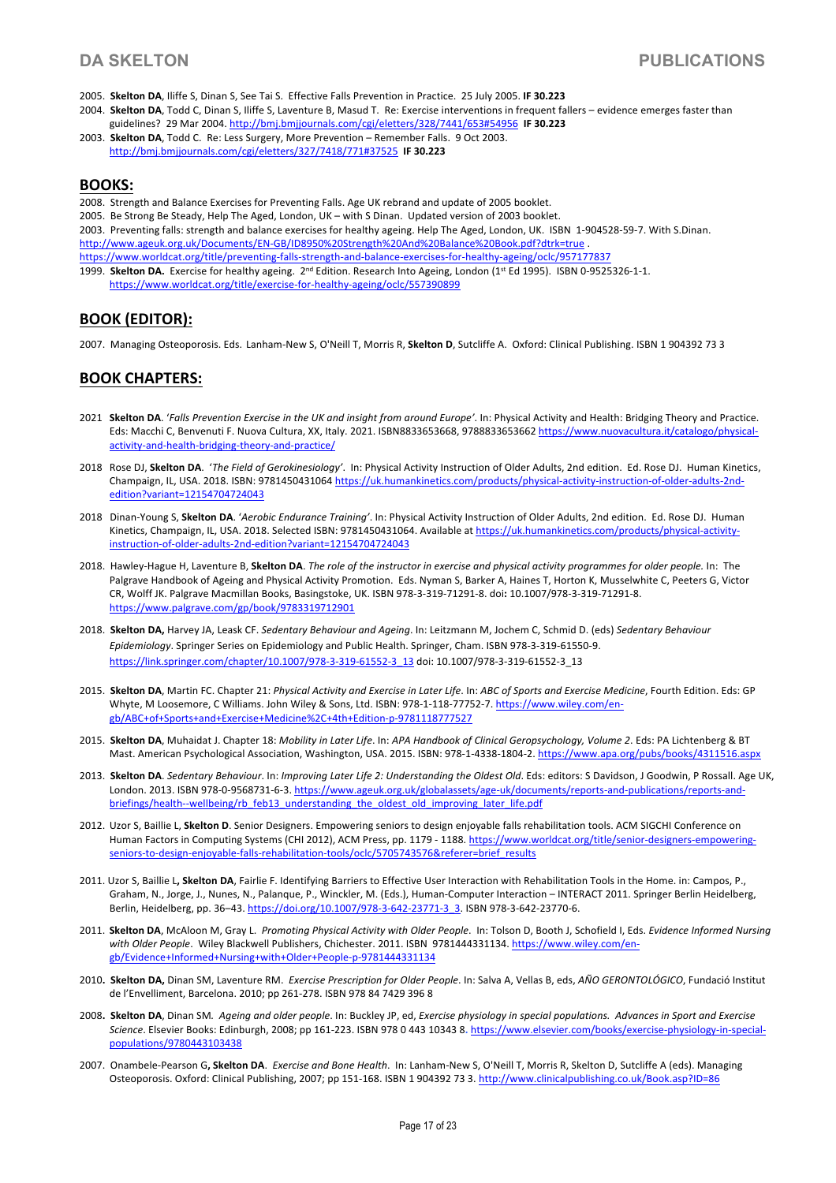- 2005. **Skelton DA**, Iliffe S, Dinan S, See Tai S. Effective Falls Prevention in Practice. 25 July 2005. **IF 30.223**
- 2004. **Skelton DA**, Todd C, Dinan S, Iliffe S, Laventure B, Masud T. Re: Exercise interventions in frequent fallers evidence emerges faster than guidelines? 29 Mar 2004. http://bmj.bmjjournals.com/cgi/eletters/328/7441/653#54956 **IF 30.223**
- 2003. **Skelton DA**, Todd C. Re: Less Surgery, More Prevention Remember Falls. 9 Oct 2003. http://bmj.bmjjournals.com/cgi/eletters/327/7418/771#37525 **IF 30.223**

## **BOOKS:**

2008. Strength and Balance Exercises for Preventing Falls. Age UK rebrand and update of 2005 booklet. 2005. Be Strong Be Steady, Help The Aged, London, UK – with S Dinan. Updated version of 2003 booklet. 2003. Preventing falls: strength and balance exercises for healthy ageing. Help The Aged, London, UK. ISBN 1-904528-59-7. With S.Dinan. http://www.ageuk.org.uk/Documents/EN-GB/ID8950%20Strength%20And%20Balance%20Book.pdf?dtrk=true . https://www.worldcat.org/title/preventing-falls-strength-and-balance-exercises-for-healthy-ageing/oclc/957177837 ! 1999. **Skelton DA.** Exercise for healthy ageing. 2<sup>nd</sup> Edition. Research Into Ageing, London (1<sup>st</sup> Ed 1995). ISBN 0-9525326-1-1.<br>https://www.worldcat.org/title/exercise-for-healthy-ageing/oclc/557390899

# **BOOK (EDITOR):**

2007. Managing Osteoporosis. Eds. Lanham-New S, O'Neill T, Morris R, **Skelton D**, Sutcliffe A. Oxford: Clinical Publishing. ISBN 1 904392 73 3

# **BOOK CHAPTERS:**

- 2021 **Skelton DA**. '*Falls Prevention Exercise in the UK and insight from around Europe'*. In: Physical Activity and Health: Bridging Theory and Practice. Eds: Macchi C, Benvenuti F. Nuova Cultura, XX, Italy. 2021. ISBN8833653668, 9788833653662 https://www.nuovacultura.it/catalogo/physicalactivity-and-health-bridging-theory-and-practice/
- 2018 Rose DJ, **Skelton DA**. '*The Field of Gerokinesiology'*. In: Physical Activity Instruction of Older Adults, 2nd edition. Ed. Rose DJ. Human Kinetics, Champaign, IL, USA. 2018. ISBN: 9781450431064 https://uk.humankinetics.com/products/physical-activity-instruction-of-older-adults-2ndedition?variant=12154704724043
- 2018 Dinan-Young S, **Skelton DA**. '*Aerobic Endurance Training'*. In: Physical Activity Instruction of Older Adults, 2nd edition. Ed. Rose DJ. Human Kinetics, Champaign, IL, USA. 2018. Selected ISBN: 9781450431064. Available at https://uk.humankinetics.com/products/physical-activityinstruction-of-older-adults-2nd-edition?variant=12154704724043
- 2018. Hawley-Hague H, Laventure B, **Skelton DA**. *The role of the instructor in exercise and physical activity programmes for older people.* In: The Palgrave Handbook of Ageing and Physical Activity Promotion. Eds. Nyman S, Barker A, Haines T, Horton K, Musselwhite C, Peeters G, Victor CR, Wolff JK. Palgrave Macmillan Books, Basingstoke, UK. ISBN 978-3-319-71291-8. doi**:** 10.1007/978-3-319-71291-8. https://www.palgrave.com/gp/book/9783319712901
- 2018. **Skelton DA,** Harvey JA, Leask CF. *Sedentary Behaviour and Ageing*. In: Leitzmann M, Jochem C, Schmid D. (eds) *Sedentary Behaviour Epidemiology*. Springer Series on Epidemiology and Public Health. Springer, Cham. ISBN 978-3-319-61550-9. https://link.springer.com/chapter/10.1007/978-3-319-61552-3\_13 doi: 10.1007/978-3-319-61552-3\_13
- 2015. **Skelton DA**, Martin FC. Chapter 21: *Physical Activity and Exercise in Later Life*. In: *ABC of Sports and Exercise Medicine*, Fourth Edition. Eds: GP Whyte, M Loosemore, C Williams. John Wiley & Sons, Ltd. ISBN: 978-1-118-77752-7. https://www.wiley.com/engb/ABC+of+Sports+and+Exercise+Medicine%2C+4th+Edition-p-9781118777527
- 2015. **Skelton DA**, Muhaidat J. Chapter 18: *Mobility in Later Life*. In: *APA Handbook of Clinical Geropsychology, Volume 2*. Eds: PA Lichtenberg & BT Mast. American Psychological Association, Washington, USA. 2015. ISBN: 978-1-4338-1804-2. https://www.apa.org/pubs/books/4311516.aspx
- 2013. **Skelton DA**. *Sedentary Behaviour*. In: *Improving Later Life 2: Understanding the Oldest Old*. Eds: editors: S Davidson, J Goodwin, P Rossall. Age UK, London. 2013. ISBN 978-0-9568731-6-3. https://www.ageuk.org.uk/globalassets/age-uk/documents/reports-and-publications/reports-andbriefings/health--wellbeing/rb\_feb13\_understanding\_the\_oldest\_old\_improving\_later\_life.pdf
- 2012. Uzor S, Baillie L, **Skelton D**. Senior Designers. Empowering seniors to design enjoyable falls rehabilitation tools. ACM SIGCHI Conference on Human Factors in Computing Systems (CHI 2012), ACM Press, pp. 1179 - 1188. https://www.worldcat.org/title/senior-designers-empoweringseniors-to-design-enjoyable-falls-rehabilitation-tools/oclc/5705743576&referer=brief\_results
- 2011. Uzor S, Baillie L**, Skelton DA**, Fairlie F. Identifying Barriers to Effective User Interaction with Rehabilitation Tools in the Home. in: Campos, P., Graham, N., Jorge, J., Nunes, N., Palanque, P., Winckler, M. (Eds.), Human-Computer Interaction – INTERACT 2011. Springer Berlin Heidelberg, Berlin, Heidelberg, pp. 36-43. https://doi.org/10.1007/978-3-642-23771-3\_3. ISBN 978-3-642-23770-6.
- 2011. **Skelton DA**, McAloon M, Gray L. *Promoting Physical Activity with Older People*. In: Tolson D, Booth J, Schofield I, Eds. *Evidence Informed Nursing with Older People*. Wiley Blackwell Publishers, Chichester. 2011. ISBN 9781444331134. https://www.wiley.com/engb/Evidence+Informed+Nursing+with+Older+People-p-9781444331134
- 2010**. Skelton DA,** Dinan SM, Laventure RM. *Exercise Prescription for Older People*. In: Salva A, Vellas B, eds, *AÑO GERONTOLÓGICO*, Fundació Institut de l'Envelliment, Barcelona. 2010; pp 261-278. ISBN 978 84 7429 396 8
- 2008**. Skelton DA**, Dinan SM*. Ageing and older people*. In: Buckley JP, ed, *Exercise physiology in special populations. Advances in Sport and Exercise Science*. Elsevier Books: Edinburgh, 2008; pp 161-223. ISBN 978 0 443 10343 8**.** https://www.elsevier.com/books/exercise-physiology-in-specialpopulations/9780443103438
- 2007. Onambele-Pearson G**, Skelton DA**. *Exercise and Bone Health*. In: Lanham-New S, O'Neill T, Morris R, Skelton D, Sutcliffe A (eds). Managing Osteoporosis. Oxford: Clinical Publishing, 2007; pp 151-168. ISBN 1 904392 73 3. http://www.clinicalpublishing.co.uk/Book.asp?ID=86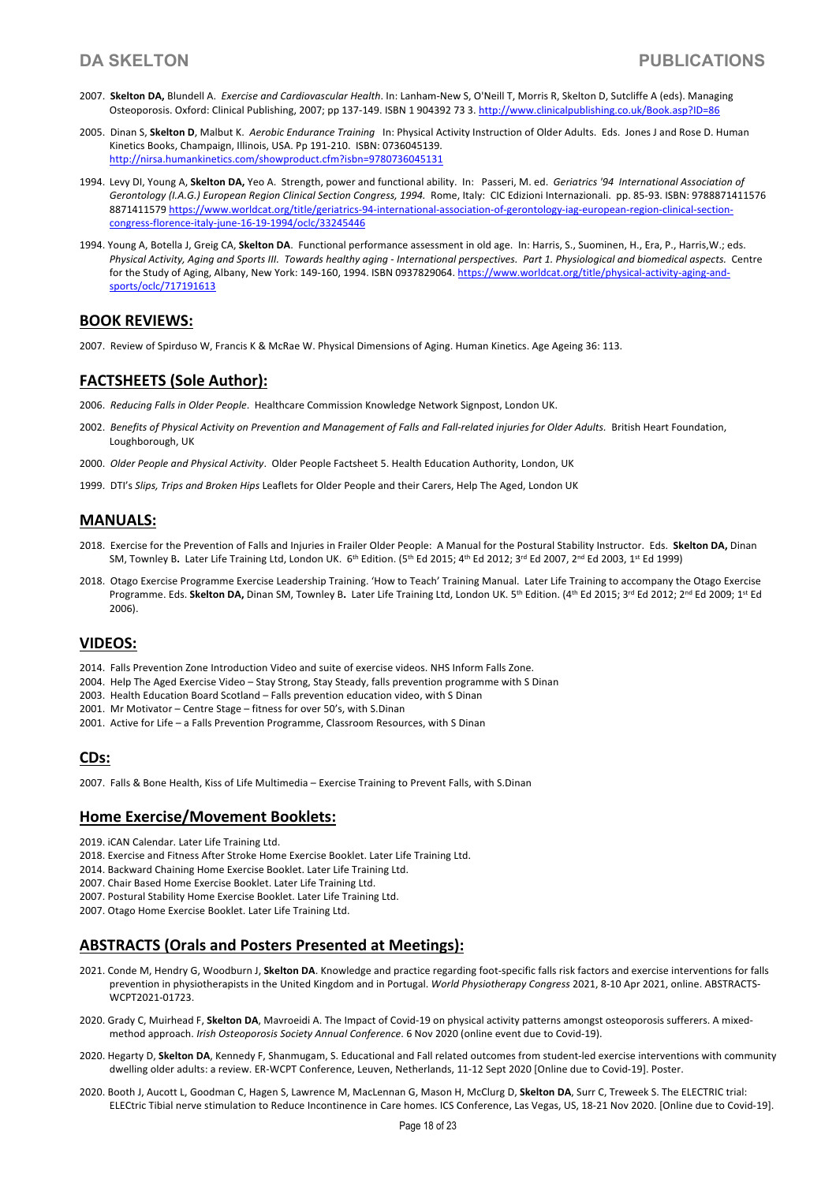- 2007. **Skelton DA,** Blundell A. *Exercise and Cardiovascular Health*. In: Lanham-New S, O'Neill T, Morris R, Skelton D, Sutcliffe A (eds). Managing Osteoporosis. Oxford: Clinical Publishing, 2007; pp 137-149. ISBN 1 904392 73 3. http://www.clinicalpublishing.co.uk/Book.asp?ID=86
- 2005. Dinan S, **Skelton D**, Malbut K. *Aerobic Endurance Training* In: Physical Activity Instruction of Older Adults. Eds. Jones J and Rose D. Human Kinetics Books, Champaign, Illinois, USA. Pp 191-210. ISBN: 0736045139. http://nirsa.humankinetics.com/showproduct.cfm?isbn=9780736045131
- 1994. Levy DI, Young A, **Skelton DA,** Yeo A. Strength, power and functional ability. In: Passeri, M. ed. *Geriatrics '94 International Association of*  Gerontology (I.A.G.) European Region Clinical Section Congress, 1994. Rome, Italy: CIC Edizioni Internazionali. pp. 85-93. ISBN: 9788871411576 8871411579 https://www.worldcat.org/title/geriatrics-94-international-association-of-gerontology-iag-european-region-clinical-sectioncongress-florence-italy-june-16-19-1994/oclc/33245446
- 1994. Young A, Botella J, Greig CA, **Skelton DA**. Functional performance assessment in old age. In: Harris, S., Suominen, H., Era, P., Harris,W.; eds. *Physical Activity, Aging and Sports III. Towards healthy aging - International perspectives. Part 1. Physiological and biomedical aspects.* Centre for the Study of Aging, Albany, New York: 149-160, 1994. ISBN 0937829064. https://www.worldcat.org/title/physical-activity-aging-andsports/oclc/717191613

## **BOOK REVIEWS:**

2007. Review of Spirduso W, Francis K & McRae W. Physical Dimensions of Aging. Human Kinetics. Age Ageing 36: 113.

## **FACTSHEETS (Sole Author):**

- 2006. *Reducing Falls in Older People*. Healthcare Commission Knowledge Network Signpost, London UK.
- 2002. *Benefits of Physical Activity on Prevention and Management of Falls and Fall-related injuries for Older Adults.* British Heart Foundation, Loughborough, UK
- 2000. *Older People and Physical Activity*. Older People Factsheet 5. Health Education Authority, London, UK
- 1999. DTI's *Slips, Trips and Broken Hips* Leaflets for Older People and their Carers, Help The Aged, London UK

## **MANUALS:**

- 2018. Exercise for the Prevention of Falls and Injuries in Frailer Older People: A Manual for the Postural Stability Instructor. Eds. **Skelton DA,** Dinan SM, Townley B. Later Life Training Ltd, London UK. 6<sup>th</sup> Edition. (5<sup>th</sup> Ed 2015; 4<sup>th</sup> Ed 2012; 3<sup>rd</sup> Ed 2007, 2<sup>nd</sup> Ed 2003, 1st Ed 1999)
- 2018. Otago Exercise Programme Exercise Leadership Training. 'How to Teach' Training Manual. Later Life Training to accompany the Otago Exercise Programme. Eds. Skelton DA, Dinan SM, Townley B. Later Life Training Ltd, London UK. 5<sup>th</sup> Edition. (4<sup>th</sup> Ed 2015; 3<sup>rd</sup> Ed 2012; 2<sup>nd</sup> Ed 2009; 1st Ed 2006).

## **VIDEOS:**

- 2014. Falls Prevention Zone Introduction Video and suite of exercise videos. NHS Inform Falls Zone.
- 2004. Help The Aged Exercise Video Stay Strong, Stay Steady, falls prevention programme with S Dinan
- 2003. Health Education Board Scotland Falls prevention education video, with S Dinan
- 2001. Mr Motivator Centre Stage fitness for over 50's, with S.Dinan
- 2001. Active for Life a Falls Prevention Programme, Classroom Resources, with S Dinan

## **CDs:**

2007. Falls & Bone Health, Kiss of Life Multimedia – Exercise Training to Prevent Falls, with S.Dinan

## **Home Exercise/Movement Booklets:**

- 2019. iCAN Calendar. Later Life Training Ltd.
- 2018. Exercise and Fitness After Stroke Home Exercise Booklet. Later Life Training Ltd.
- 2014. Backward Chaining Home Exercise Booklet. Later Life Training Ltd.
- 2007. Chair Based Home Exercise Booklet. Later Life Training Ltd.
- 2007. Postural Stability Home Exercise Booklet. Later Life Training Ltd.
- 2007. Otago Home Exercise Booklet. Later Life Training Ltd.

## **ABSTRACTS (Orals and Posters Presented at Meetings):**

- 2021. Conde M, Hendry G, Woodburn J, **Skelton DA**. Knowledge and practice regarding foot-specific falls risk factors and exercise interventions for falls prevention in physiotherapists in the United Kingdom and in Portugal. *World Physiotherapy Congress* 2021, 8-10 Apr 2021, online. ABSTRACTS-WCPT2021-01723.
- 2020. Grady C, Muirhead F, **Skelton DA**, Mavroeidi A. The Impact of Covid-19 on physical activity patterns amongst osteoporosis sufferers. A mixedmethod approach. *Irish Osteoporosis Society Annual Conference*. 6 Nov 2020 (online event due to Covid-19).
- 2020. Hegarty D, **Skelton DA**, Kennedy F, Shanmugam, S. Educational and Fall related outcomes from student-led exercise interventions with community dwelling older adults: a review. ER-WCPT Conference, Leuven, Netherlands, 11-12 Sept 2020 [Online due to Covid-19]. Poster.
- 2020. Booth J, Aucott L, Goodman C, Hagen S, Lawrence M, MacLennan G, Mason H, McClurg D, **Skelton DA**, Surr C, Treweek S. The ELECTRIC trial: ELECtric Tibial nerve stimulation to Reduce Incontinence in Care homes. ICS Conference, Las Vegas, US, 18-21 Nov 2020. [Online due to Covid-19].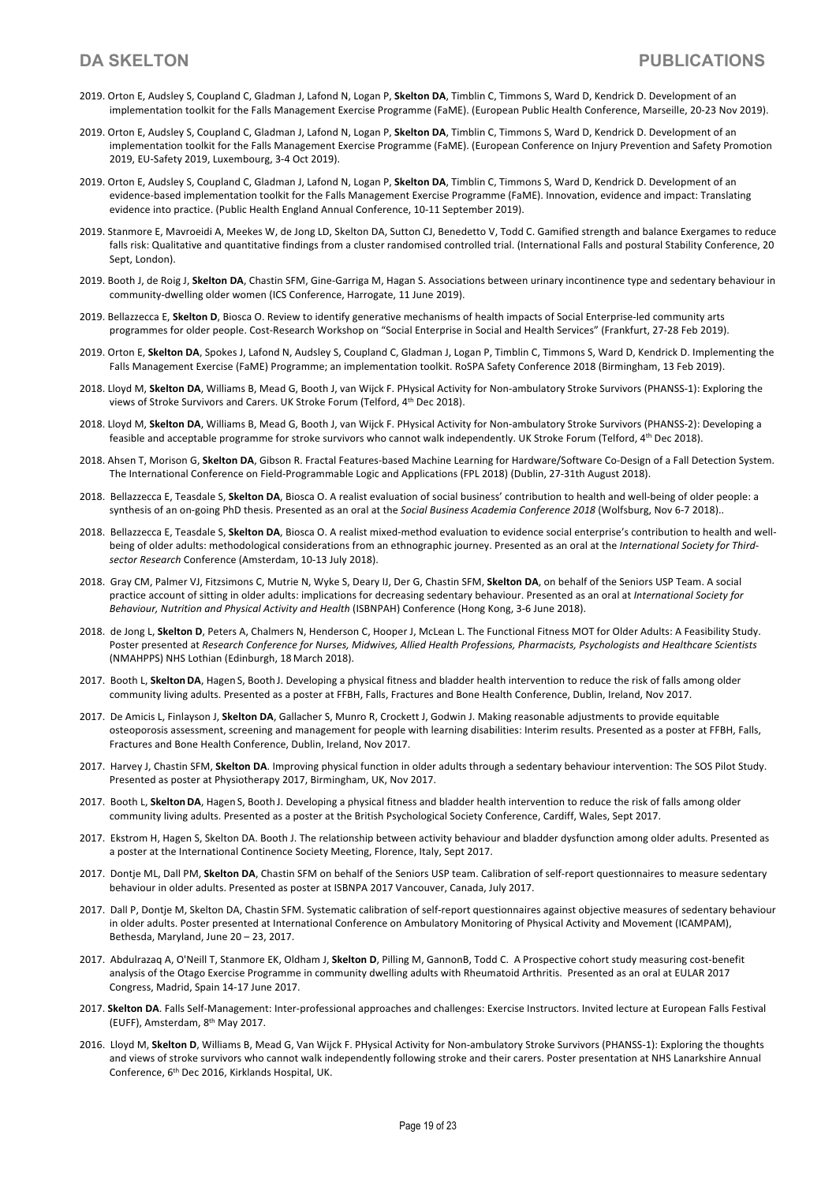- 2019. Orton E, Audsley S, Coupland C, Gladman J, Lafond N, Logan P, **Skelton DA**, Timblin C, Timmons S, Ward D, Kendrick D. Development of an implementation toolkit for the Falls Management Exercise Programme (FaME). (European Public Health Conference, Marseille, 20-23 Nov 2019).
- 2019. Orton E, Audsley S, Coupland C, Gladman J, Lafond N, Logan P, **Skelton DA**, Timblin C, Timmons S, Ward D, Kendrick D. Development of an implementation toolkit for the Falls Management Exercise Programme (FaME). (European Conference on Injury Prevention and Safety Promotion 2019, EU-Safety 2019, Luxembourg, 3-4 Oct 2019).
- 2019. Orton E, Audsley S, Coupland C, Gladman J, Lafond N, Logan P, **Skelton DA**, Timblin C, Timmons S, Ward D, Kendrick D. Development of an evidence-based implementation toolkit for the Falls Management Exercise Programme (FaME). Innovation, evidence and impact: Translating evidence into practice. (Public Health England Annual Conference, 10-11 September 2019).
- 2019. Stanmore E, Mavroeidi A, Meekes W, de Jong LD, Skelton DA, Sutton CJ, Benedetto V, Todd C. Gamified strength and balance Exergames to reduce falls risk: Qualitative and quantitative findings from a cluster randomised controlled trial. (International Falls and postural Stability Conference, 20 Sept, London).
- 2019. Booth J, de Roig J, **Skelton DA**, Chastin SFM, Gine-Garriga M, Hagan S. Associations between urinary incontinence type and sedentary behaviour in community-dwelling older women (ICS Conference, Harrogate, 11 June 2019).
- 2019. Bellazzecca E, **Skelton D**, Biosca O. Review to identify generative mechanisms of health impacts of Social Enterprise-led community arts programmes for older people. Cost-Research Workshop on "Social Enterprise in Social and Health Services" (Frankfurt, 27-28 Feb 2019).
- 2019. Orton E, **Skelton DA**, Spokes J, Lafond N, Audsley S, Coupland C, Gladman J, Logan P, Timblin C, Timmons S, Ward D, Kendrick D. Implementing the Falls Management Exercise (FaME) Programme; an implementation toolkit. RoSPA Safety Conference 2018 (Birmingham, 13 Feb 2019).
- 2018. Lloyd M, **Skelton DA**, Williams B, Mead G, Booth J, van Wijck F. PHysical Activity for Non-ambulatory Stroke Survivors (PHANSS-1): Exploring the views of Stroke Survivors and Carers. UK Stroke Forum (Telford, 4th Dec 2018).
- 2018. Lloyd M, **Skelton DA**, Williams B, Mead G, Booth J, van Wijck F. PHysical Activity for Non-ambulatory Stroke Survivors (PHANSS-2): Developing a feasible and acceptable programme for stroke survivors who cannot walk independently. UK Stroke Forum (Telford, 4<sup>th</sup> Dec 2018).
- 2018. Ahsen T, Morison G, **Skelton DA**, Gibson R. Fractal Features-based Machine Learning for Hardware/Software Co-Design of a Fall Detection System. The International Conference on Field-Programmable Logic and Applications (FPL 2018) (Dublin, 27-31th August 2018).
- 2018. Bellazzecca E, Teasdale S, **Skelton DA**, Biosca O. A realist evaluation of social business' contribution to health and well-being of older people: a synthesis of an on-going PhD thesis. Presented as an oral at the *Social Business Academia Conference 2018* (Wolfsburg, Nov 6-7 2018)..
- 2018. Bellazzecca E, Teasdale S, **Skelton DA**, Biosca O. A realist mixed-method evaluation to evidence social enterprise's contribution to health and wellbeing of older adults: methodological considerations from an ethnographic journey. Presented as an oral at the *International Society for Thirdsector Research* Conference (Amsterdam, 10-13 July 2018).
- 2018. Gray CM, Palmer VJ, Fitzsimons C, Mutrie N, Wyke S, Deary IJ, Der G, Chastin SFM, **Skelton DA**, on behalf of the Seniors USP Team. A social practice account of sitting in older adults: implications for decreasing sedentary behaviour. Presented as an oral at *International Society for Behaviour, Nutrition and Physical Activity and Health* (ISBNPAH) Conference (Hong Kong, 3-6 June 2018).
- 2018. de Jong L, **Skelton D**, Peters A, Chalmers N, Henderson C, Hooper J, McLean L. The Functional Fitness MOT for Older Adults: A Feasibility Study. Poster presented at *Research Conference for Nurses, Midwives, Allied Health Professions, Pharmacists, Psychologists and Healthcare Scientists* (NMAHPPS) NHS Lothian (Edinburgh, 18 March 2018).
- 2017. Booth L, **SkeltonDA**, Hagen S, Booth J. Developing a physical fitness and bladder health intervention to reduce the risk of falls among older community living adults. Presented as a poster at FFBH, Falls, Fractures and Bone Health Conference, Dublin, Ireland, Nov 2017.
- 2017. De Amicis L, Finlayson J, **Skelton DA**, Gallacher S, Munro R, Crockett J, Godwin J. Making reasonable adjustments to provide equitable osteoporosis assessment, screening and management for people with learning disabilities: Interim results. Presented as a poster at FFBH, Falls, Fractures and Bone Health Conference, Dublin, Ireland, Nov 2017.
- 2017. Harvey J, Chastin SFM, **Skelton DA**. Improving physical function in older adults through a sedentary behaviour intervention: The SOS Pilot Study. Presented as poster at Physiotherapy 2017, Birmingham, UK, Nov 2017.
- 2017. Booth L, **SkeltonDA**, Hagen S, Booth J. Developing a physical fitness and bladder health intervention to reduce the risk of falls among older community living adults. Presented as a poster at the British Psychological Society Conference, Cardiff, Wales, Sept 2017.
- 2017. Ekstrom H, Hagen S, Skelton DA. Booth J. The relationship between activity behaviour and bladder dysfunction among older adults. Presented as a poster at the International Continence Society Meeting, Florence, Italy, Sept 2017.
- 2017. Dontje ML, Dall PM, **Skelton DA**, Chastin SFM on behalf of the Seniors USP team. Calibration of self-report questionnaires to measure sedentary behaviour in older adults. Presented as poster at ISBNPA 2017 Vancouver, Canada, July 2017.
- 2017. Dall P, Dontje M, Skelton DA, Chastin SFM. Systematic calibration of self-report questionnaires against objective measures of sedentary behaviour in older adults. Poster presented at International Conference on Ambulatory Monitoring of Physical Activity and Movement (ICAMPAM), Bethesda, Maryland, June 20 – 23, 2017.
- 2017. Abdulrazaq A, O'Neill T, Stanmore EK, Oldham J, **Skelton D**, Pilling M, GannonB, Todd C. A Prospective cohort study measuring cost-benefit analysis of the Otago Exercise Programme in community dwelling adults with Rheumatoid Arthritis. Presented as an oral at EULAR 2017 Congress, Madrid, Spain 14-17 June 2017.
- 2017. **Skelton DA**. Falls Self-Management: Inter-professional approaches and challenges: Exercise Instructors. Invited lecture at European Falls Festival (EUFF), Amsterdam, 8th May 2017.
- 2016. Lloyd M, **Skelton D**, Williams B, Mead G, Van Wijck F. PHysical Activity for Non-ambulatory Stroke Survivors (PHANSS-1): Exploring the thoughts and views of stroke survivors who cannot walk independently following stroke and their carers. Poster presentation at NHS Lanarkshire Annual Conference, 6th Dec 2016, Kirklands Hospital, UK.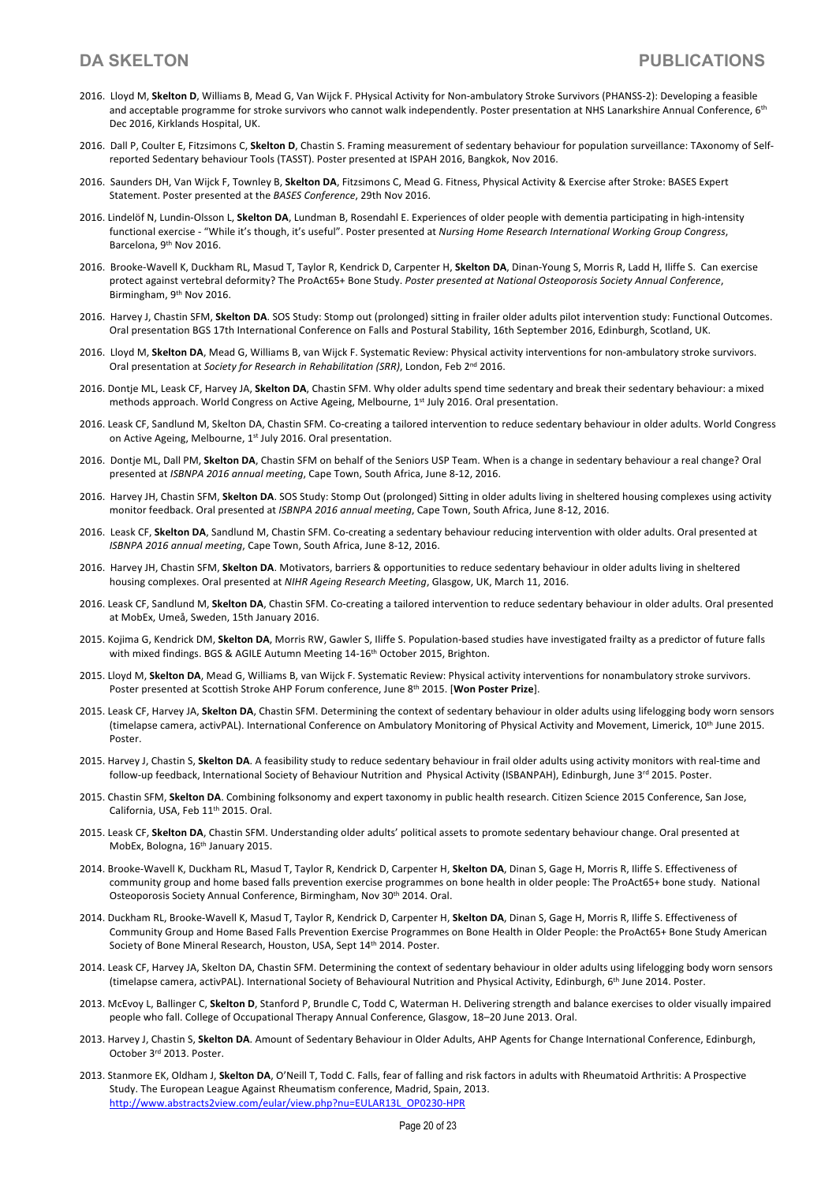- 2016. Lloyd M, **Skelton D**, Williams B, Mead G, Van Wijck F. PHysical Activity for Non-ambulatory Stroke Survivors (PHANSS-2): Developing a feasible and acceptable programme for stroke survivors who cannot walk independently. Poster presentation at NHS Lanarkshire Annual Conference, 6<sup>th</sup> Dec 2016, Kirklands Hospital, UK.
- 2016. Dall P, Coulter E, Fitzsimons C, **Skelton D**, Chastin S. Framing measurement of sedentary behaviour for population surveillance: TAxonomy of Selfreported Sedentary behaviour Tools (TASST). Poster presented at ISPAH 2016, Bangkok, Nov 2016.
- 2016. Saunders DH, Van Wijck F, Townley B, **Skelton DA**, Fitzsimons C, Mead G. Fitness, Physical Activity & Exercise after Stroke: BASES Expert Statement. Poster presented at the *BASES Conference*, 29th Nov 2016.
- 2016. Lindelöf N, Lundin-Olsson L, **Skelton DA**, Lundman B, Rosendahl E. Experiences of older people with dementia participating in high-intensity functional exercise - "While it's though, it's useful". Poster presented at *Nursing Home Research International Working Group Congress*, Barcelona, 9th Nov 2016.
- 2016. Brooke-Wavell K, Duckham RL, Masud T, Taylor R, Kendrick D, Carpenter H, **Skelton DA**, Dinan-Young S, Morris R, Ladd H, Iliffe S. Can exercise protect against vertebral deformity? The ProAct65+ Bone Study. *Poster presented at National Osteoporosis Society Annual Conference*, Birmingham, 9<sup>th</sup> Nov 2016.
- 2016. Harvey J, Chastin SFM, **Skelton DA**. SOS Study: Stomp out (prolonged) sitting in frailer older adults pilot intervention study: Functional Outcomes. Oral presentation BGS 17th International Conference on Falls and Postural Stability, 16th September 2016, Edinburgh, Scotland, UK.
- 2016. Lloyd M, **Skelton DA**, Mead G, Williams B, van Wijck F. Systematic Review: Physical activity interventions for non-ambulatory stroke survivors. Oral presentation at *Society for Research in Rehabilitation (SRR)*, London, Feb 2nd 2016.
- 2016. Dontje ML, Leask CF, Harvey JA, **Skelton DA**, Chastin SFM. Why older adults spend time sedentary and break their sedentary behaviour: a mixed methods approach. World Congress on Active Ageing, Melbourne, 1<sup>st</sup> July 2016. Oral presentation.
- 2016. Leask CF, Sandlund M, Skelton DA, Chastin SFM. Co-creating a tailored intervention to reduce sedentary behaviour in older adults. World Congress on Active Ageing, Melbourne, 1<sup>st</sup> July 2016. Oral presentation.
- 2016. Dontje ML, Dall PM, **Skelton DA**, Chastin SFM on behalf of the Seniors USP Team. When is a change in sedentary behaviour a real change? Oral presented at *ISBNPA 2016 annual meeting*, Cape Town, South Africa, June 8-12, 2016.
- 2016. Harvey JH, Chastin SFM, **Skelton DA**. SOS Study: Stomp Out (prolonged) Sitting in older adults living in sheltered housing complexes using activity monitor feedback. Oral presented at *ISBNPA 2016 annual meeting*, Cape Town, South Africa, June 8-12, 2016.
- 2016. Leask CF, **Skelton DA**, Sandlund M, Chastin SFM. Co-creating a sedentary behaviour reducing intervention with older adults. Oral presented at *ISBNPA 2016 annual meeting*, Cape Town, South Africa, June 8-12, 2016.
- 2016. Harvey JH, Chastin SFM, **Skelton DA**. Motivators, barriers & opportunities to reduce sedentary behaviour in older adults living in sheltered housing complexes. Oral presented at *NIHR Ageing Research Meeting*, Glasgow, UK, March 11, 2016.
- 2016. Leask CF, Sandlund M, **Skelton DA**, Chastin SFM. Co-creating a tailored intervention to reduce sedentary behaviour in older adults. Oral presented at MobEx, Umeå, Sweden, 15th January 2016.
- 2015. Kojima G, Kendrick DM, **Skelton DA**, Morris RW, Gawler S, Iliffe S. Population-based studies have investigated frailty as a predictor of future falls with mixed findings. BGS & AGILE Autumn Meeting 14-16<sup>th</sup> October 2015, Brighton.
- 2015. Lloyd M, **Skelton DA**, Mead G, Williams B, van Wijck F. Systematic Review: Physical activity interventions for nonambulatory stroke survivors. Poster presented at Scottish Stroke AHP Forum conference, June 8th 2015. [**Won Poster Prize**].
- 2015. Leask CF, Harvey JA, **Skelton DA**, Chastin SFM. Determining the context of sedentary behaviour in older adults using lifelogging body worn sensors (timelapse camera, activPAL). International Conference on Ambulatory Monitoring of Physical Activity and Movement, Limerick, 10<sup>th</sup> June 2015. Poster.
- 2015. Harvey J, Chastin S, **Skelton DA**. A feasibility study to reduce sedentary behaviour in frail older adults using activity monitors with real-time and follow-up feedback, International Society of Behaviour Nutrition and Physical Activity (ISBANPAH), Edinburgh, June 3<sup>rd</sup> 2015. Poster.
- 2015. Chastin SFM, **Skelton DA**. Combining folksonomy and expert taxonomy in public health research. Citizen Science 2015 Conference, San Jose, California, USA, Feb 11th 2015. Oral.
- 2015. Leask CF, **Skelton DA**, Chastin SFM. Understanding older adults' political assets to promote sedentary behaviour change. Oral presented at MobEx, Bologna, 16th January 2015.
- 2014. Brooke-Wavell K, Duckham RL, Masud T, Taylor R, Kendrick D, Carpenter H, **Skelton DA**, Dinan S, Gage H, Morris R, Iliffe S. Effectiveness of community group and home based falls prevention exercise programmes on bone health in older people: The ProAct65+ bone study. National Osteoporosis Society Annual Conference, Birmingham, Nov 30<sup>th</sup> 2014. Oral.
- 2014. Duckham RL, Brooke-Wavell K, Masud T, Taylor R, Kendrick D, Carpenter H, **Skelton DA**, Dinan S, Gage H, Morris R, Iliffe S. Effectiveness of Community Group and Home Based Falls Prevention Exercise Programmes on Bone Health in Older People: the ProAct65+ Bone Study American Society of Bone Mineral Research, Houston, USA, Sept 14th 2014. Poster.
- 2014. Leask CF, Harvey JA, Skelton DA, Chastin SFM. Determining the context of sedentary behaviour in older adults using lifelogging body worn sensors (timelapse camera, activPAL). International Society of Behavioural Nutrition and Physical Activity, Edinburgh, 6th June 2014. Poster.
- 2013. McEvoy L, Ballinger C, **Skelton D**, Stanford P, Brundle C, Todd C, Waterman H. Delivering strength and balance exercises to older visually impaired people who fall. College of Occupational Therapy Annual Conference, Glasgow, 18–20 June 2013. Oral.
- 2013. Harvey J, Chastin S, **Skelton DA**. Amount of Sedentary Behaviour in Older Adults, AHP Agents for Change International Conference, Edinburgh, October 3rd 2013. Poster.
- 2013. Stanmore EK, Oldham J, **Skelton DA**, O'Neill T, Todd C. Falls, fear of falling and risk factors in adults with Rheumatoid Arthritis: A Prospective Study. The European League Against Rheumatism conference, Madrid, Spain, 2013. http://www.abstracts2view.com/eular/view.php?nu=EULAR13L\_OP0230-HPR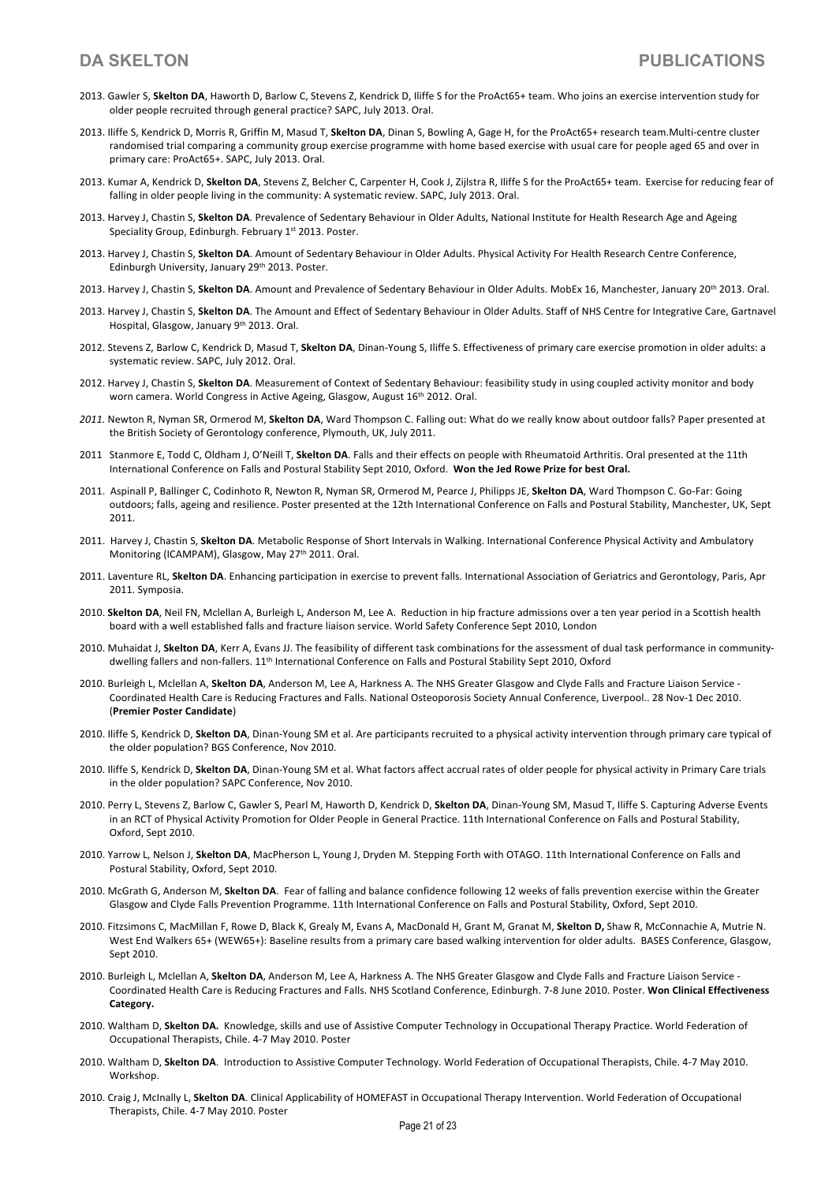- 2013. Gawler S, **Skelton DA**, Haworth D, Barlow C, Stevens Z, Kendrick D, Iliffe S for the ProAct65+ team. Who joins an exercise intervention study for older people recruited through general practice? SAPC, July 2013. Oral.
- 2013. Iliffe S, Kendrick D, Morris R, Griffin M, Masud T, **Skelton DA**, Dinan S, Bowling A, Gage H, for the ProAct65+ research team.Multi-centre cluster randomised trial comparing a community group exercise programme with home based exercise with usual care for people aged 65 and over in primary care: ProAct65+. SAPC, July 2013. Oral.
- 2013. Kumar A, Kendrick D, **Skelton DA**, Stevens Z, Belcher C, Carpenter H, Cook J, Zijlstra R, Iliffe S for the ProAct65+ team. Exercise for reducing fear of falling in older people living in the community: A systematic review. SAPC, July 2013. Oral.
- 2013. Harvey J, Chastin S, **Skelton DA**. Prevalence of Sedentary Behaviour in Older Adults, National Institute for Health Research Age and Ageing Speciality Group, Edinburgh. February 1st 2013. Poster.
- 2013. Harvey J, Chastin S, **Skelton DA**. Amount of Sedentary Behaviour in Older Adults. Physical Activity For Health Research Centre Conference, Edinburgh University, January 29<sup>th</sup> 2013. Poster.
- 2013. Harvey J, Chastin S, **Skelton DA**. Amount and Prevalence of Sedentary Behaviour in Older Adults. MobEx 16, Manchester, January 20th 2013. Oral.
- 2013. Harvey J, Chastin S, **Skelton DA**. The Amount and Effect of Sedentary Behaviour in Older Adults. Staff of NHS Centre for Integrative Care, Gartnavel Hospital, Glasgow, January 9th 2013. Oral.
- 2012. Stevens Z, Barlow C, Kendrick D, Masud T, **Skelton DA**, Dinan-Young S, Iliffe S. Effectiveness of primary care exercise promotion in older adults: a systematic review. SAPC, July 2012. Oral.
- 2012. Harvey J, Chastin S, **Skelton DA**. Measurement of Context of Sedentary Behaviour: feasibility study in using coupled activity monitor and body worn camera. World Congress in Active Ageing, Glasgow, August 16<sup>th</sup> 2012. Oral.
- *2011.* Newton R, Nyman SR, Ormerod M, **Skelton DA**, Ward Thompson C. Falling out: What do we really know about outdoor falls? Paper presented at the British Society of Gerontology conference, Plymouth, UK, July 2011.
- 2011 Stanmore E, Todd C, Oldham J, O'Neill T, **Skelton DA**. Falls and their effects on people with Rheumatoid Arthritis. Oral presented at the 11th International Conference on Falls and Postural Stability Sept 2010, Oxford. **Won the Jed Rowe Prize for best Oral.**
- 2011. Aspinall P, Ballinger C, Codinhoto R, Newton R, Nyman SR, Ormerod M, Pearce J, Philipps JE, **Skelton DA**, Ward Thompson C. Go-Far: Going outdoors; falls, ageing and resilience. Poster presented at the 12th International Conference on Falls and Postural Stability, Manchester, UK, Sept 2011.
- 2011. Harvey J, Chastin S, **Skelton DA**. Metabolic Response of Short Intervals in Walking. International Conference Physical Activity and Ambulatory Monitoring (ICAMPAM), Glasgow, May 27<sup>th</sup> 2011. Oral.
- 2011. Laventure RL, **Skelton DA**. Enhancing participation in exercise to prevent falls. International Association of Geriatrics and Gerontology, Paris, Apr 2011. Symposia.
- 2010. **Skelton DA**, Neil FN, Mclellan A, Burleigh L, Anderson M, Lee A. Reduction in hip fracture admissions over a ten year period in a Scottish health board with a well established falls and fracture liaison service. World Safety Conference Sept 2010, London
- 2010. Muhaidat J, Skelton DA, Kerr A, Evans JJ. The feasibility of different task combinations for the assessment of dual task performance in communitydwelling fallers and non-fallers. 11<sup>th</sup> International Conference on Falls and Postural Stability Sept 2010, Oxford
- 2010. Burleigh L, Mclellan A, **Skelton DA**, Anderson M, Lee A, Harkness A. The NHS Greater Glasgow and Clyde Falls and Fracture Liaison Service Coordinated Health Care is Reducing Fractures and Falls. National Osteoporosis Society Annual Conference, Liverpool.. 28 Nov-1 Dec 2010. (**Premier Poster Candidate**)
- 2010. Iliffe S, Kendrick D, **Skelton DA**, Dinan-Young SM et al. Are participants recruited to a physical activity intervention through primary care typical of the older population? BGS Conference, Nov 2010.
- 2010. Iliffe S, Kendrick D, **Skelton DA**, Dinan-Young SM et al. What factors affect accrual rates of older people for physical activity in Primary Care trials in the older population? SAPC Conference, Nov 2010.
- 2010. Perry L, Stevens Z, Barlow C, Gawler S, Pearl M, Haworth D, Kendrick D, **Skelton DA**, Dinan-Young SM, Masud T, Iliffe S. Capturing Adverse Events in an RCT of Physical Activity Promotion for Older People in General Practice. 11th International Conference on Falls and Postural Stability, Oxford, Sept 2010.
- 2010. Yarrow L, Nelson J, **Skelton DA**, MacPherson L, Young J, Dryden M. Stepping Forth with OTAGO. 11th International Conference on Falls and Postural Stability, Oxford, Sept 2010.
- 2010. McGrath G, Anderson M, **Skelton DA**. Fear of falling and balance confidence following 12 weeks of falls prevention exercise within the Greater Glasgow and Clyde Falls Prevention Programme. 11th International Conference on Falls and Postural Stability, Oxford, Sept 2010.
- 2010. Fitzsimons C, MacMillan F, Rowe D, Black K, Grealy M, Evans A, MacDonald H, Grant M, Granat M, **Skelton D,** Shaw R, McConnachie A, Mutrie N. West End Walkers 65+ (WEW65+): Baseline results from a primary care based walking intervention for older adults. BASES Conference, Glasgow, Sept 2010.
- 2010. Burleigh L, Mclellan A, **Skelton DA**, Anderson M, Lee A, Harkness A. The NHS Greater Glasgow and Clyde Falls and Fracture Liaison Service Coordinated Health Care is Reducing Fractures and Falls. NHS Scotland Conference, Edinburgh. 7-8 June 2010. Poster. **Won Clinical Effectiveness Category.**
- 2010. Waltham D, **Skelton DA.** Knowledge, skills and use of Assistive Computer Technology in Occupational Therapy Practice. World Federation of Occupational Therapists, Chile. 4-7 May 2010. Poster
- 2010. Waltham D, **Skelton DA**. Introduction to Assistive Computer Technology. World Federation of Occupational Therapists, Chile. 4-7 May 2010. Workshop.
- 2010. Craig J, McInally L, **Skelton DA**. Clinical Applicability of HOMEFAST in Occupational Therapy Intervention. World Federation of Occupational Therapists, Chile. 4-7 May 2010. Poster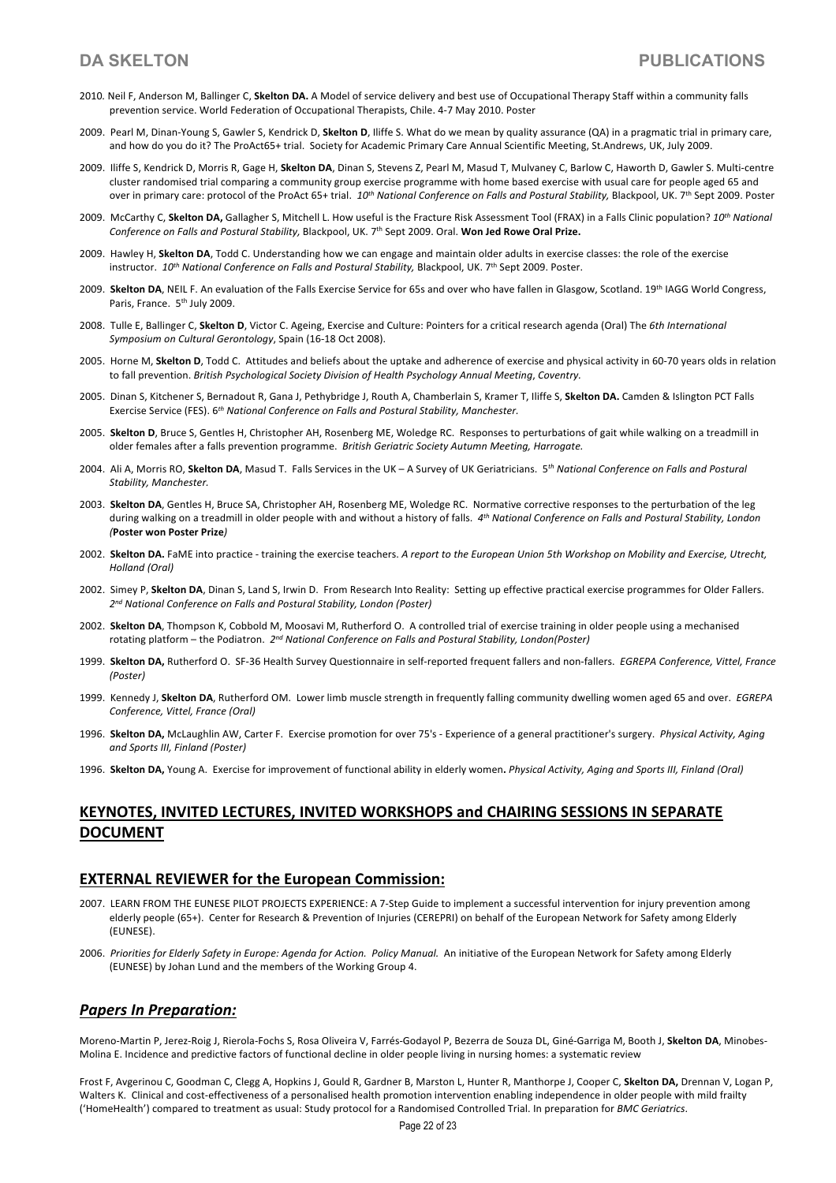- 2010*.* Neil F, Anderson M, Ballinger C, **Skelton DA.** A Model of service delivery and best use of Occupational Therapy Staff within a community falls prevention service. World Federation of Occupational Therapists, Chile. 4-7 May 2010. Poster
- 2009. Pearl M, Dinan-Young S, Gawler S, Kendrick D, **Skelton D**, Iliffe S. What do we mean by quality assurance (QA) in a pragmatic trial in primary care, and how do you do it? The ProAct65+ trial. Society for Academic Primary Care Annual Scientific Meeting, St.Andrews, UK, July 2009.
- 2009. Iliffe S, Kendrick D, Morris R, Gage H, **Skelton DA**, Dinan S, Stevens Z, Pearl M, Masud T, Mulvaney C, Barlow C, Haworth D, Gawler S. Multi-centre cluster randomised trial comparing a community group exercise programme with home based exercise with usual care for people aged 65 and over in primary care: protocol of the ProAct 65+ trial. *10th National Conference on Falls and Postural Stability,* Blackpool, UK. 7th Sept 2009. Poster
- 2009. McCarthy C, **Skelton DA,** Gallagher S, Mitchell L. How useful is the Fracture Risk Assessment Tool (FRAX) in a Falls Clinic population? *10th National Conference on Falls and Postural Stability,* Blackpool, UK. 7th Sept 2009. Oral. **Won Jed Rowe Oral Prize.**
- 2009. Hawley H, **Skelton DA**, Todd C. Understanding how we can engage and maintain older adults in exercise classes: the role of the exercise instructor. *10th National Conference on Falls and Postural Stability,* Blackpool, UK. 7th Sept 2009. Poster.
- 2009. **Skelton DA**, NEIL F. An evaluation of the Falls Exercise Service for 65s and over who have fallen in Glasgow, Scotland. 19th IAGG World Congress, Paris, France. 5<sup>th</sup> July 2009.
- 2008. Tulle E, Ballinger C, **Skelton D**, Victor C. Ageing, Exercise and Culture: Pointers for a critical research agenda (Oral) The *6th International Symposium on Cultural Gerontology*, Spain (16-18 Oct 2008).
- 2005. Horne M, **Skelton D**, Todd C. Attitudes and beliefs about the uptake and adherence of exercise and physical activity in 60-70 years olds in relation to fall prevention. *British Psychological Society Division of Health Psychology Annual Meeting*, *Coventry.*
- 2005. Dinan S, Kitchener S, Bernadout R, Gana J, Pethybridge J, Routh A, Chamberlain S, Kramer T, Iliffe S, **Skelton DA.** Camden & Islington PCT Falls Exercise Service (FES). 6*th National Conference on Falls and Postural Stability, Manchester.*
- 2005. **Skelton D**, Bruce S, Gentles H, Christopher AH, Rosenberg ME, Woledge RC. Responses to perturbations of gait while walking on a treadmill in older females after a falls prevention programme. *British Geriatric Society Autumn Meeting, Harrogate.*
- 2004. Ali A, Morris RO, **Skelton DA**, Masud T. Falls Services in the UK A Survey of UK Geriatricians. 5*th National Conference on Falls and Postural Stability, Manchester.*
- 2003. **Skelton DA**, Gentles H, Bruce SA, Christopher AH, Rosenberg ME, Woledge RC. Normative corrective responses to the perturbation of the leg during walking on a treadmill in older people with and without a history of falls. *4th National Conference on Falls and Postural Stability, London (***Poster won Poster Prize***)*
- 2002. **Skelton DA.** FaME into practice training the exercise teachers. *A report to the European Union 5th Workshop on Mobility and Exercise, Utrecht, Holland (Oral)*
- 2002. Simey P, **Skelton DA**, Dinan S, Land S, Irwin D. From Research Into Reality: Setting up effective practical exercise programmes for Older Fallers. *2nd National Conference on Falls and Postural Stability, London (Poster)*
- 2002. **Skelton DA**, Thompson K, Cobbold M, Moosavi M, Rutherford O. A controlled trial of exercise training in older people using a mechanised rotating platform – the Podiatron. *2nd National Conference on Falls and Postural Stability, London(Poster)*
- 1999. **Skelton DA,** Rutherford O. SF-36 Health Survey Questionnaire in self-reported frequent fallers and non-fallers. *EGREPA Conference, Vittel, France (Poster)*
- 1999. Kennedy J, **Skelton DA**, Rutherford OM. Lower limb muscle strength in frequently falling community dwelling women aged 65 and over. *EGREPA Conference, Vittel, France (Oral)*
- 1996. **Skelton DA,** McLaughlin AW, Carter F. Exercise promotion for over 75's Experience of a general practitioner's surgery. *Physical Activity, Aging and Sports III, Finland (Poster)*
- 1996. **Skelton DA,** Young A. Exercise for improvement of functional ability in elderly women**.** *Physical Activity, Aging and Sports III, Finland (Oral)*

# **KEYNOTES, INVITED LECTURES, INVITED WORKSHOPS and CHAIRING SESSIONS IN SEPARATE DOCUMENT**

## **EXTERNAL REVIEWER for the European Commission:**

- 2007. LEARN FROM THE EUNESE PILOT PROJECTS EXPERIENCE: A 7-Step Guide to implement a successful intervention for injury prevention among elderly people (65+). Center for Research & Prevention of Injuries (CEREPRI) on behalf of the European Network for Safety among Elderly (EUNESE).
- 2006. *Priorities for Elderly Safety in Europe: Agenda for Action. Policy Manual.* An initiative of the European Network for Safety among Elderly (EUNESE) by Johan Lund and the members of the Working Group 4.

## *Papers In Preparation:*

Moreno-Martin P, Jerez-Roig J, Rierola-Fochs S, Rosa Oliveira V, Farrés-Godayol P, Bezerra de Souza DL, Giné-Garriga M, Booth J, **Skelton DA**, Minobes-Molina E. Incidence and predictive factors of functional decline in older people living in nursing homes: a systematic review

Frost F, Avgerinou C, Goodman C, Clegg A, Hopkins J, Gould R, Gardner B, Marston L, Hunter R, Manthorpe J, Cooper C, **Skelton DA,** Drennan V, Logan P, Walters K. Clinical and cost-effectiveness of a personalised health promotion intervention enabling independence in older people with mild frailty ('HomeHealth') compared to treatment as usual: Study protocol for a Randomised Controlled Trial. In preparation for *BMC Geriatrics*.